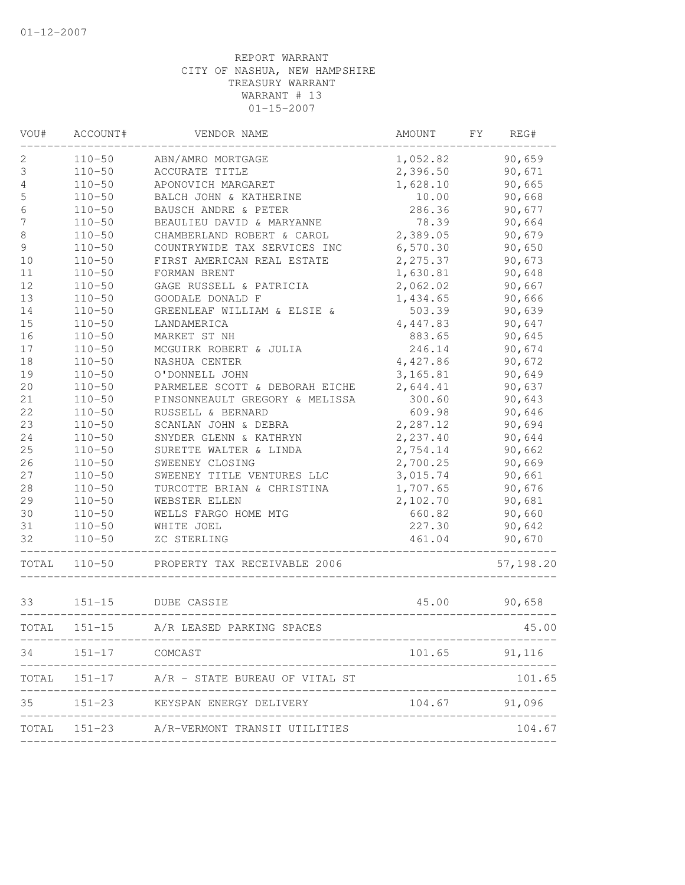| VOU#             | ACCOUNT#       | VENDOR NAME                                                | AMOUNT                     | FY | REG#          |
|------------------|----------------|------------------------------------------------------------|----------------------------|----|---------------|
| 2                | $110 - 50$     | ABN/AMRO MORTGAGE                                          | 1,052.82                   |    | 90,659        |
| 3                | $110 - 50$     | ACCURATE TITLE                                             | 2,396.50                   |    | 90,671        |
| 4                | $110 - 50$     | APONOVICH MARGARET                                         | 1,628.10                   |    | 90,665        |
| $\mathsf S$      | $110 - 50$     | BALCH JOHN & KATHERINE                                     | 10.00                      |    | 90,668        |
| $\epsilon$       | $110 - 50$     | BAUSCH ANDRE & PETER                                       | 286.36                     |    | 90,677        |
| $\boldsymbol{7}$ | $110 - 50$     | BEAULIEU DAVID & MARYANNE                                  | 78.39                      |    | 90,664        |
| 8                | $110 - 50$     | CHAMBERLAND ROBERT & CAROL                                 | 2,389.05                   |    | 90,679        |
| 9                | $110 - 50$     | COUNTRYWIDE TAX SERVICES INC                               | 6,570.30                   |    | 90,650        |
| 10               | $110 - 50$     | FIRST AMERICAN REAL ESTATE                                 | 2,275.37                   |    | 90,673        |
| 11               | $110 - 50$     | FORMAN BRENT                                               | 1,630.81                   |    | 90,648        |
| 12               | $110 - 50$     | GAGE RUSSELL & PATRICIA                                    | 2,062.02                   |    | 90,667        |
| 13               | $110 - 50$     | GOODALE DONALD F                                           | 1,434.65                   |    | 90,666        |
| 14               | $110 - 50$     | GREENLEAF WILLIAM & ELSIE &                                | 503.39                     |    | 90,639        |
| 15               | $110 - 50$     | LANDAMERICA                                                | 4,447.83                   |    | 90,647        |
| 16               | $110 - 50$     | MARKET ST NH                                               | 883.65                     |    | 90,645        |
| 17               | $110 - 50$     | MCGUIRK ROBERT & JULIA                                     | 246.14                     |    | 90,674        |
| $1\,8$           | $110 - 50$     | NASHUA CENTER                                              | 4,427.86                   |    | 90,672        |
| 19               | $110 - 50$     | O'DONNELL JOHN                                             | 3,165.81                   |    | 90,649        |
| 20               | $110 - 50$     | PARMELEE SCOTT & DEBORAH EICHE                             | 2,644.41                   |    | 90,637        |
| 21               | $110 - 50$     | PINSONNEAULT GREGORY & MELISSA                             | 300.60                     |    | 90,643        |
| 22               | $110 - 50$     | RUSSELL & BERNARD                                          | 609.98                     |    | 90,646        |
| 23               | $110 - 50$     | SCANLAN JOHN & DEBRA                                       | 2,287.12                   |    | 90,694        |
| 24               | $110 - 50$     | SNYDER GLENN & KATHRYN                                     | 2,237.40                   |    | 90,644        |
| 25               | $110 - 50$     | SURETTE WALTER & LINDA                                     | 2,754.14                   |    | 90,662        |
| 26               | $110 - 50$     | SWEENEY CLOSING                                            | 2,700.25                   |    | 90,669        |
| 27               | $110 - 50$     | SWEENEY TITLE VENTURES LLC                                 | 3,015.74                   |    | 90,661        |
| $2\,8$           | $110 - 50$     | TURCOTTE BRIAN & CHRISTINA                                 | 1,707.65                   |    | 90,676        |
| 29               | $110 - 50$     | WEBSTER ELLEN                                              | 2,102.70                   |    | 90,681        |
| 30               | $110 - 50$     | WELLS FARGO HOME MTG                                       | 660.82                     |    | 90,660        |
| 31               | $110 - 50$     | WHITE JOEL                                                 | 227.30                     |    | 90,642        |
| 32               | $110 - 50$     | ZC STERLING                                                | 461.04<br>________________ |    | 90,670        |
| TOTAL            | $110 - 50$     | PROPERTY TAX RECEIVABLE 2006                               |                            |    | 57,198.20     |
| 33               | $151 - 15$     | DUBE CASSIE                                                | 45.00                      |    | 90,658        |
| TOTAL            | $151 - 15$     | A/R LEASED PARKING SPACES                                  |                            |    | 45.00         |
| 34               | 151-17 COMCAST |                                                            | 101.65 91,116              |    |               |
|                  |                | TOTAL 151-17 A/R - STATE BUREAU OF VITAL ST                |                            |    | 101.65        |
| 35               |                | 151-23 KEYSPAN ENERGY DELIVERY                             |                            |    | 104.67 91,096 |
|                  |                | ------------<br>TOTAL 151-23 A/R-VERMONT TRANSIT UTILITIES |                            |    | 104.67        |

--------------------------------------------------------------------------------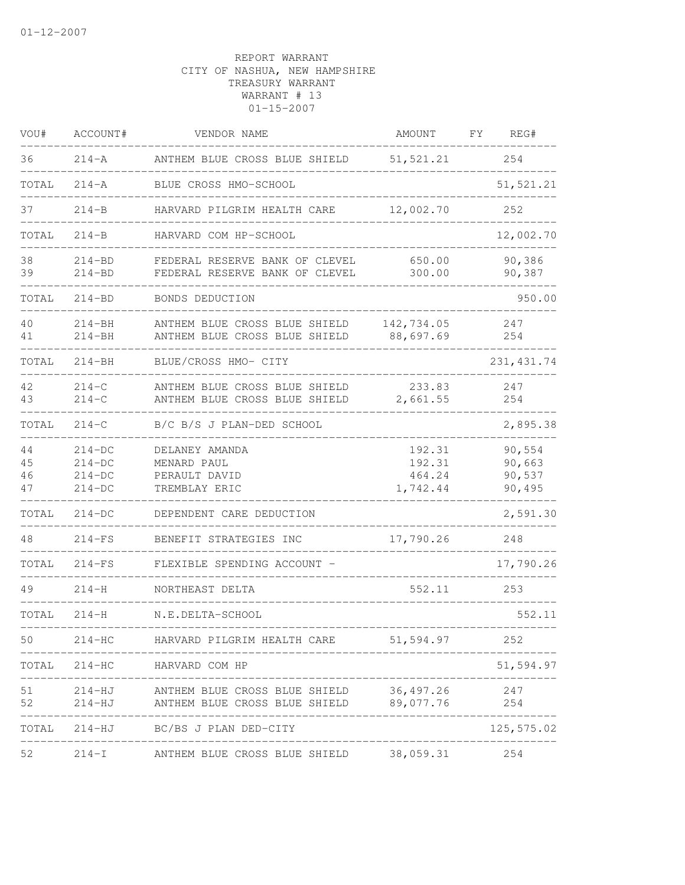| VOU#                 | ACCOUNT#                                     | VENDOR NAME                                                                                      | AMOUNT                                 | FΥ | REG#                                 |
|----------------------|----------------------------------------------|--------------------------------------------------------------------------------------------------|----------------------------------------|----|--------------------------------------|
| 36                   | $214 - A$                                    | ANTHEM BLUE CROSS BLUE SHIELD                                                                    | 51, 521.21                             |    | 254                                  |
| TOTAL                | $214 - A$                                    | BLUE CROSS HMO-SCHOOL                                                                            |                                        |    | 51,521.21                            |
| 37                   | $214-B$                                      | HARVARD PILGRIM HEALTH CARE                                                                      | 12,002.70                              |    | 252                                  |
| TOTAL                | $214 - B$                                    | HARVARD COM HP-SCHOOL                                                                            |                                        |    | 12,002.70                            |
| 38<br>39             | $214 - BD$<br>$214 - BD$                     | FEDERAL RESERVE BANK OF CLEVEL<br>FEDERAL RESERVE BANK OF CLEVEL                                 | 650.00<br>300.00                       |    | 90,386<br>90,387                     |
| TOTAL                | $214 - BD$                                   | BONDS DEDUCTION                                                                                  |                                        |    | 950.00                               |
| 40<br>41             | $214 - BH$<br>$214 - BH$                     | ANTHEM BLUE CROSS BLUE SHIELD<br>ANTHEM BLUE CROSS BLUE SHIELD                                   | 142,734.05<br>88,697.69                |    | 247<br>254                           |
| TOTAL                | $214 - BH$                                   | BLUE/CROSS HMO- CITY                                                                             |                                        |    | 231, 431.74                          |
| 42<br>43             | $214 - C$<br>$214 - C$                       | ANTHEM BLUE CROSS BLUE SHIELD<br>ANTHEM BLUE CROSS BLUE SHIELD                                   | 233.83<br>2,661.55                     |    | 247<br>254                           |
| TOTAL                | $214 - C$                                    | B/C B/S J PLAN-DED SCHOOL                                                                        |                                        |    | 2,895.38                             |
| 44<br>45<br>46<br>47 | $214-DC$<br>$214-DC$<br>$214-DC$<br>$214-DC$ | DELANEY AMANDA<br>MENARD PAUL<br>PERAULT DAVID<br>TREMBLAY ERIC                                  | 192.31<br>192.31<br>464.24<br>1,742.44 |    | 90,554<br>90,663<br>90,537<br>90,495 |
| TOTAL                | $214-DC$                                     | DEPENDENT CARE DEDUCTION                                                                         |                                        |    | 2,591.30                             |
| 48                   | $214-FS$                                     | BENEFIT STRATEGIES INC                                                                           | 17,790.26                              |    | 248                                  |
| TOTAL                | $214-FS$                                     | FLEXIBLE SPENDING ACCOUNT -                                                                      |                                        |    | 17,790.26                            |
| 49                   | $214 - H$                                    | NORTHEAST DELTA                                                                                  | 552.11                                 |    | 253                                  |
| TOTAL                | $214 - H$                                    | N.E.DELTA-SCHOOL<br>_____________________________                                                |                                        |    | 552.11                               |
| 50                   | $214-HC$                                     | HARVARD PILGRIM HEALTH CARE 51,594.97                                                            | ______________                         |    | 252                                  |
|                      |                                              | TOTAL 214-HC HARVARD COM HP                                                                      |                                        |    | 51,594.97                            |
| 51<br>52             |                                              | 214-HJ ANTHEM BLUE CROSS BLUE SHIELD 36,497.26<br>214-HJ ANTHEM BLUE CROSS BLUE SHIELD 89,077.76 |                                        |    | 247<br>254                           |
|                      |                                              | TOTAL 214-HJ BC/BS J PLAN DED-CITY                                                               |                                        |    | --------------<br>125,575.02         |
| 52                   |                                              | 214-I ANTHEM BLUE CROSS BLUE SHIELD 38,059.31 254                                                |                                        |    |                                      |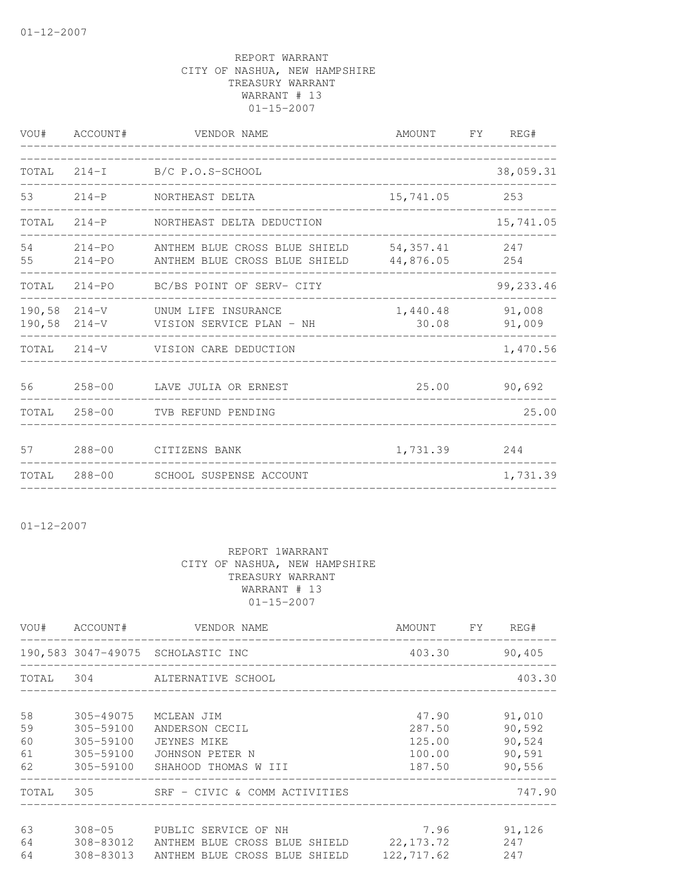|              | VOU# ACCOUNT#            | VENDOR NAME                                                                        | AMOUNT            | FY REG#          |
|--------------|--------------------------|------------------------------------------------------------------------------------|-------------------|------------------|
|              |                          | TOTAL 214-I B/C P.O.S-SCHOOL                                                       |                   | 38,059.31        |
| 53           | $214-P$                  | NORTHEAST DELTA                                                                    | 15,741.05         | 253              |
| TOTAL        | $214-P$                  | NORTHEAST DELTA DEDUCTION                                                          |                   | 15,741.05        |
| 54<br>55     | $214 - PO$<br>$214 - PO$ | ANTHEM BLUE CROSS BLUE SHIELD 54,357.41<br>ANTHEM BLUE CROSS BLUE SHIELD 44,876.05 |                   | 247<br>254       |
| TOTAL        |                          | 214-PO BC/BS POINT OF SERV- CITY                                                   |                   | 99,233.46        |
|              |                          | 190,58 214-V UNUM LIFE INSURANCE<br>190,58 214-V VISION SERVICE PLAN - NH          | 1,440.48<br>30.08 | 91,008<br>91,009 |
|              |                          | TOTAL 214-V VISION CARE DEDUCTION                                                  |                   | 1,470.56         |
| 56           | $258 - 00$               | LAVE JULIA OR ERNEST                                                               | 25.00             | 90,692           |
| TOTAL        | $258 - 00$               | TVB REFUND PENDING                                                                 |                   | 25.00            |
| 57           | 288-00                   | CITIZENS BANK                                                                      | 1,731.39          | 244              |
| <b>TOTAL</b> | 288-00                   | SCHOOL SUSPENSE ACCOUNT                                                            |                   | 1,731.39         |

01-12-2007

|                            |                                                  | VOU# ACCOUNT# VENDOR NAME                                                                                                   | AMOUNT FY REG#                                |                                                |
|----------------------------|--------------------------------------------------|-----------------------------------------------------------------------------------------------------------------------------|-----------------------------------------------|------------------------------------------------|
|                            |                                                  | 190,583 3047-49075 SCHOLASTIC INC                                                                                           | 403.30 90.405                                 |                                                |
|                            |                                                  | TOTAL 304 ALTERNATIVE SCHOOL                                                                                                |                                               | 403.30                                         |
| 58<br>59<br>60<br>61<br>62 | 305-49075<br>305-59100<br>305-59100<br>305-59100 | MCLEAN JIM<br>ANDERSON CECIL<br>JEYNES MIKE<br>JOHNSON PETER N<br>305-59100 SHAHOOD THOMAS W III                            | 47.90<br>287.50<br>125.00<br>100.00<br>187.50 | 91,010<br>90,592<br>90,524<br>90,591<br>90,556 |
|                            |                                                  | TOTAL 305 SRF - CIVIC & COMM ACTIVITIES                                                                                     |                                               | 747.90                                         |
| 63<br>64<br>64             |                                                  | 308-05 PUBLIC SERVICE OF NH<br>308-83012 ANTHEM BLUE CROSS BLUE SHIELD 22,173.72<br>308-83013 ANTHEM BLUE CROSS BLUE SHIELD | 7.96<br>122,717.62                            | 91,126<br>247<br>247                           |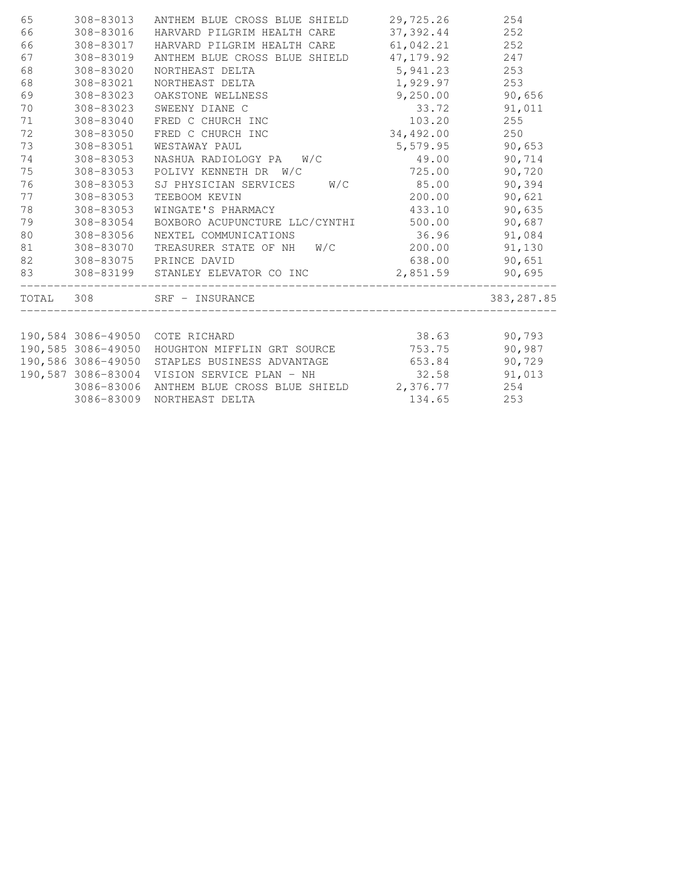| 65 | 308-83013  | ANTHEM BLUE CROSS BLUE SHIELD 29,725.26                                                     |              | 254         |
|----|------------|---------------------------------------------------------------------------------------------|--------------|-------------|
| 66 | 308-83016  | HARVARD PILGRIM HEALTH CARE                                                                 | 37,392.44    | 252         |
| 66 | 308-83017  | HARVARD PILGRIM HEALTH CARE                                                                 | 61,042.21    | 252         |
| 67 | 308-83019  | ANTHEM BLUE CROSS BLUE SHIELD                                                               | 47, 179.92   | 247         |
| 68 | 308-83020  | NORTHEAST DELTA                                                                             | 5,941.23     | 253         |
| 68 | 308-83021  | NORTHEAST DELTA                                                                             | 1,929.97     | 253         |
| 69 | 308-83023  | OAKSTONE WELLNESS                                                                           | 9,250.00     | 90,656      |
| 70 | 308-83023  | SWEENY DIANE C                                                                              | 33.72        | 91,011      |
| 71 | 308-83040  | FRED C CHURCH INC                                                                           | 103.20       | 255         |
| 72 | 308-83050  | FRED C CHURCH INC                                                                           | 34,492.00    | 250         |
| 73 | 308-83051  | WESTAWAY PAUL                                                                               | 5,579.95     | 90,653      |
| 74 | 308-83053  | NASHUA RADIOLOGY PA W/C                                                                     | 49.00        | 90,714      |
| 75 | 308-83053  | POLIVY KENNETH DR W/C                                                                       | 725.00       | 90,720      |
| 76 | 308-83053  | SJ PHYSICIAN SERVICES W/C                                                                   | 85.00        | 90,394      |
| 77 | 308-83053  | TEEBOOM KEVIN                                                                               | 200.00       | 90,621      |
| 78 | 308-83053  | WINGATE'S PHARMACY                                                                          | 433.10       | 90,635      |
| 79 | 308-83054  | BOXBORO ACUPUNCTURE LLC/CYNTHI 500.00                                                       |              | 90,687      |
| 80 | 308-83056  | NEXTEL COMMUNICATIONS                                                                       | 36.96        | 91,084      |
| 81 | 308-83070  | TREASURER STATE OF NH W/C 200.00                                                            |              | 91,130      |
| 82 |            | 308-83075 PRINCE DAVID                                                                      | 638.00       | 90,651      |
| 83 |            | 308-83199 STANLEY ELEVATOR CO INC $2,851.59$ 90,695<br>____________________________________ |              |             |
|    |            | TOTAL 308 SRF - INSURANCE                                                                   |              | 383, 287.85 |
|    |            |                                                                                             |              |             |
|    |            | 190,584 3086-49050 COTE RICHARD                                                             | 38.63 90,793 |             |
|    |            | 190,585 3086-49050 HOUGHTON MIFFLIN GRT SOURCE 753.75                                       |              | 90,987      |
|    |            | 190,586 3086-49050 STAPLES BUSINESS ADVANTAGE                                               | 653.84       | 90,729      |
|    |            | 190,587 3086-83004 VISION SERVICE PLAN - NH                                                 | 32.58        | 91,013      |
|    |            | 3086-83006 ANTHEM BLUE CROSS BLUE SHIELD 2,376.77                                           |              | 254         |
|    | 3086-83009 | NORTHEAST DELTA                                                                             | 134.65       | 253         |
|    |            |                                                                                             |              |             |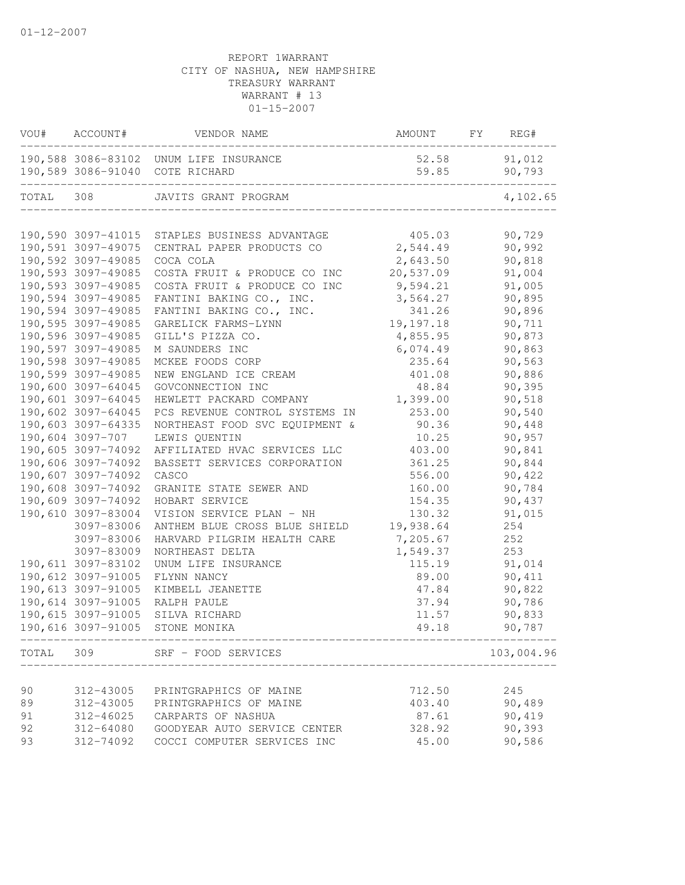| VOU#      | ACCOUNT#           | VENDOR NAME                                   | AMOUNT      | FY | REG#       |
|-----------|--------------------|-----------------------------------------------|-------------|----|------------|
|           |                    | 190,588 3086-83102 UNUM LIFE INSURANCE        | 52.58       |    | 91,012     |
|           |                    | 190,589 3086-91040 COTE RICHARD               | 59.85       |    | 90,793     |
| TOTAL     | 308                | JAVITS GRANT PROGRAM                          |             |    | 4,102.65   |
|           |                    |                                               |             |    |            |
|           |                    | 190,590 3097-41015 STAPLES BUSINESS ADVANTAGE | 405.03      |    | 90,729     |
|           | 190,591 3097-49075 | CENTRAL PAPER PRODUCTS CO                     | 2,544.49    |    | 90,992     |
|           | 190,592 3097-49085 | COCA COLA                                     | 2,643.50    |    | 90,818     |
|           | 190,593 3097-49085 | COSTA FRUIT & PRODUCE CO INC                  | 20,537.09   |    | 91,004     |
|           | 190,593 3097-49085 | COSTA FRUIT & PRODUCE CO INC                  | 9,594.21    |    | 91,005     |
|           | 190,594 3097-49085 | FANTINI BAKING CO., INC.                      | 3,564.27    |    | 90,895     |
|           | 190,594 3097-49085 | FANTINI BAKING CO., INC.                      | 341.26      |    | 90,896     |
|           | 190,595 3097-49085 | GARELICK FARMS-LYNN                           | 19, 197. 18 |    | 90,711     |
|           | 190,596 3097-49085 | GILL'S PIZZA CO.                              | 4,855.95    |    | 90,873     |
|           | 190,597 3097-49085 | M SAUNDERS INC                                | 6,074.49    |    | 90,863     |
|           | 190,598 3097-49085 | MCKEE FOODS CORP                              | 235.64      |    | 90,563     |
|           | 190,599 3097-49085 | NEW ENGLAND ICE CREAM                         | 401.08      |    | 90,886     |
|           | 190,600 3097-64045 | GOVCONNECTION INC                             | 48.84       |    | 90,395     |
|           | 190,601 3097-64045 | HEWLETT PACKARD COMPANY                       | 1,399.00    |    | 90,518     |
|           | 190,602 3097-64045 | PCS REVENUE CONTROL SYSTEMS IN                | 253.00      |    | 90,540     |
|           | 190,603 3097-64335 | NORTHEAST FOOD SVC EQUIPMENT &                | 90.36       |    | 90,448     |
|           | 190,604 3097-707   | LEWIS QUENTIN                                 | 10.25       |    | 90,957     |
|           | 190,605 3097-74092 | AFFILIATED HVAC SERVICES LLC                  | 403.00      |    | 90,841     |
|           | 190,606 3097-74092 | BASSETT SERVICES CORPORATION                  | 361.25      |    | 90,844     |
|           | 190,607 3097-74092 | CASCO                                         | 556.00      |    | 90,422     |
|           | 190,608 3097-74092 | GRANITE STATE SEWER AND                       | 160.00      |    | 90,784     |
|           | 190,609 3097-74092 | HOBART SERVICE                                | 154.35      |    | 90,437     |
|           | 190,610 3097-83004 | VISION SERVICE PLAN - NH                      | 130.32      |    | 91,015     |
|           | 3097-83006         | ANTHEM BLUE CROSS BLUE SHIELD                 | 19,938.64   |    | 254        |
|           | 3097-83006         | HARVARD PILGRIM HEALTH CARE                   | 7,205.67    |    | 252        |
|           | 3097-83009         | NORTHEAST DELTA                               | 1,549.37    |    | 253        |
|           | 190,611 3097-83102 | UNUM LIFE INSURANCE                           | 115.19      |    | 91,014     |
|           | 190,612 3097-91005 | FLYNN NANCY                                   | 89.00       |    | 90,411     |
|           | 190,613 3097-91005 | KIMBELL JEANETTE                              | 47.84       |    | 90,822     |
|           | 190,614 3097-91005 | RALPH PAULE                                   | 37.94       |    | 90,786     |
|           | 190,615 3097-91005 | SILVA RICHARD                                 | 11.57       |    | 90,833     |
|           | 190,616 3097-91005 | STONE MONIKA                                  | 49.18       |    | 90,787     |
| TOTAL 309 |                    | SRF - FOOD SERVICES                           |             |    | 103,004.96 |
|           |                    |                                               |             |    |            |
| 90        | 312-43005          | PRINTGRAPHICS OF MAINE                        | 712.50      |    | 245        |
| 89        | 312-43005          | PRINTGRAPHICS OF MAINE                        | 403.40      |    | 90,489     |
| 91        | 312-46025          | CARPARTS OF NASHUA                            | 87.61       |    | 90,419     |
| 92        | 312-64080          | GOODYEAR AUTO SERVICE CENTER                  | 328.92      |    | 90,393     |
| 93        | 312-74092          | COCCI COMPUTER SERVICES INC                   | 45.00       |    | 90,586     |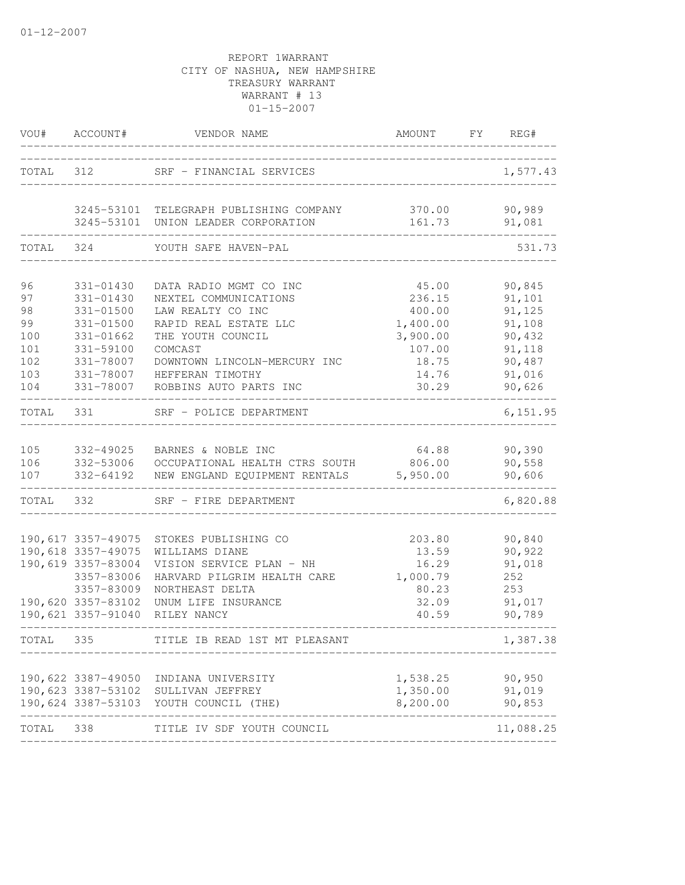|                                                         | VOU# ACCOUNT#                                                                                                                          | VENDOR NAME<br>____________                                                                                                                                                                                 | AMOUNT FY REG#                                                                         |                                                                                        |
|---------------------------------------------------------|----------------------------------------------------------------------------------------------------------------------------------------|-------------------------------------------------------------------------------------------------------------------------------------------------------------------------------------------------------------|----------------------------------------------------------------------------------------|----------------------------------------------------------------------------------------|
| TOTAL 312                                               |                                                                                                                                        | SRF - FINANCIAL SERVICES                                                                                                                                                                                    |                                                                                        | 1,577.43                                                                               |
|                                                         |                                                                                                                                        | 3245-53101 TELEGRAPH PUBLISHING COMPANY<br>3245-53101 UNION LEADER CORPORATION                                                                                                                              | 161.73                                                                                 | 370.00 90,989<br>91,081                                                                |
| TOTAL                                                   | 324                                                                                                                                    | YOUTH SAFE HAVEN-PAL                                                                                                                                                                                        |                                                                                        | 531.73                                                                                 |
| 96<br>97<br>98<br>99<br>100<br>101<br>102<br>103<br>104 | 331-01430<br>331-01430<br>331-01500<br>331-01500<br>331-01662<br>331-59100<br>331-78007<br>331-78007<br>331-78007                      | DATA RADIO MGMT CO INC<br>NEXTEL COMMUNICATIONS<br>LAW REALTY CO INC<br>RAPID REAL ESTATE LLC<br>THE YOUTH COUNCIL<br>COMCAST<br>DOWNTOWN LINCOLN-MERCURY INC<br>HEFFERAN TIMOTHY<br>ROBBINS AUTO PARTS INC | 45.00<br>236.15<br>400.00<br>1,400.00<br>3,900.00<br>107.00<br>18.75<br>14.76<br>30.29 | 90,845<br>91,101<br>91,125<br>91,108<br>90,432<br>91,118<br>90,487<br>91,016<br>90,626 |
| TOTAL 331                                               |                                                                                                                                        | SRF - POLICE DEPARTMENT                                                                                                                                                                                     |                                                                                        | 6, 151.95                                                                              |
| 105<br>106<br>107<br>TOTAL                              | 332-49025<br>332-64192<br>332                                                                                                          | BARNES & NOBLE INC<br>332-53006 OCCUPATIONAL HEALTH CTRS SOUTH 806.00<br>NEW ENGLAND EQUIPMENT RENTALS 5,950.00<br>SRF - FIRE DEPARTMENT                                                                    | 64.88                                                                                  | 90,390<br>90,558<br>90,606<br>6,820.88                                                 |
|                                                         | 190,617 3357-49075<br>190,618 3357-49075<br>190,619 3357-83004<br>3357-83006<br>3357-83009<br>190,620 3357-83102<br>190,621 3357-91040 | STOKES PUBLISHING CO<br>WILLIAMS DIANE<br>VISION SERVICE PLAN - NH<br>HARVARD PILGRIM HEALTH CARE<br>NORTHEAST DELTA<br>UNUM LIFE INSURANCE<br>RILEY NANCY                                                  | 203.80<br>13.59<br>16.29<br>1,000.79<br>80.23<br>32.09<br>40.59                        | 90,840<br>90,922<br>91,018<br>252<br>253<br>91,017<br>90,789                           |
| TOTAL                                                   | 335                                                                                                                                    | TITLE IB READ 1ST MT PLEASANT                                                                                                                                                                               |                                                                                        | 1,387.38                                                                               |
|                                                         |                                                                                                                                        | 190,622 3387-49050 INDIANA UNIVERSITY<br>190,623 3387-53102 SULLIVAN JEFFREY<br>190,624 3387-53103 YOUTH COUNCIL (THE)                                                                                      | 1,538.25 90,950<br>1,350.00 91,019<br>8,200.00 90,853                                  |                                                                                        |
| TOTAL                                                   | 338                                                                                                                                    | TITLE IV SDF YOUTH COUNCIL                                                                                                                                                                                  |                                                                                        | 11,088.25                                                                              |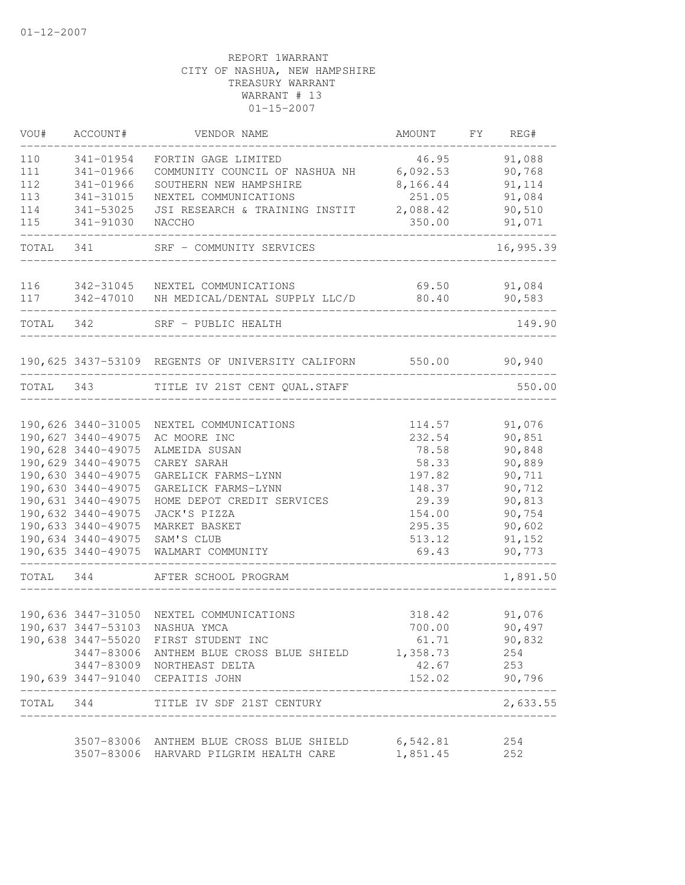| VOU#      | ACCOUNT#                                 | VENDOR NAME                                        | AMOUNT          | FY | REG#             |
|-----------|------------------------------------------|----------------------------------------------------|-----------------|----|------------------|
| 110       | 341-01954                                | FORTIN GAGE LIMITED                                | 46.95           |    | 91,088           |
| 111       | 341-01966                                | COMMUNITY COUNCIL OF NASHUA NH 6,092.53            |                 |    | 90,768           |
| 112       | 341-01966                                | SOUTHERN NEW HAMPSHIRE                             | 8,166.44        |    | 91,114           |
| 113       | 341-31015                                | NEXTEL COMMUNICATIONS                              | 251.05          |    | 91,084           |
| 114       | 341-53025                                | JSI RESEARCH & TRAINING INSTIT                     | 2,088.42        |    | 90,510           |
| 115       | 341-91030                                | NACCHO                                             | 350.00          |    | 91,071           |
| TOTAL 341 |                                          | SRF - COMMUNITY SERVICES                           |                 |    | 16,995.39        |
| 116       | 342-31045                                | NEXTEL COMMUNICATIONS                              | 69.50           |    | 91,084           |
| 117       | 342-47010                                | NH MEDICAL/DENTAL SUPPLY LLC/D                     | 80.40           |    | 90,583           |
| TOTAL 342 |                                          | SRF - PUBLIC HEALTH                                |                 |    | 149.90           |
|           |                                          | 190,625 3437-53109 REGENTS OF UNIVERSITY CALIFORN  | 550.00          |    | 90,940           |
|           |                                          | TOTAL 343 TITLE IV 21ST CENT QUAL.STAFF            |                 |    | 550.00           |
|           |                                          |                                                    |                 |    |                  |
|           | 190,626 3440-31005                       | NEXTEL COMMUNICATIONS                              | 114.57          |    | 91,076           |
|           | 190,627 3440-49075                       | AC MOORE INC                                       | 232.54          |    | 90,851           |
|           | 190,628 3440-49075                       | ALMEIDA SUSAN                                      | 78.58           |    | 90,848           |
|           | 190,629 3440-49075                       | CAREY SARAH                                        | 58.33           |    | 90,889           |
|           | 190,630 3440-49075                       | GARELICK FARMS-LYNN                                | 197.82          |    | 90,711           |
|           | 190,630 3440-49075<br>190,631 3440-49075 | GARELICK FARMS-LYNN                                | 148.37          |    | 90,712<br>90,813 |
|           |                                          | HOME DEPOT CREDIT SERVICES                         | 29.39           |    |                  |
|           | 190,632 3440-49075                       | JACK'S PIZZA                                       | 154.00          |    | 90,754           |
|           | 190,633 3440-49075                       | MARKET BASKET                                      | 295.35          |    | 90,602           |
|           | 190,635 3440-49075                       | 190,634 3440-49075 SAM'S CLUB<br>WALMART COMMUNITY | 513.12<br>69.43 |    | 91,152<br>90,773 |
| TOTAL 344 |                                          | AFTER SCHOOL PROGRAM                               |                 |    | 1,891.50         |
|           |                                          |                                                    |                 |    |                  |
|           |                                          | 190,636 3447-31050 NEXTEL COMMUNICATIONS           | 318.42          |    | 91,076           |
|           |                                          | 190,637 3447-53103 NASHUA YMCA                     | 700.00          |    | 90,497           |
|           |                                          | 190,638 3447-55020 FIRST STUDENT INC               | 61.71           |    | 90,832           |
|           |                                          | 3447-83006 ANTHEM BLUE CROSS BLUE SHIELD 1,358.73  |                 |    | 254              |
|           |                                          | 3447-83009 NORTHEAST DELTA                         | 42.67           |    | 253              |
|           |                                          | 190,639 3447-91040 CEPAITIS JOHN                   | 152.02          |    | 90,796           |
| TOTAL 344 |                                          | TITLE IV SDF 21ST CENTURY                          |                 |    | 2,633.55         |
|           |                                          | 3507-83006 ANTHEM BLUE CROSS BLUE SHIELD 6,542.81  |                 |    | 254              |
|           |                                          | 3507-83006 HARVARD PILGRIM HEALTH CARE             | 1,851.45        |    | 252              |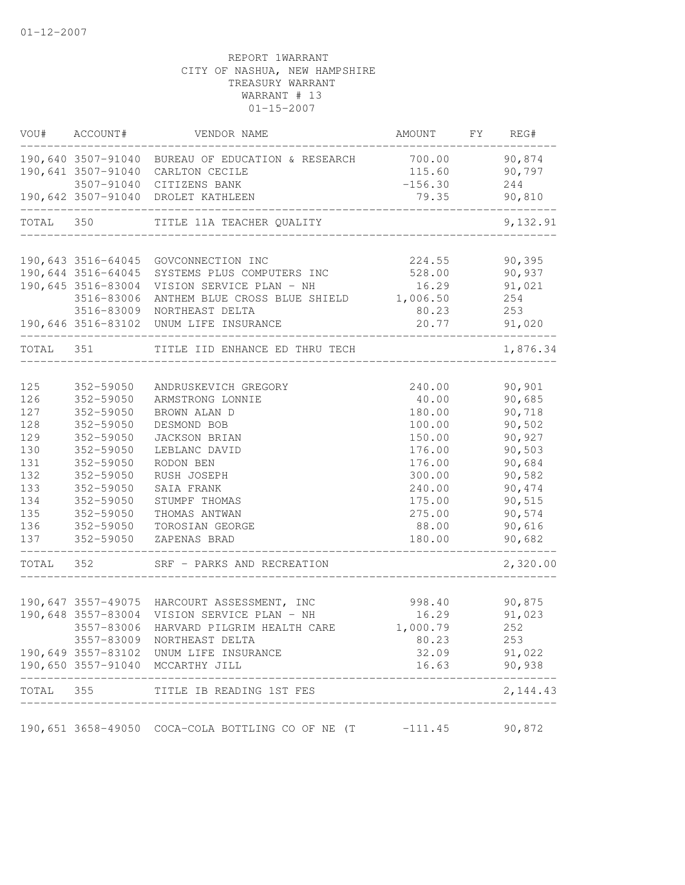|           | VOU# ACCOUNT#                  | VENDOR NAME                                                        | AMOUNT FY REG#                |           |
|-----------|--------------------------------|--------------------------------------------------------------------|-------------------------------|-----------|
|           |                                | 190,640 3507-91040 BUREAU OF EDUCATION & RESEARCH 700.00 90,874    |                               |           |
|           |                                | 190,641 3507-91040 CARLTON CECILE                                  | 115.60                        | 90,797    |
|           |                                | 3507-91040 CITIZENS BANK                                           | $-156.30$                     | 244       |
|           | ------------------------------ | 190,642 3507-91040 DROLET KATHLEEN                                 | 79.35                         | 90,810    |
| TOTAL 350 |                                | TITLE 11A TEACHER QUALITY                                          | _____________________________ | 9,132.91  |
|           |                                |                                                                    |                               |           |
|           |                                | 190,643 3516-64045 GOVCONNECTION INC                               | 224.55                        | 90, 395   |
|           | 190,644 3516-64045             | SYSTEMS PLUS COMPUTERS INC                                         | 528.00                        | 90,937    |
|           | 190,645 3516-83004             | VISION SERVICE PLAN - NH<br>ANTHEM BLUE CROSS BLUE SHIELD 1,006.50 | 16.29                         | 91,021    |
|           | 3516-83006                     |                                                                    |                               | 254       |
|           | 3516-83009                     | NORTHEAST DELTA                                                    | 80.23                         | 253       |
|           |                                | 190,646 3516-83102 UNUM LIFE INSURANCE                             | 20.77                         | 91,020    |
| TOTAL 351 |                                | TITLE IID ENHANCE ED THRU TECH                                     |                               | 1,876.34  |
|           |                                |                                                                    |                               |           |
| 125       | 352-59050                      | ANDRUSKEVICH GREGORY                                               | 240.00                        | 90,901    |
| 126       | 352-59050                      | ARMSTRONG LONNIE                                                   | 40.00                         | 90,685    |
| 127       | 352-59050                      | BROWN ALAN D                                                       | 180.00                        | 90,718    |
| 128       | 352-59050                      | DESMOND BOB                                                        | 100.00                        | 90,502    |
| 129       | 352-59050                      | <b>JACKSON BRIAN</b>                                               | 150.00                        | 90,927    |
| 130       | 352-59050                      | LEBLANC DAVID                                                      | 176.00                        | 90,503    |
| 131       | 352-59050                      | RODON BEN                                                          | 176.00                        | 90,684    |
| 132       | 352-59050                      | RUSH JOSEPH                                                        | 300.00                        | 90,582    |
| 133       | 352-59050                      | SAIA FRANK                                                         | 240.00                        | 90,474    |
| 134       | 352-59050                      | STUMPF THOMAS                                                      | 175.00                        | 90,515    |
| 135       | 352-59050                      | THOMAS ANTWAN                                                      | 275.00                        | 90,574    |
| 136       | 352-59050                      | TOROSIAN GEORGE                                                    | 88.00                         | 90,616    |
|           | 137 352-59050                  | ZAPENAS BRAD                                                       | 180.00                        | 90,682    |
| TOTAL 352 |                                | SRF - PARKS AND RECREATION                                         |                               | 2,320.00  |
|           |                                |                                                                    |                               |           |
|           |                                | 190,647 3557-49075 HARCOURT ASSESSMENT, INC                        | 998.40 90,875                 |           |
|           |                                | 190,648 3557-83004 VISION SERVICE PLAN - NH                        | 16.29                         | 91,023    |
|           |                                | 3557-83006 HARVARD PILGRIM HEALTH CARE                             | 1,000.79                      | 252       |
|           |                                | 3557-83009 NORTHEAST DELTA                                         | 80.23                         | 253       |
|           |                                | 190,649 3557-83102 UNUM LIFE INSURANCE                             | 32.09                         | 91,022    |
|           |                                | 190,650 3557-91040 MCCARTHY JILL                                   | 16.63                         | 90,938    |
| TOTAL     | 355                            | TITLE IB READING 1ST FES                                           |                               | 2, 144.43 |
|           |                                | 190,651 3658-49050 COCA-COLA BOTTLING CO OF NE (T                  | $-111.45$                     | 90,872    |
|           |                                |                                                                    |                               |           |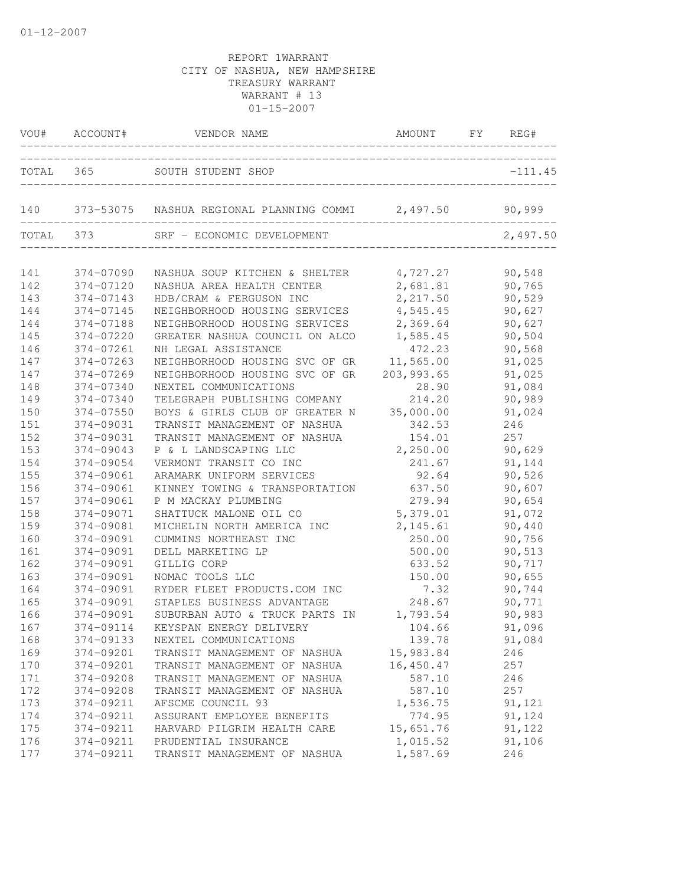|     |           | VOU# ACCOUNT# VENDOR NAME AMOUNT FY REGENERS:                | AMOUNT FY REG# |           |
|-----|-----------|--------------------------------------------------------------|----------------|-----------|
|     |           | TOTAL 365 SOUTH STUDENT SHOP                                 |                | $-111.45$ |
|     |           | 140 373-53075 NASHUA REGIONAL PLANNING COMMI 2,497.50 90,999 |                |           |
|     | TOTAL 373 | SRF - ECONOMIC DEVELOPMENT                                   |                | 2,497.50  |
| 141 | 374-07090 | NASHUA SOUP KITCHEN & SHELTER 4,727.27                       |                | 90,548    |
| 142 | 374-07120 | NASHUA AREA HEALTH CENTER                                    | 2,681.81       | 90,765    |
| 143 | 374-07143 | HDB/CRAM & FERGUSON INC                                      | 2, 217.50      | 90,529    |
| 144 | 374-07145 | NEIGHBORHOOD HOUSING SERVICES 4,545.45                       |                | 90,627    |
| 144 | 374-07188 | NEIGHBORHOOD HOUSING SERVICES 2,369.64                       |                | 90,627    |
| 145 | 374-07220 | GREATER NASHUA COUNCIL ON ALCO 1,585.45                      |                | 90,504    |
| 146 | 374-07261 | NH LEGAL ASSISTANCE                                          | 472.23         | 90,568    |
| 147 | 374-07263 | NEIGHBORHOOD HOUSING SVC OF GR                               | 11,565.00      | 91,025    |
| 147 | 374-07269 | NEIGHBORHOOD HOUSING SVC OF GR                               | 203, 993.65    | 91,025    |
| 148 | 374-07340 | NEXTEL COMMUNICATIONS                                        | 28.90          | 91,084    |
| 149 | 374-07340 | TELEGRAPH PUBLISHING COMPANY                                 | 214.20         | 90,989    |
| 150 | 374-07550 | BOYS & GIRLS CLUB OF GREATER N                               | 35,000.00      | 91,024    |
| 151 | 374-09031 | TRANSIT MANAGEMENT OF NASHUA                                 | 342.53         | 246       |
| 152 | 374-09031 | TRANSIT MANAGEMENT OF NASHUA                                 | 154.01         | 257       |
| 153 | 374-09043 | P & L LANDSCAPING LLC                                        | 2,250.00       | 90,629    |
| 154 | 374-09054 | VERMONT TRANSIT CO INC                                       | 241.67         | 91,144    |
| 155 | 374-09061 | ARAMARK UNIFORM SERVICES                                     | 92.64          | 90,526    |
| 156 | 374-09061 | KINNEY TOWING & TRANSPORTATION                               | 637.50         | 90,607    |
| 157 | 374-09061 | P M MACKAY PLUMBING                                          | 279.94         | 90,654    |
| 158 | 374-09071 | SHATTUCK MALONE OIL CO                                       | 5,379.01       | 91,072    |
| 159 | 374-09081 | MICHELIN NORTH AMERICA INC                                   | 2, 145.61      | 90,440    |
| 160 | 374-09091 | CUMMINS NORTHEAST INC                                        | 250.00         | 90,756    |
| 161 | 374-09091 | DELL MARKETING LP                                            | 500.00         | 90,513    |
| 162 | 374-09091 | GILLIG CORP                                                  | 633.52         | 90,717    |
| 163 | 374-09091 | NOMAC TOOLS LLC                                              | 150.00         | 90,655    |
| 164 | 374-09091 | RYDER FLEET PRODUCTS.COM INC                                 | 7.32           | 90,744    |
| 165 | 374-09091 | STAPLES BUSINESS ADVANTAGE                                   | 248.67         | 90,771    |
| 166 | 374-09091 | SUBURBAN AUTO & TRUCK PARTS IN 1,793.54                      |                | 90,983    |
| 167 | 374-09114 | KEYSPAN ENERGY DELIVERY                                      | 104.66         | 91,096    |
| 168 | 374-09133 | NEXTEL COMMUNICATIONS                                        | 139.78         | 91,084    |
| 169 | 374-09201 | TRANSIT MANAGEMENT OF NASHUA                                 | 15,983.84      | 246       |
| 170 | 374-09201 | TRANSIT MANAGEMENT OF NASHUA                                 | 16,450.47      | 257       |
| 171 | 374-09208 | TRANSIT MANAGEMENT OF NASHUA                                 | 587.10         | 246       |
| 172 | 374-09208 | TRANSIT MANAGEMENT OF NASHUA                                 | 587.10         | 257       |
| 173 | 374-09211 | AFSCME COUNCIL 93                                            | 1,536.75       | 91,121    |
| 174 | 374-09211 | ASSURANT EMPLOYEE BENEFITS                                   | 774.95         | 91,124    |
| 175 | 374-09211 | HARVARD PILGRIM HEALTH CARE                                  | 15,651.76      | 91,122    |
| 176 | 374-09211 | PRUDENTIAL INSURANCE                                         | 1,015.52       | 91,106    |
| 177 | 374-09211 | TRANSIT MANAGEMENT OF NASHUA                                 | 1,587.69       | 246       |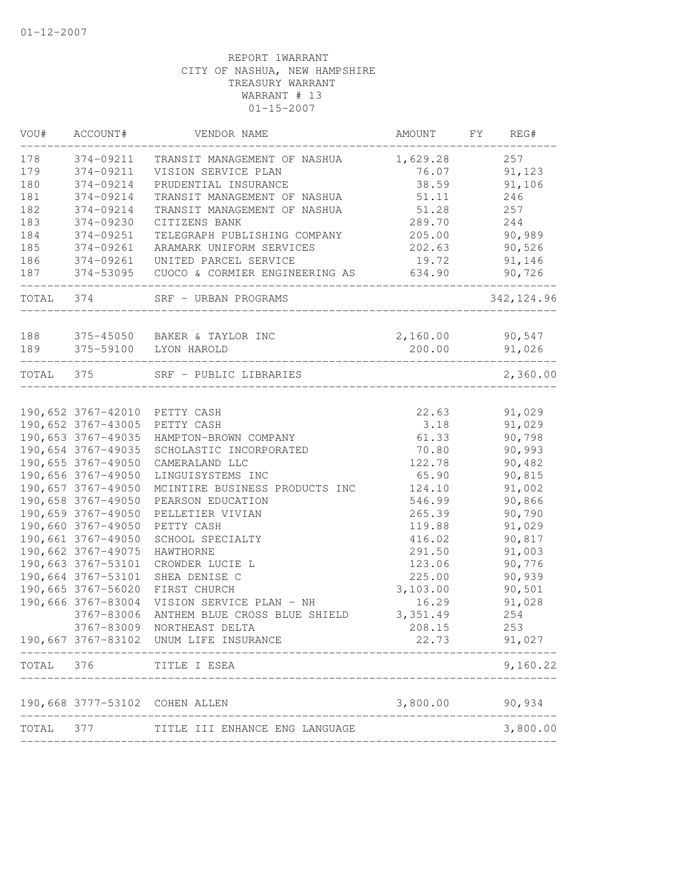| VOU#      | ACCOUNT#           | VENDOR NAME                                 | AMOUNT   | FY | REG#        |
|-----------|--------------------|---------------------------------------------|----------|----|-------------|
| 178       | 374-09211          | TRANSIT MANAGEMENT OF NASHUA                | 1,629.28 |    | 257         |
| 179       | 374-09211          | VISION SERVICE PLAN                         | 76.07    |    | 91,123      |
| 180       | 374-09214          | PRUDENTIAL INSURANCE                        | 38.59    |    | 91,106      |
| 181       | 374-09214          | TRANSIT MANAGEMENT OF NASHUA                | 51.11    |    | 246         |
| 182       | 374-09214          | TRANSIT MANAGEMENT OF NASHUA                | 51.28    |    | 257         |
| 183       | 374-09230          | CITIZENS BANK                               | 289.70   |    | 244         |
| 184       | 374-09251          | TELEGRAPH PUBLISHING COMPANY                | 205.00   |    | 90,989      |
| 185       | 374-09261          | ARAMARK UNIFORM SERVICES                    | 202.63   |    | 90,526      |
| 186       | 374-09261          | UNITED PARCEL SERVICE                       | 19.72    |    | 91,146      |
| 187       | 374-53095          | CUOCO & CORMIER ENGINEERING AS              | 634.90   |    | 90,726      |
| TOTAL     | 374                | SRF - URBAN PROGRAMS                        |          |    | 342, 124.96 |
| 188       |                    |                                             | 2,160.00 |    | 90,547      |
| 189       | 375-59100          | 375-45050 BAKER & TAYLOR INC<br>LYON HAROLD | 200.00   |    | 91,026      |
|           |                    |                                             |          |    |             |
| TOTAL 375 |                    | SRF - PUBLIC LIBRARIES                      |          |    | 2,360.00    |
|           |                    |                                             |          |    |             |
|           |                    | 190,652 3767-42010 PETTY CASH               | 22.63    |    | 91,029      |
|           | 190,652 3767-43005 | PETTY CASH                                  | 3.18     |    | 91,029      |
|           | 190,653 3767-49035 | HAMPTON-BROWN COMPANY                       | 61.33    |    | 90,798      |
|           | 190,654 3767-49035 | SCHOLASTIC INCORPORATED                     | 70.80    |    | 90,993      |
|           | 190,655 3767-49050 | CAMERALAND LLC                              | 122.78   |    | 90,482      |
|           | 190,656 3767-49050 | LINGUISYSTEMS INC                           | 65.90    |    | 90,815      |
|           | 190,657 3767-49050 | MCINTIRE BUSINESS PRODUCTS INC              | 124.10   |    | 91,002      |
|           | 190,658 3767-49050 | PEARSON EDUCATION                           | 546.99   |    | 90,866      |
|           | 190,659 3767-49050 | PELLETIER VIVIAN                            | 265.39   |    | 90,790      |
|           | 190,660 3767-49050 | PETTY CASH                                  | 119.88   |    | 91,029      |
|           | 190,661 3767-49050 | SCHOOL SPECIALTY                            | 416.02   |    | 90,817      |
|           | 190,662 3767-49075 | HAWTHORNE                                   | 291.50   |    | 91,003      |
|           | 190,663 3767-53101 | CROWDER LUCIE L                             | 123.06   |    | 90,776      |
|           | 190,664 3767-53101 | SHEA DENISE C                               | 225.00   |    | 90,939      |
|           | 190,665 3767-56020 | FIRST CHURCH                                | 3,103.00 |    | 90,501      |
|           | 190,666 3767-83004 | VISION SERVICE PLAN - NH                    | 16.29    |    | 91,028      |
|           | 3767-83006         | ANTHEM BLUE CROSS BLUE SHIELD               | 3,351.49 |    | 254         |
|           | 3767-83009         | NORTHEAST DELTA                             | 208.15   |    | 253         |
|           |                    | 190,667 3767-83102 UNUM LIFE INSURANCE      | 22.73    |    | 91,027      |
| TOTAL     | 376                | TITLE I ESEA                                |          |    | 9,160.22    |
|           |                    | 190,668 3777-53102 COHEN ALLEN              | 3,800.00 |    | 90,934      |
| TOTAL     | 377                | TITLE III ENHANCE ENG LANGUAGE              |          |    | 3,800.00    |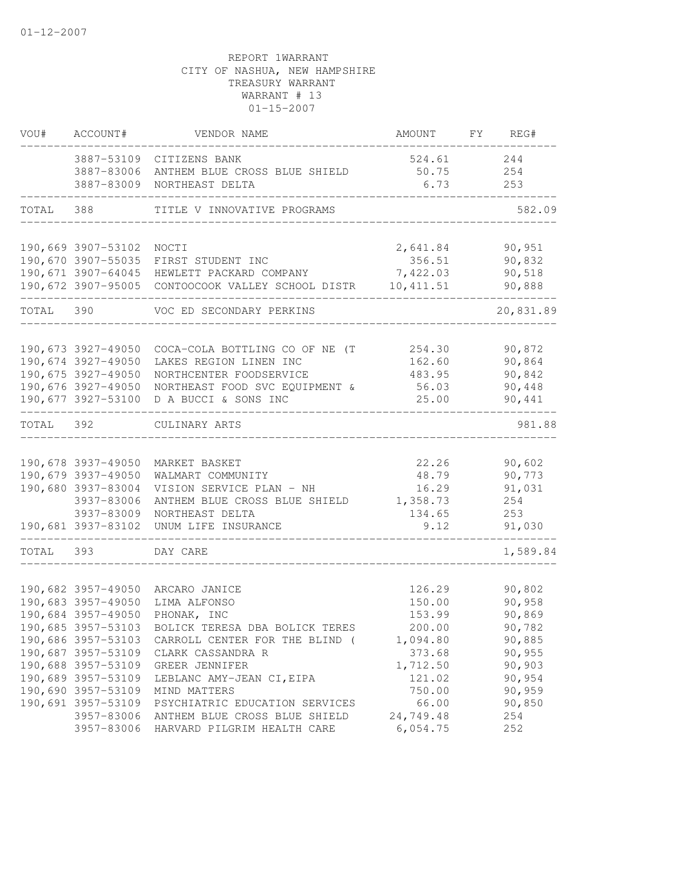| VOU#      | ACCOUNT#                                                                                                                                                                           | VENDOR NAME                                                                                                                                                                                                                                                                                                                                                     | AMOUNT                                                                                                                       | FY REG#                                                                                                        |
|-----------|------------------------------------------------------------------------------------------------------------------------------------------------------------------------------------|-----------------------------------------------------------------------------------------------------------------------------------------------------------------------------------------------------------------------------------------------------------------------------------------------------------------------------------------------------------------|------------------------------------------------------------------------------------------------------------------------------|----------------------------------------------------------------------------------------------------------------|
|           |                                                                                                                                                                                    | 3887-53109 CITIZENS BANK<br>3887-83006 ANTHEM BLUE CROSS BLUE SHIELD<br>3887-83009 NORTHEAST DELTA                                                                                                                                                                                                                                                              | 524.61<br>50.75<br>6.73                                                                                                      | 244<br>254<br>253                                                                                              |
| TOTAL     | 388                                                                                                                                                                                | TITLE V INNOVATIVE PROGRAMS                                                                                                                                                                                                                                                                                                                                     |                                                                                                                              | 582.09                                                                                                         |
|           |                                                                                                                                                                                    |                                                                                                                                                                                                                                                                                                                                                                 |                                                                                                                              |                                                                                                                |
|           | 190,669 3907-53102 NOCTI                                                                                                                                                           | 190,670 3907-55035 FIRST STUDENT INC<br>190,671 3907-64045 HEWLETT PACKARD COMPANY<br>190,672 3907-95005 CONTOOCOOK VALLEY SCHOOL DISTR                                                                                                                                                                                                                         | 2,641.84<br>356.51<br>7,422.03<br>10, 411.51                                                                                 | 90,951<br>90,832<br>90,518<br>90,888                                                                           |
| TOTAL     | 390                                                                                                                                                                                | VOC ED SECONDARY PERKINS                                                                                                                                                                                                                                                                                                                                        |                                                                                                                              | 20,831.89                                                                                                      |
|           | 190,673 3927-49050<br>190,674 3927-49050<br>190,675 3927-49050<br>190,676 3927-49050                                                                                               | COCA-COLA BOTTLING CO OF NE (T<br>LAKES REGION LINEN INC<br>NORTHCENTER FOODSERVICE<br>NORTHEAST FOOD SVC EQUIPMENT &<br>190,677 3927-53100 D A BUCCI & SONS INC                                                                                                                                                                                                | 254.30<br>162.60<br>483.95<br>56.03<br>25.00                                                                                 | 90,872<br>90,864<br>90,842<br>90,448<br>90,441                                                                 |
| TOTAL 392 |                                                                                                                                                                                    | CULINARY ARTS                                                                                                                                                                                                                                                                                                                                                   |                                                                                                                              | 981.88                                                                                                         |
|           | 190,679 3937-49050<br>190,680 3937-83004<br>3937-83006<br>3937-83009<br>190,681 3937-83102                                                                                         | 190,678 3937-49050 MARKET BASKET<br>WALMART COMMUNITY<br>VISION SERVICE PLAN - NH<br>ANTHEM BLUE CROSS BLUE SHIELD<br>NORTHEAST DELTA<br>UNUM LIFE INSURANCE                                                                                                                                                                                                    | 22.26<br>48.79<br>16.29<br>1,358.73<br>134.65<br>9.12                                                                        | 90,602<br>90,773<br>91,031<br>254<br>253<br>91,030                                                             |
| TOTAL     | 393                                                                                                                                                                                | DAY CARE                                                                                                                                                                                                                                                                                                                                                        |                                                                                                                              | 1,589.84                                                                                                       |
|           | 190,684 3957-49050<br>190,686 3957-53103<br>190,687 3957-53109<br>190,688 3957-53109<br>190,689 3957-53109<br>190,690 3957-53109<br>190,691 3957-53109<br>3957-83006<br>3957-83006 | 190,682 3957-49050 ARCARO JANICE<br>190,683 3957-49050 LIMA ALFONSO<br>PHONAK, INC<br>190,685 3957-53103 BOLICK TERESA DBA BOLICK TERES<br>CARROLL CENTER FOR THE BLIND (<br>CLARK CASSANDRA R<br>GREER JENNIFER<br>LEBLANC AMY-JEAN CI, EIPA<br>MIND MATTERS<br>PSYCHIATRIC EDUCATION SERVICES<br>ANTHEM BLUE CROSS BLUE SHIELD<br>HARVARD PILGRIM HEALTH CARE | 126.29<br>150.00<br>153.99<br>200.00<br>1,094.80<br>373.68<br>1,712.50<br>121.02<br>750.00<br>66.00<br>24,749.48<br>6,054.75 | 90,802<br>90,958<br>90,869<br>90,782<br>90,885<br>90,955<br>90,903<br>90,954<br>90,959<br>90,850<br>254<br>252 |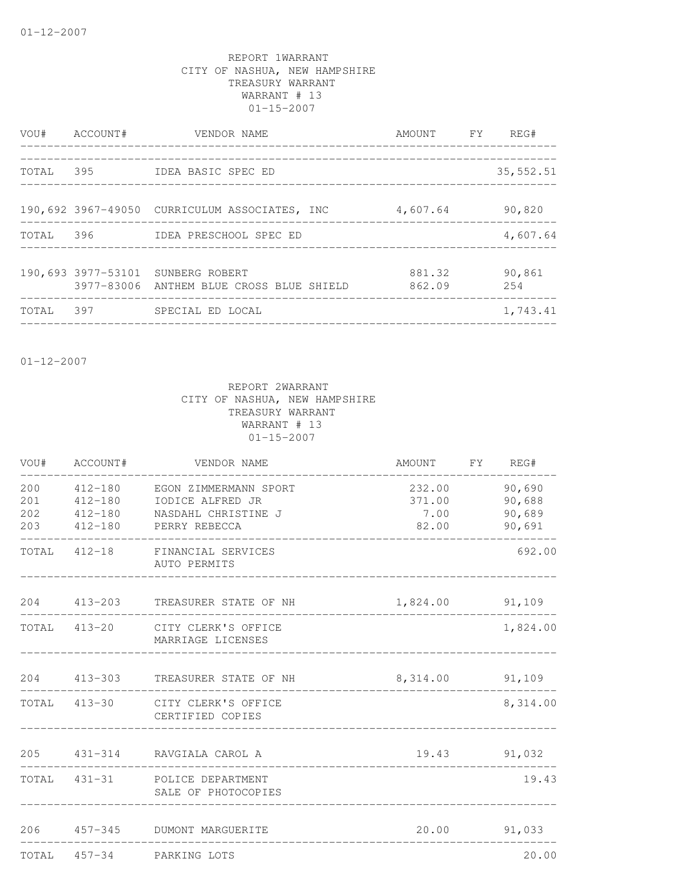| VOU#  | ACCOUNT# | VENDOR NAME                                                                   | AMOUNT FY        | REG#          |
|-------|----------|-------------------------------------------------------------------------------|------------------|---------------|
| TOTAL | 395      | IDEA BASIC SPEC ED                                                            |                  | 35,552.51     |
|       |          | 190,692 3967-49050 CURRICULUM ASSOCIATES, INC                                 | 4,607.64         | 90,820        |
| TOTAL |          | 396     IDEA PRESCHOOL SPEC ED                                                |                  | 4,607.64      |
|       |          | 190,693 3977-53101 SUNBERG ROBERT<br>3977-83006 ANTHEM BLUE CROSS BLUE SHIELD | 881.32<br>862.09 | 90,861<br>254 |
| TOTAL | 397      | SPECIAL ED LOCAL                                                              |                  | 1,743.41      |

01-12-2007

| VOU# | ACCOUNT#                   | VENDOR NAME                                                                | AMOUNT FY REG#    |                  |
|------|----------------------------|----------------------------------------------------------------------------|-------------------|------------------|
| 201  | 412-180                    | 200 412-180 EGON ZIMMERMANN SPORT<br>IODICE ALFRED JR                      | 232.00<br>371.00  | 90,690<br>90,688 |
|      | 202 412-180<br>203 412-180 | NASDAHL CHRISTINE J<br>PERRY REBECCA                                       | 7.00<br>82.00     | 90,689<br>90,691 |
|      |                            | TOTAL 412-18 FINANCIAL SERVICES<br>AUTO PERMITS                            |                   | 692.00           |
|      |                            | 204 413-203 TREASURER STATE OF NH                                          | 1,824.00 91,109   |                  |
|      |                            | TOTAL 413-20 CITY CLERK'S OFFICE<br>MARRIAGE LICENSES                      |                   | 1,824.00         |
|      |                            | 204 413-303 TREASURER STATE OF NH<br>------------------------------------- | 8, 314.00 91, 109 |                  |
|      |                            | TOTAL 413-30 CITY CLERK'S OFFICE<br>CERTIFIED COPIES                       |                   | 8,314.00         |
|      |                            | 205 431-314 RAVGIALA CAROL A                                               | 19.43 91,032      |                  |
|      |                            | TOTAL 431-31 POLICE DEPARTMENT<br>SALE OF PHOTOCOPIES                      |                   | 19.43            |
|      |                            | 206 457-345 DUMONT MARGUERITE                                              |                   | 20.00 91,033     |
|      |                            | TOTAL 457-34 PARKING LOTS                                                  |                   | 20.00            |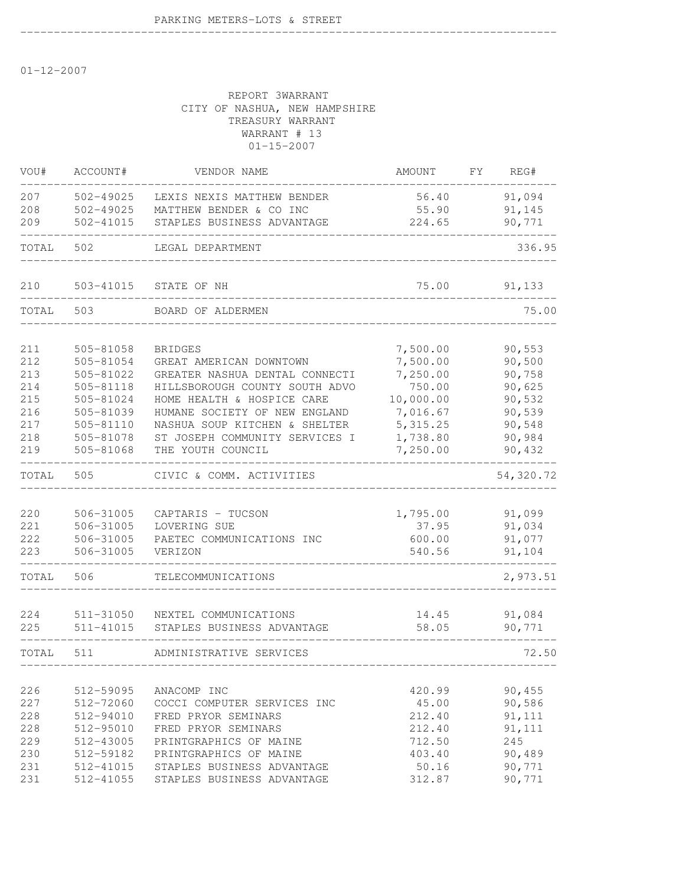01-12-2007

### REPORT 3WARRANT CITY OF NASHUA, NEW HAMPSHIRE TREASURY WARRANT WARRANT # 13 01-15-2007

--------------------------------------------------------------------------------

| VOU#       | ACCOUNT#               | VENDOR NAME                                   | AMOUNT           | FΥ | REG#           |
|------------|------------------------|-----------------------------------------------|------------------|----|----------------|
| 207        | 502-49025              | LEXIS NEXIS MATTHEW BENDER                    | 56.40            |    | 91,094         |
| 208        | 502-49025              | MATTHEW BENDER & CO INC                       | 55.90            |    | 91,145         |
| 209        | 502-41015              | STAPLES BUSINESS ADVANTAGE                    | 224.65           |    | 90,771         |
| TOTAL      | 502                    | LEGAL DEPARTMENT                              |                  |    | 336.95         |
| 210        | 503-41015              | STATE OF NH                                   | 75.00            |    | 91,133         |
| TOTAL      | 503                    | BOARD OF ALDERMEN                             |                  |    | 75.00          |
| 211        | 505-81058              | <b>BRIDGES</b>                                | 7,500.00         |    | 90,553         |
| 212        | 505-81054              | GREAT AMERICAN DOWNTOWN                       | 7,500.00         |    | 90,500         |
| 213        | 505-81022              | GREATER NASHUA DENTAL CONNECTI                | 7,250.00         |    | 90,758         |
| 214        | 505-81118              | HILLSBOROUGH COUNTY SOUTH ADVO                | 750.00           |    | 90,625         |
| 215        | 505-81024              | HOME HEALTH & HOSPICE CARE                    | 10,000.00        |    | 90,532         |
| 216        | 505-81039              | HUMANE SOCIETY OF NEW ENGLAND                 | 7,016.67         |    | 90,539         |
| 217        | 505-81110              | NASHUA SOUP KITCHEN & SHELTER                 | 5, 315.25        |    | 90,548         |
| 218        | 505-81078              | ST JOSEPH COMMUNITY SERVICES I                | 1,738.80         |    | 90,984         |
| 219        | 505-81068              | THE YOUTH COUNCIL                             | 7,250.00         |    | 90,432         |
| TOTAL      | 505                    | CIVIC & COMM. ACTIVITIES                      |                  |    | 54,320.72      |
|            |                        |                                               |                  |    |                |
| 220        | 506-31005              | CAPTARIS - TUCSON                             | 1,795.00         |    | 91,099         |
| 221        | 506-31005              | LOVERING SUE                                  | 37.95            |    | 91,034         |
| 222        | 506-31005              | PAETEC COMMUNICATIONS INC                     | 600.00           |    | 91,077         |
| 223        | 506-31005              | VERIZON                                       | 540.56           |    | 91,104         |
| TOTAL      | 506                    | TELECOMMUNICATIONS                            |                  |    | 2,973.51       |
|            |                        |                                               |                  |    |                |
| 224        | 511-31050              | NEXTEL COMMUNICATIONS                         | 14.45            |    | 91,084         |
| 225        | 511-41015              | STAPLES BUSINESS ADVANTAGE                    | 58.05            |    | 90,771         |
| TOTAL      | 511                    | ADMINISTRATIVE SERVICES                       |                  |    | 72.50          |
|            |                        |                                               |                  |    |                |
| 226        | 512-59095              | ANACOMP INC                                   | 420.99           |    | 90,455         |
| 227        | 512-72060              | COCCI COMPUTER SERVICES INC                   | 45.00            |    | 90,586         |
| 228        | 512-94010              | FRED PRYOR SEMINARS                           | 212.40           |    | 91, 111        |
| 228        | 512-95010              | FRED PRYOR SEMINARS<br>PRINTGRAPHICS OF MAINE | 212.40           |    | 91, 111<br>245 |
| 229<br>230 | 512-43005<br>512-59182 | PRINTGRAPHICS OF MAINE                        | 712.50<br>403.40 |    | 90,489         |
| 231        | 512-41015              | STAPLES BUSINESS ADVANTAGE                    | 50.16            |    | 90,771         |
| 231        | 512-41055              | STAPLES BUSINESS ADVANTAGE                    | 312.87           |    | 90,771         |
|            |                        |                                               |                  |    |                |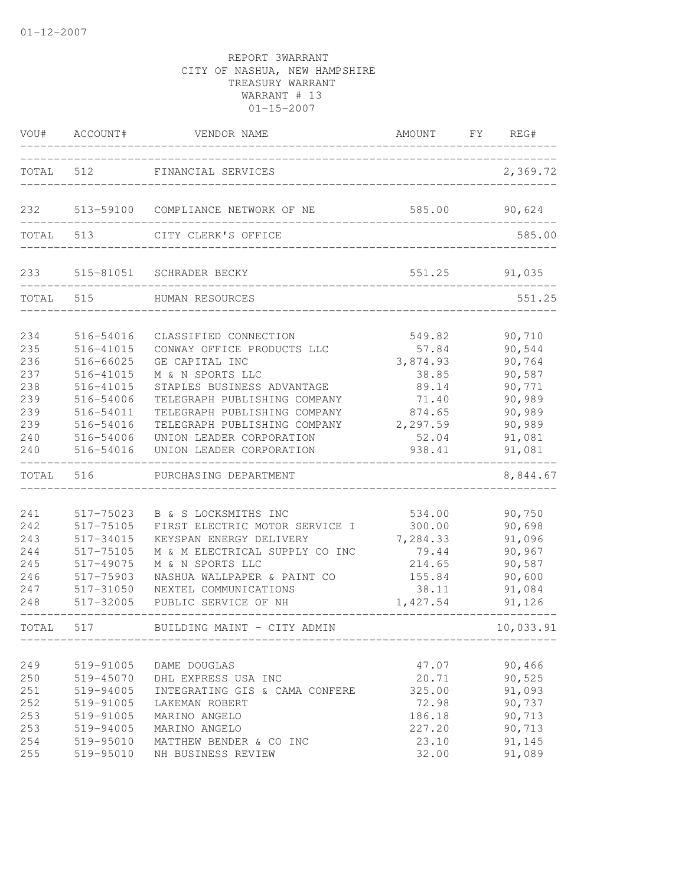| TOTAL 512                                                          |                                                                                                                                | FINANCIAL SERVICES                                                                                                                                                                                                                                                              |                                                                                                 |                                                                                                  |
|--------------------------------------------------------------------|--------------------------------------------------------------------------------------------------------------------------------|---------------------------------------------------------------------------------------------------------------------------------------------------------------------------------------------------------------------------------------------------------------------------------|-------------------------------------------------------------------------------------------------|--------------------------------------------------------------------------------------------------|
|                                                                    |                                                                                                                                |                                                                                                                                                                                                                                                                                 |                                                                                                 | 2,369.72                                                                                         |
| 232                                                                |                                                                                                                                | 513-59100 COMPLIANCE NETWORK OF NE                                                                                                                                                                                                                                              | 585.00                                                                                          | 90,624                                                                                           |
| TOTAL 513                                                          |                                                                                                                                | CITY CLERK'S OFFICE                                                                                                                                                                                                                                                             |                                                                                                 | 585.00                                                                                           |
| 233                                                                |                                                                                                                                | 515-81051 SCHRADER BECKY                                                                                                                                                                                                                                                        | 551.25                                                                                          | 91,035                                                                                           |
| TOTAL 515                                                          |                                                                                                                                | HUMAN RESOURCES                                                                                                                                                                                                                                                                 |                                                                                                 | 551.25                                                                                           |
| 234<br>235<br>236<br>237<br>238<br>239<br>239<br>239<br>240<br>240 | 516-54016<br>516-41015<br>516-66025<br>516-41015<br>516-41015<br>516-54006<br>516-54011<br>516-54016<br>516-54006<br>516-54016 | CLASSIFIED CONNECTION<br>CONWAY OFFICE PRODUCTS LLC<br>GE CAPITAL INC<br>M & N SPORTS LLC<br>STAPLES BUSINESS ADVANTAGE<br>TELEGRAPH PUBLISHING COMPANY<br>TELEGRAPH PUBLISHING COMPANY<br>TELEGRAPH PUBLISHING COMPANY<br>UNION LEADER CORPORATION<br>UNION LEADER CORPORATION | 549.82<br>57.84<br>3,874.93<br>38.85<br>89.14<br>71.40<br>874.65<br>2,297.59<br>52.04<br>938.41 | 90,710<br>90,544<br>90,764<br>90,587<br>90,771<br>90,989<br>90,989<br>90,989<br>91,081<br>91,081 |
| TOTAL                                                              | 516                                                                                                                            | PURCHASING DEPARTMENT                                                                                                                                                                                                                                                           |                                                                                                 | 8,844.67                                                                                         |
| 241<br>242<br>243<br>244<br>245<br>246<br>247<br>248               | 517-75023<br>517-75105<br>517-34015<br>517-75105<br>517-49075<br>517-75903<br>517-31050<br>517-32005                           | B & S LOCKSMITHS INC<br>FIRST ELECTRIC MOTOR SERVICE I<br>KEYSPAN ENERGY DELIVERY<br>M & M ELECTRICAL SUPPLY CO INC<br>M & N SPORTS LLC<br>NASHUA WALLPAPER & PAINT CO<br>NEXTEL COMMUNICATIONS<br>PUBLIC SERVICE OF NH                                                         | 534.00<br>300.00<br>7,284.33<br>79.44<br>214.65<br>155.84<br>38.11<br>1,427.54                  | 90,750<br>90,698<br>91,096<br>90,967<br>90,587<br>90,600<br>91,084<br>91,126                     |
| TOTAI.                                                             | 517                                                                                                                            | BUILDING MAINT - CITY ADMIN                                                                                                                                                                                                                                                     |                                                                                                 | 10,033.91                                                                                        |
| 249<br>250<br>251<br>252<br>253<br>253<br>254<br>255               | 519-91005<br>519-45070<br>519-94005<br>519-91005<br>519-91005<br>519-94005<br>519-95010<br>519-95010                           | DAME DOUGLAS<br>DHL EXPRESS USA INC<br>INTEGRATING GIS & CAMA CONFERE<br>LAKEMAN ROBERT<br>MARINO ANGELO<br>MARINO ANGELO<br>MATTHEW BENDER & CO INC<br>NH BUSINESS REVIEW                                                                                                      | 47.07<br>20.71<br>325.00<br>72.98<br>186.18<br>227.20<br>23.10<br>32.00                         | 90,466<br>90,525<br>91,093<br>90,737<br>90,713<br>90,713<br>91,145<br>91,089                     |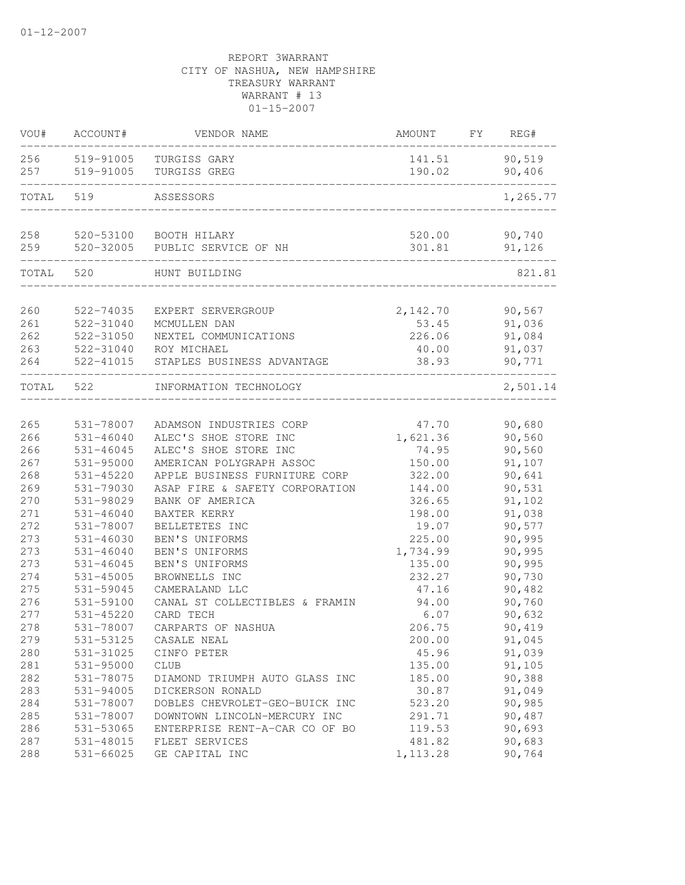| VOU#       | ACCOUNT#                   | VENDOR NAME                                        | AMOUNT             | FΥ | REG#             |
|------------|----------------------------|----------------------------------------------------|--------------------|----|------------------|
| 256        | 519-91005                  | TURGISS GARY                                       | 141.51             |    | 90,519           |
| 257        | 519-91005                  | TURGISS GREG                                       | 190.02             |    | 90,406           |
| TOTAL      | 519                        | ASSESSORS                                          |                    |    | 1,265.77         |
|            |                            |                                                    |                    |    |                  |
| 258        |                            | 520-53100 BOOTH HILARY                             | 520.00<br>301.81   |    | 90,740           |
| 259        |                            | 520-32005 PUBLIC SERVICE OF NH                     |                    |    | 91,126           |
| TOTAL      | 520                        | HUNT BUILDING                                      |                    |    | 821.81           |
| 260        | 522-74035                  | EXPERT SERVERGROUP                                 | 2,142.70           |    | 90,567           |
| 261        | 522-31040                  | MCMULLEN DAN                                       | 53.45              |    | 91,036           |
| 262        | 522-31050                  | NEXTEL COMMUNICATIONS                              | 226.06             |    | 91,084           |
| 263        | 522-31040                  | ROY MICHAEL                                        | 40.00              |    | 91,037           |
| 264        | 522-41015                  | STAPLES BUSINESS ADVANTAGE                         | 38.93              |    | 90,771           |
| TOTAL      | 522                        | INFORMATION TECHNOLOGY                             |                    |    | 2,501.14         |
|            |                            |                                                    |                    |    |                  |
| 265        | 531-78007                  | ADAMSON INDUSTRIES CORP                            | 47.70              |    | 90,680           |
| 266        | 531-46040                  | ALEC'S SHOE STORE INC                              | 1,621.36           |    | 90,560           |
| 266        | $531 - 46045$              | ALEC'S SHOE STORE INC                              | 74.95              |    | 90,560           |
| 267        | 531-95000                  | AMERICAN POLYGRAPH ASSOC                           | 150.00             |    | 91,107           |
| 268        | 531-45220                  | APPLE BUSINESS FURNITURE CORP                      | 322.00             |    | 90,641           |
| 269        | 531-79030                  | ASAP FIRE & SAFETY CORPORATION                     | 144.00             |    | 90,531           |
| 270        | 531-98029                  | BANK OF AMERICA                                    | 326.65             |    | 91,102           |
| 271        | $531 - 46040$              | BAXTER KERRY                                       | 198.00             |    | 91,038           |
| 272        | 531-78007                  | BELLETETES INC                                     | 19.07              |    | 90,577           |
| 273        | $531 - 46030$              | BEN'S UNIFORMS                                     | 225.00             |    | 90,995           |
| 273        | $531 - 46040$              | BEN'S UNIFORMS                                     | 1,734.99<br>135.00 |    | 90,995<br>90,995 |
| 273        | 531-46045<br>$531 - 45005$ | BEN'S UNIFORMS                                     | 232.27             |    |                  |
| 274        |                            | BROWNELLS INC                                      |                    |    | 90,730           |
| 275<br>276 | 531-59045<br>531-59100     | CAMERALAND LLC                                     | 47.16<br>94.00     |    | 90,482           |
| 277        | $531 - 45220$              | CANAL ST COLLECTIBLES & FRAMIN<br>CARD TECH        | 6.07               |    | 90,760           |
| 278        |                            |                                                    |                    |    | 90,632           |
|            | 531-78007                  | CARPARTS OF NASHUA                                 | 206.75             |    | 90,419           |
| 279<br>280 | 531-53125                  | CASALE NEAL                                        | 200.00             |    | 91,045           |
|            | 531-31025                  | CINFO PETER                                        | 45.96              |    | 91,039           |
| 281<br>282 | 531-95000<br>531-78075     | <b>CLUB</b>                                        | 135.00<br>185.00   |    | 91,105<br>90,388 |
| 283        |                            | DIAMOND TRIUMPH AUTO GLASS INC<br>DICKERSON RONALD | 30.87              |    | 91,049           |
| 284        | 531-94005<br>531-78007     | DOBLES CHEVROLET-GEO-BUICK INC                     | 523.20             |    | 90,985           |
| 285        | 531-78007                  | DOWNTOWN LINCOLN-MERCURY INC                       | 291.71             |    | 90,487           |
| 286        | 531-53065                  | ENTERPRISE RENT-A-CAR CO OF BO                     | 119.53             |    | 90,693           |
| 287        | 531-48015                  | FLEET SERVICES                                     | 481.82             |    | 90,683           |
| 288        | 531-66025                  | GE CAPITAL INC                                     | 1, 113.28          |    | 90,764           |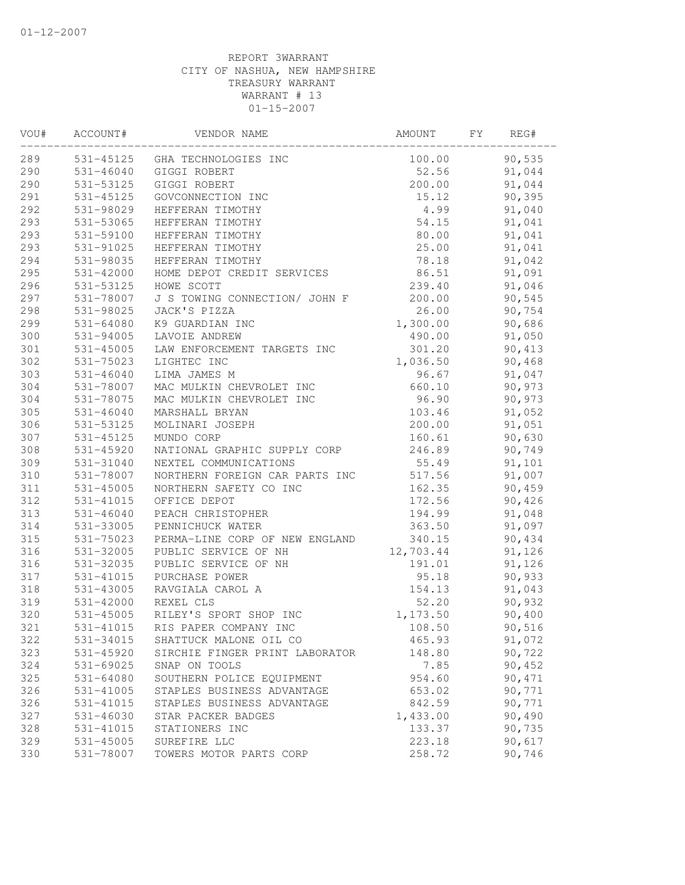| VOU# | ACCOUNT#      | VENDOR NAME                    | AMOUNT    | FY | REG#   |  |
|------|---------------|--------------------------------|-----------|----|--------|--|
| 289  |               | 531-45125 GHA TECHNOLOGIES INC | 100.00    |    | 90,535 |  |
| 290  |               | 531-46040 GIGGI ROBERT         | 52.56     |    | 91,044 |  |
| 290  | 531-53125     | GIGGI ROBERT                   | 200.00    |    | 91,044 |  |
| 291  | 531-45125     | GOVCONNECTION INC              | 15.12     |    | 90,395 |  |
| 292  | 531-98029     | HEFFERAN TIMOTHY               | 4.99      |    | 91,040 |  |
| 293  | 531-53065     | HEFFERAN TIMOTHY               | 54.15     |    | 91,041 |  |
| 293  | 531-59100     | HEFFERAN TIMOTHY               | 80.00     |    | 91,041 |  |
| 293  | 531-91025     | HEFFERAN TIMOTHY               | 25.00     |    | 91,041 |  |
| 294  | 531-98035     | HEFFERAN TIMOTHY               | 78.18     |    | 91,042 |  |
| 295  | 531-42000     | HOME DEPOT CREDIT SERVICES     | 86.51     |    | 91,091 |  |
| 296  | 531-53125     | HOWE SCOTT                     | 239.40    |    | 91,046 |  |
| 297  | 531-78007     | J S TOWING CONNECTION/ JOHN F  | 200.00    |    | 90,545 |  |
| 298  | 531-98025     | JACK'S PIZZA                   | 26.00     |    | 90,754 |  |
| 299  | 531-64080     | K9 GUARDIAN INC                | 1,300.00  |    | 90,686 |  |
| 300  | 531-94005     | LAVOIE ANDREW                  | 490.00    |    | 91,050 |  |
| 301  | 531-45005     | LAW ENFORCEMENT TARGETS INC    | 301.20    |    | 90,413 |  |
| 302  | 531-75023     | LIGHTEC INC                    | 1,036.50  |    | 90,468 |  |
| 303  | $531 - 46040$ | LIMA JAMES M                   | 96.67     |    | 91,047 |  |
| 304  | 531-78007     | MAC MULKIN CHEVROLET INC       | 660.10    |    | 90,973 |  |
| 304  | 531-78075     | MAC MULKIN CHEVROLET INC       | 96.90     |    | 90,973 |  |
| 305  | $531 - 46040$ | MARSHALL BRYAN                 | 103.46    |    | 91,052 |  |
| 306  | 531-53125     | MOLINARI JOSEPH                | 200.00    |    | 91,051 |  |
| 307  | 531-45125     | MUNDO CORP                     | 160.61    |    | 90,630 |  |
| 308  | 531-45920     | NATIONAL GRAPHIC SUPPLY CORP   | 246.89    |    | 90,749 |  |
| 309  | 531-31040     | NEXTEL COMMUNICATIONS          | 55.49     |    | 91,101 |  |
| 310  | 531-78007     | NORTHERN FOREIGN CAR PARTS INC | 517.56    |    | 91,007 |  |
| 311  | 531-45005     | NORTHERN SAFETY CO INC         | 162.35    |    | 90,459 |  |
| 312  | 531-41015     | OFFICE DEPOT                   | 172.56    |    | 90,426 |  |
| 313  | $531 - 46040$ | PEACH CHRISTOPHER              | 194.99    |    | 91,048 |  |
| 314  | 531-33005     | PENNICHUCK WATER               | 363.50    |    | 91,097 |  |
| 315  | 531-75023     | PERMA-LINE CORP OF NEW ENGLAND | 340.15    |    | 90,434 |  |
| 316  | 531-32005     | PUBLIC SERVICE OF NH           | 12,703.44 |    | 91,126 |  |
| 316  | 531-32035     | PUBLIC SERVICE OF NH           | 191.01    |    | 91,126 |  |
| 317  | 531-41015     | PURCHASE POWER                 | 95.18     |    | 90,933 |  |
| 318  | 531-43005     | RAVGIALA CAROL A               | 154.13    |    | 91,043 |  |
| 319  | 531-42000     | REXEL CLS                      | 52.20     |    | 90,932 |  |
| 320  | 531-45005     | RILEY'S SPORT SHOP INC         | 1,173.50  |    | 90,400 |  |
| 321  | 531-41015     | RIS PAPER COMPANY INC          | 108.50    |    | 90,516 |  |
| 322  | 531-34015     | SHATTUCK MALONE OIL CO         | 465.93    |    | 91,072 |  |
| 323  | 531-45920     | SIRCHIE FINGER PRINT LABORATOR | 148.80    |    | 90,722 |  |
| 324  | 531-69025     | SNAP ON TOOLS                  | 7.85      |    | 90,452 |  |
| 325  | 531-64080     | SOUTHERN POLICE EQUIPMENT      | 954.60    |    | 90,471 |  |
| 326  | 531-41005     | STAPLES BUSINESS ADVANTAGE     | 653.02    |    | 90,771 |  |
| 326  | 531-41015     | STAPLES BUSINESS ADVANTAGE     | 842.59    |    | 90,771 |  |
| 327  | 531-46030     | STAR PACKER BADGES             | 1,433.00  |    | 90,490 |  |
| 328  | 531-41015     | STATIONERS INC                 | 133.37    |    | 90,735 |  |
| 329  | 531-45005     | SUREFIRE LLC                   | 223.18    |    | 90,617 |  |
| 330  | 531-78007     | TOWERS MOTOR PARTS CORP        | 258.72    |    | 90,746 |  |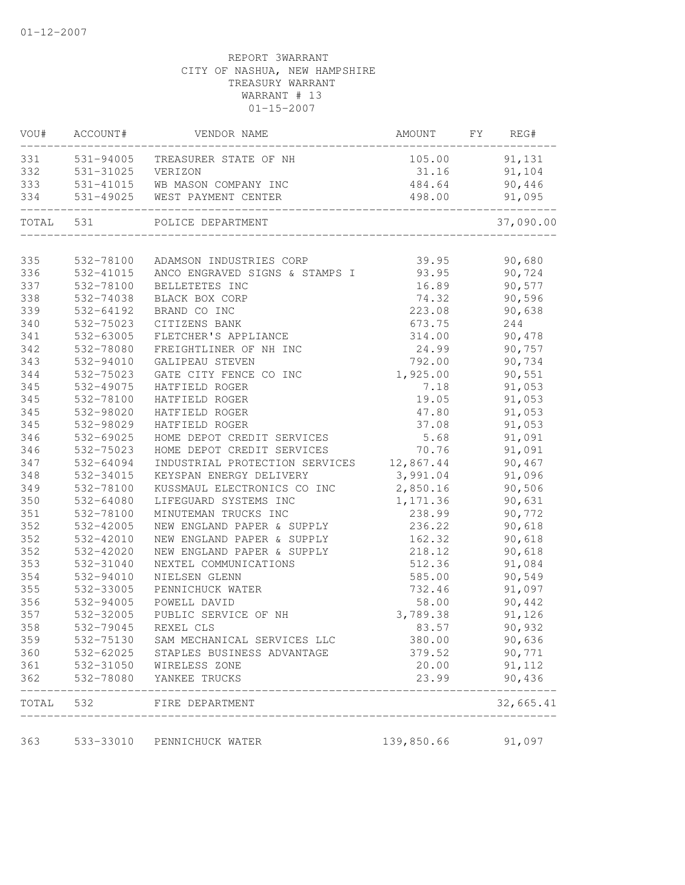| VOU#       | ACCOUNT#               | VENDOR NAME                          | AMOUNT         | FY | REG#             |
|------------|------------------------|--------------------------------------|----------------|----|------------------|
| 331        | 531-94005              | TREASURER STATE OF NH                | 105.00         |    | 91,131           |
| 332        | 531-31025              | VERIZON                              | 31.16          |    | 91,104           |
| 333        | 531-41015              | WB MASON COMPANY INC                 | 484.64         |    | 90,446           |
| 334        | 531-49025              | WEST PAYMENT CENTER                  | 498.00         |    | 91,095           |
| TOTAL      | 531                    | POLICE DEPARTMENT                    |                |    | 37,090.00        |
|            |                        |                                      |                |    |                  |
| 335        | 532-78100              | ADAMSON INDUSTRIES CORP              | 39.95          |    | 90,680           |
| 336        | 532-41015              | ANCO ENGRAVED SIGNS & STAMPS I       | 93.95          |    | 90,724           |
| 337        | 532-78100              | BELLETETES INC                       | 16.89          |    | 90,577           |
| 338        | 532-74038              | BLACK BOX CORP                       | 74.32          |    | 90,596           |
| 339        | 532-64192              | BRAND CO INC                         | 223.08         |    | 90,638           |
| 340        | 532-75023              | CITIZENS BANK                        | 673.75         |    | 244              |
| 341        | 532-63005              | FLETCHER'S APPLIANCE                 | 314.00         |    | 90,478           |
| 342        | 532-78080              | FREIGHTLINER OF NH INC               | 24.99          |    | 90,757           |
| 343        | 532-94010              | GALIPEAU STEVEN                      | 792.00         |    | 90,734           |
| 344        | 532-75023              | GATE CITY FENCE CO INC               | 1,925.00       |    | 90,551           |
| 345        | 532-49075              | HATFIELD ROGER                       | 7.18           |    | 91,053           |
| 345        | 532-78100              | HATFIELD ROGER<br>HATFIELD ROGER     | 19.05          |    | 91,053           |
| 345<br>345 | 532-98020<br>532-98029 | HATFIELD ROGER                       | 47.80<br>37.08 |    | 91,053           |
| 346        | 532-69025              | HOME DEPOT CREDIT SERVICES           | 5.68           |    | 91,053<br>91,091 |
| 346        | 532-75023              | HOME DEPOT CREDIT SERVICES           | 70.76          |    | 91,091           |
| 347        | 532-64094              | INDUSTRIAL PROTECTION SERVICES       | 12,867.44      |    | 90,467           |
| 348        | 532-34015              | KEYSPAN ENERGY DELIVERY              | 3,991.04       |    | 91,096           |
| 349        | 532-78100              | KUSSMAUL ELECTRONICS CO INC          | 2,850.16       |    | 90,506           |
| 350        | 532-64080              | LIFEGUARD SYSTEMS INC                | 1,171.36       |    | 90,631           |
| 351        | 532-78100              | MINUTEMAN TRUCKS INC                 | 238.99         |    | 90,772           |
| 352        | 532-42005              | NEW ENGLAND PAPER & SUPPLY           | 236.22         |    | 90,618           |
| 352        | 532-42010              | NEW ENGLAND PAPER & SUPPLY           | 162.32         |    | 90,618           |
| 352        | 532-42020              | NEW ENGLAND PAPER & SUPPLY           | 218.12         |    | 90,618           |
| 353        | 532-31040              | NEXTEL COMMUNICATIONS                | 512.36         |    | 91,084           |
| 354        | 532-94010              | NIELSEN GLENN                        | 585.00         |    | 90,549           |
| 355        | 532-33005              | PENNICHUCK WATER                     | 732.46         |    | 91,097           |
| 356        | 532-94005              | POWELL DAVID                         | 58.00          |    | 90,442           |
| 357        | 532-32005              | PUBLIC SERVICE OF NH                 | 3,789.38       |    | 91,126           |
| 358        | 532-79045              | REXEL CLS                            | 83.57          |    | 90,932           |
| 359        | 532-75130              | SAM MECHANICAL SERVICES LLC          | 380.00         |    | 90,636           |
| 360        |                        | 532-62025 STAPLES BUSINESS ADVANTAGE | 379.52         |    | 90,771           |
| 361        |                        | 532-31050 WIRELESS ZONE              | 20.00          |    | 91,112           |
| 362        |                        | 532-78080 YANKEE TRUCKS              | 23.99          |    | 90,436           |
| TOTAL      | 532                    | FIRE DEPARTMENT                      |                |    | 32,665.41        |
| 363        | 533-33010              | PENNICHUCK WATER                     | 139,850.66     |    | 91,097           |
|            |                        |                                      |                |    |                  |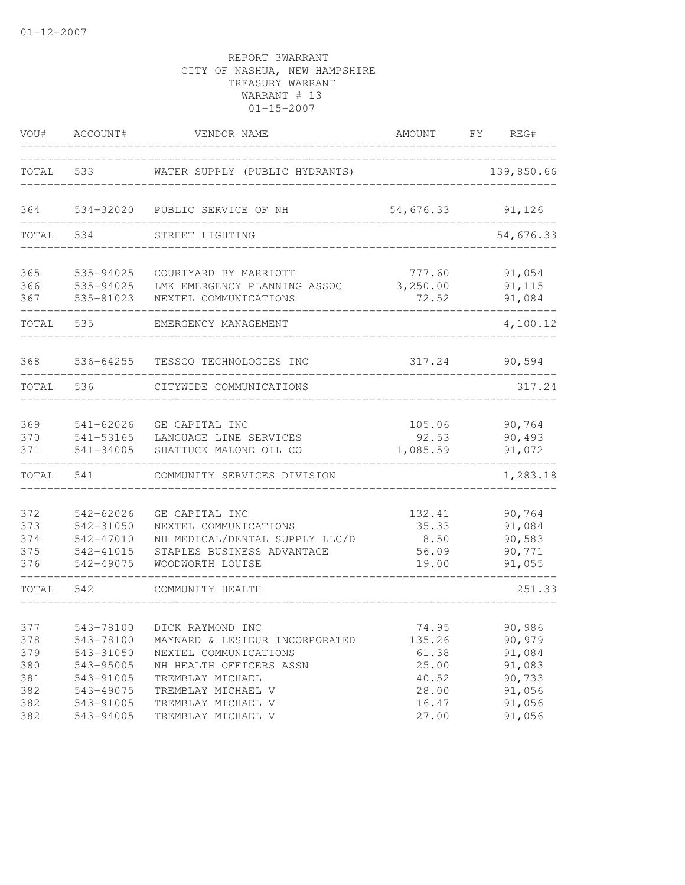| VOU#                                   | ACCOUNT#                                                      | VENDOR NAME                                                                                                                                                | AMOUNT                                     | FY REG#                                        |
|----------------------------------------|---------------------------------------------------------------|------------------------------------------------------------------------------------------------------------------------------------------------------------|--------------------------------------------|------------------------------------------------|
| TOTAL                                  | 533                                                           | WATER SUPPLY (PUBLIC HYDRANTS)                                                                                                                             |                                            | 139,850.66                                     |
| 364                                    |                                                               | 534-32020 PUBLIC SERVICE OF NH                                                                                                                             | 54,676.33                                  | 91,126                                         |
| TOTAL                                  | 534                                                           | STREET LIGHTING                                                                                                                                            |                                            | 54,676.33                                      |
| 365<br>366<br>367                      | 535-94025<br>535-94025<br>535-81023                           | COURTYARD BY MARRIOTT<br>LMK EMERGENCY PLANNING ASSOC<br>NEXTEL COMMUNICATIONS                                                                             | 777.60<br>3,250.00<br>72.52                | 91,054<br>91,115<br>91,084                     |
| TOTAL                                  | 535                                                           | EMERGENCY MANAGEMENT                                                                                                                                       |                                            | 4,100.12                                       |
| 368                                    | 536-64255                                                     | TESSCO TECHNOLOGIES INC                                                                                                                                    | 317.24                                     | 90,594                                         |
| TOTAL                                  | 536                                                           | CITYWIDE COMMUNICATIONS                                                                                                                                    |                                            | 317.24                                         |
| 369<br>370<br>371                      | $541 - 62026$<br>541-53165<br>541-34005                       | GE CAPITAL INC<br>LANGUAGE LINE SERVICES<br>SHATTUCK MALONE OIL CO                                                                                         | 105.06<br>92.53<br>1,085.59                | 90,764<br>90,493<br>91,072                     |
| TOTAL                                  | 541                                                           | COMMUNITY SERVICES DIVISION                                                                                                                                |                                            | 1,283.18                                       |
| 372<br>373<br>374<br>375<br>376        | 542-62026<br>542-31050<br>542-47010<br>542-41015<br>542-49075 | GE CAPITAL INC<br>NEXTEL COMMUNICATIONS<br>NH MEDICAL/DENTAL SUPPLY LLC/D<br>STAPLES BUSINESS ADVANTAGE<br>WOODWORTH LOUISE                                | 132.41<br>35.33<br>8.50<br>56.09<br>19.00  | 90,764<br>91,084<br>90,583<br>90,771<br>91,055 |
| TOTAL                                  | 542                                                           | COMMUNITY HEALTH                                                                                                                                           |                                            | 251.33                                         |
| 377<br>378<br>379<br>380<br>381<br>382 | 543-78100<br>543-31050<br>543-95005<br>543-91005              | 543-78100 DICK RAYMOND INC<br>MAYNARD & LESIEUR INCORPORATED<br>NEXTEL COMMUNICATIONS<br>NH HEALTH OFFICERS ASSN<br>TREMBLAY MICHAEL<br>TREMBLAY MICHAEL V | 74.95<br>135.26<br>61.38<br>25.00<br>40.52 | 90,986<br>90,979<br>91,084<br>91,083<br>90,733 |
| 382<br>382                             | 543-49075<br>543-91005<br>543-94005                           | TREMBLAY MICHAEL V<br>TREMBLAY MICHAEL V                                                                                                                   | 28.00<br>16.47<br>27.00                    | 91,056<br>91,056<br>91,056                     |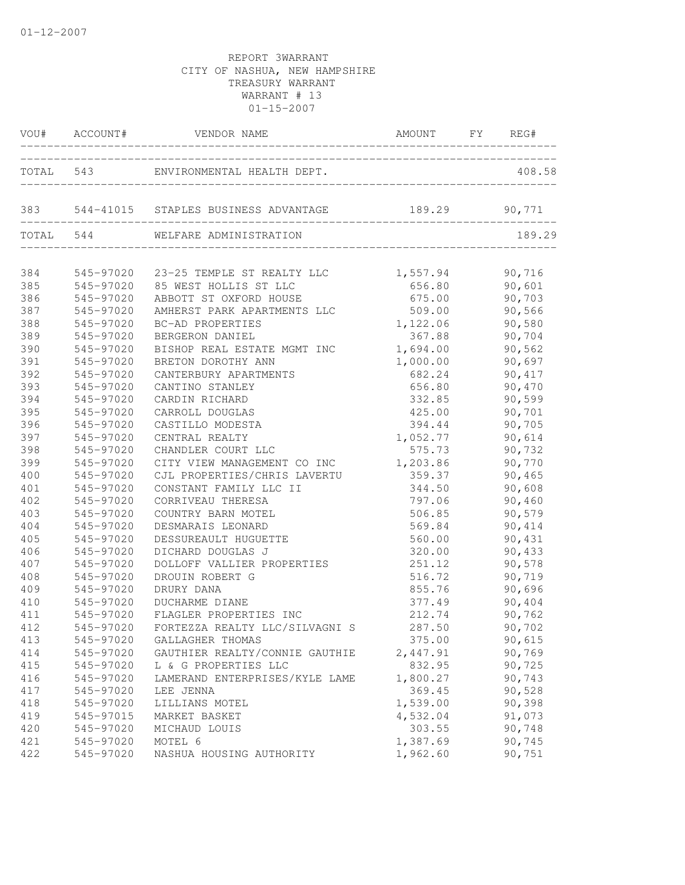|     |           | VOU# ACCOUNT# VENDOR NAME                              | AMOUNT FY REG#                    |        |
|-----|-----------|--------------------------------------------------------|-----------------------------------|--------|
|     |           | TOTAL 543 ENVIRONMENTAL HEALTH DEPT.                   | _________________________________ | 408.58 |
|     |           | 383 544-41015 STAPLES BUSINESS ADVANTAGE 189.29 90,771 |                                   |        |
|     |           | TOTAL 544 WELFARE ADMINISTRATION                       |                                   | 189.29 |
| 384 |           | 545-97020 23-25 TEMPLE ST REALTY LLC 1,557.94          |                                   | 90,716 |
| 385 | 545-97020 | 85 WEST HOLLIS ST LLC                                  | 656.80                            | 90,601 |
| 386 | 545-97020 | ABBOTT ST OXFORD HOUSE                                 | 675.00                            | 90,703 |
| 387 | 545-97020 | AMHERST PARK APARTMENTS LLC                            | 509.00                            | 90,566 |
| 388 | 545-97020 | BC-AD PROPERTIES                                       | 1,122.06                          | 90,580 |
| 389 | 545-97020 | BERGERON DANIEL                                        | 367.88                            | 90,704 |
| 390 | 545-97020 | BISHOP REAL ESTATE MGMT INC                            | 1,694.00                          | 90,562 |
| 391 | 545-97020 | BRETON DOROTHY ANN                                     | 1,000.00                          | 90,697 |
| 392 | 545-97020 | CANTERBURY APARTMENTS                                  | 682.24                            | 90,417 |
| 393 | 545-97020 | CANTINO STANLEY                                        | 656.80                            | 90,470 |
| 394 | 545-97020 | CARDIN RICHARD                                         | 332.85                            | 90,599 |
| 395 | 545-97020 | CARROLL DOUGLAS                                        | 425.00                            | 90,701 |
| 396 | 545-97020 | CASTILLO MODESTA                                       | 394.44                            | 90,705 |
| 397 | 545-97020 | CENTRAL REALTY                                         | 1,052.77                          | 90,614 |
| 398 | 545-97020 | CHANDLER COURT LLC                                     | 575.73                            | 90,732 |
| 399 | 545-97020 | CITY VIEW MANAGEMENT CO INC                            | 1,203.86                          | 90,770 |
| 400 | 545-97020 | CJL PROPERTIES/CHRIS LAVERTU                           | 359.37                            | 90,465 |
| 401 | 545-97020 | CONSTANT FAMILY LLC II                                 | 344.50                            | 90,608 |
| 402 | 545-97020 | CORRIVEAU THERESA                                      | 797.06                            | 90,460 |
| 403 | 545-97020 | COUNTRY BARN MOTEL                                     | 506.85                            | 90,579 |
| 404 | 545-97020 | DESMARAIS LEONARD                                      | 569.84                            | 90,414 |
| 405 | 545-97020 | DESSUREAULT HUGUETTE                                   | 560.00                            | 90,431 |
| 406 | 545-97020 | DICHARD DOUGLAS J                                      | 320.00                            | 90,433 |
| 407 | 545-97020 | DOLLOFF VALLIER PROPERTIES                             | 251.12                            | 90,578 |
| 408 | 545-97020 | DROUIN ROBERT G                                        | 516.72                            | 90,719 |
| 409 | 545-97020 | DRURY DANA                                             | 855.76                            | 90,696 |
| 410 | 545-97020 | DUCHARME DIANE                                         | 377.49                            | 90,404 |
| 411 | 545-97020 | FLAGLER PROPERTIES INC                                 | 212.74                            | 90,762 |
| 412 | 545-97020 | FORTEZZA REALTY LLC/SILVAGNI S                         | 287.50                            | 90,702 |
| 413 | 545-97020 | GALLAGHER THOMAS                                       | 375.00                            | 90,615 |
| 414 | 545-97020 | GAUTHIER REALTY/CONNIE GAUTHIE                         | 2,447.91                          | 90,769 |
| 415 | 545-97020 | L & G PROPERTIES LLC                                   | 832.95                            | 90,725 |
| 416 | 545-97020 | LAMERAND ENTERPRISES/KYLE LAME                         | 1,800.27                          | 90,743 |
| 417 | 545-97020 | LEE JENNA                                              | 369.45                            | 90,528 |
| 418 | 545-97020 | LILLIANS MOTEL                                         | 1,539.00                          | 90,398 |
| 419 | 545-97015 | MARKET BASKET                                          | 4,532.04                          | 91,073 |
| 420 | 545-97020 | MICHAUD LOUIS                                          | 303.55                            | 90,748 |
| 421 | 545-97020 | MOTEL 6                                                | 1,387.69                          | 90,745 |
| 422 | 545-97020 | NASHUA HOUSING AUTHORITY                               | 1,962.60                          | 90,751 |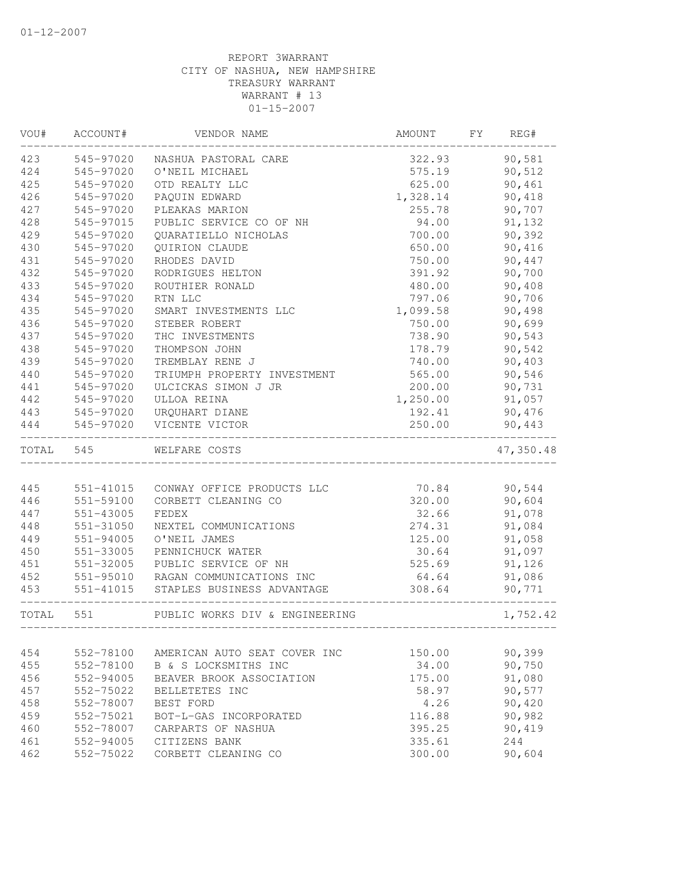| VOU#      | ACCOUNT#  | VENDOR NAME                        | AMOUNT   | FY | REG#      |
|-----------|-----------|------------------------------------|----------|----|-----------|
| 423       | 545-97020 | NASHUA PASTORAL CARE               | 322.93   |    | 90,581    |
| 424       | 545-97020 | O'NEIL MICHAEL                     | 575.19   |    | 90,512    |
| 425       | 545-97020 | OTD REALTY LLC                     | 625.00   |    | 90,461    |
| 426       | 545-97020 | PAQUIN EDWARD                      | 1,328.14 |    | 90,418    |
| 427       | 545-97020 | PLEAKAS MARION                     | 255.78   |    | 90,707    |
| 428       | 545-97015 | PUBLIC SERVICE CO OF NH            | 94.00    |    | 91,132    |
| 429       | 545-97020 | QUARATIELLO NICHOLAS               | 700.00   |    | 90,392    |
| 430       | 545-97020 | QUIRION CLAUDE                     | 650.00   |    | 90,416    |
| 431       | 545-97020 | RHODES DAVID                       | 750.00   |    | 90,447    |
| 432       | 545-97020 | RODRIGUES HELTON                   | 391.92   |    | 90,700    |
| 433       | 545-97020 | ROUTHIER RONALD                    | 480.00   |    | 90,408    |
| 434       | 545-97020 | RTN LLC                            | 797.06   |    | 90,706    |
| 435       | 545-97020 | SMART INVESTMENTS LLC              | 1,099.58 |    | 90,498    |
| 436       | 545-97020 | STEBER ROBERT                      | 750.00   |    | 90,699    |
| 437       | 545-97020 | THC INVESTMENTS                    | 738.90   |    | 90,543    |
| 438       | 545-97020 | THOMPSON JOHN                      | 178.79   |    | 90,542    |
| 439       | 545-97020 | TREMBLAY RENE J                    | 740.00   |    | 90,403    |
| 440       | 545-97020 | TRIUMPH PROPERTY INVESTMENT        | 565.00   |    | 90,546    |
| 441       | 545-97020 | ULCICKAS SIMON J JR                | 200.00   |    | 90,731    |
| 442       | 545-97020 | ULLOA REINA                        | 1,250.00 |    | 91,057    |
| 443       | 545-97020 | URQUHART DIANE                     | 192.41   |    | 90,476    |
| 444       | 545-97020 | VICENTE VICTOR                     | 250.00   |    | 90,443    |
| TOTAL 545 |           | WELFARE COSTS                      |          |    | 47,350.48 |
|           |           |                                    |          |    |           |
| 445       | 551-41015 | CONWAY OFFICE PRODUCTS LLC         | 70.84    |    | 90,544    |
| 446       | 551-59100 | CORBETT CLEANING CO                | 320.00   |    | 90,604    |
| 447       | 551-43005 | FEDEX                              | 32.66    |    | 91,078    |
| 448       | 551-31050 | NEXTEL COMMUNICATIONS              | 274.31   |    | 91,084    |
| 449       | 551-94005 | O'NEIL JAMES                       | 125.00   |    | 91,058    |
| 450       | 551-33005 | PENNICHUCK WATER                   | 30.64    |    | 91,097    |
| 451       | 551-32005 | PUBLIC SERVICE OF NH               | 525.69   |    | 91,126    |
| 452       |           | 551-95010 RAGAN COMMUNICATIONS INC | 64.64    |    | 91,086    |
| 453       | 551-41015 | STAPLES BUSINESS ADVANTAGE         | 308.64   |    | 90,771    |
| TOTAL 551 |           | PUBLIC WORKS DIV & ENGINEERING     |          |    | 1,752.42  |
|           |           |                                    |          |    |           |
| 454       | 552-78100 | AMERICAN AUTO SEAT COVER INC       | 150.00   |    | 90,399    |
| 455       | 552-78100 | B & S LOCKSMITHS INC               | 34.00    |    | 90,750    |
| 456       | 552-94005 | BEAVER BROOK ASSOCIATION           | 175.00   |    | 91,080    |
| 457       | 552-75022 | BELLETETES INC                     | 58.97    |    | 90,577    |
| 458       | 552-78007 | BEST FORD                          | 4.26     |    | 90,420    |
| 459       | 552-75021 | BOT-L-GAS INCORPORATED             | 116.88   |    | 90,982    |
| 460       | 552-78007 | CARPARTS OF NASHUA                 | 395.25   |    | 90,419    |
| 461       | 552-94005 | CITIZENS BANK                      | 335.61   |    | 244       |
| 462       | 552-75022 | CORBETT CLEANING CO                | 300.00   |    | 90,604    |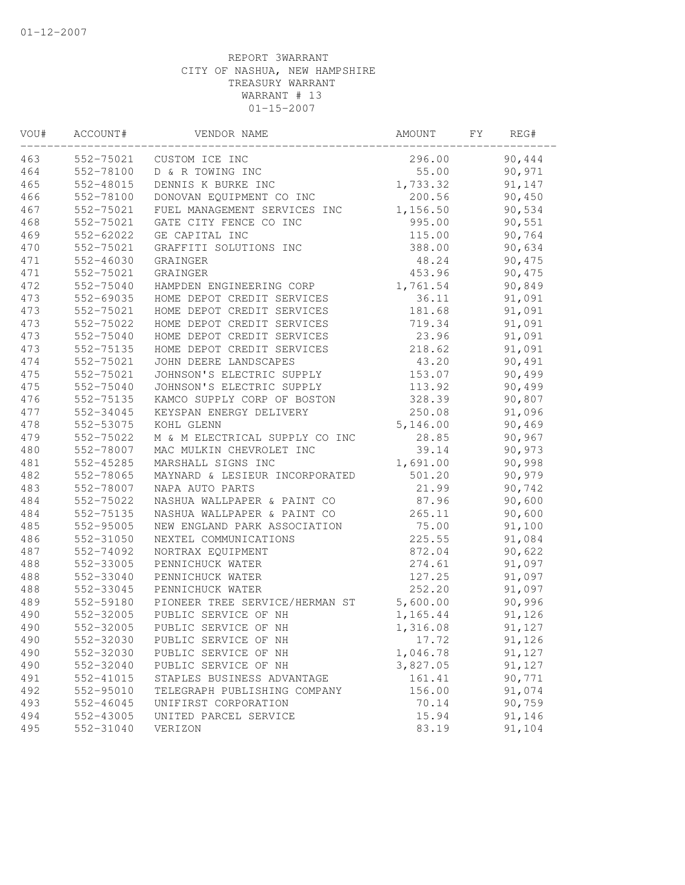| VOU# | ACCOUNT#  | VENDOR NAME                    | AMOUNT   | FΥ | REG#   |  |
|------|-----------|--------------------------------|----------|----|--------|--|
| 463  | 552-75021 | CUSTOM ICE INC                 | 296.00   |    | 90,444 |  |
| 464  | 552-78100 | D & R TOWING INC               | 55.00    |    | 90,971 |  |
| 465  | 552-48015 | DENNIS K BURKE INC             | 1,733.32 |    | 91,147 |  |
| 466  | 552-78100 | DONOVAN EQUIPMENT CO INC       | 200.56   |    | 90,450 |  |
| 467  | 552-75021 | FUEL MANAGEMENT SERVICES INC   | 1,156.50 |    | 90,534 |  |
| 468  | 552-75021 | GATE CITY FENCE CO INC         | 995.00   |    | 90,551 |  |
| 469  | 552-62022 | GE CAPITAL INC                 | 115.00   |    | 90,764 |  |
| 470  | 552-75021 | GRAFFITI SOLUTIONS INC         | 388.00   |    | 90,634 |  |
| 471  | 552-46030 | GRAINGER                       | 48.24    |    | 90,475 |  |
| 471  | 552-75021 | GRAINGER                       | 453.96   |    | 90,475 |  |
| 472  | 552-75040 | HAMPDEN ENGINEERING CORP       | 1,761.54 |    | 90,849 |  |
| 473  | 552-69035 | HOME DEPOT CREDIT SERVICES     | 36.11    |    | 91,091 |  |
| 473  | 552-75021 | HOME DEPOT CREDIT SERVICES     | 181.68   |    | 91,091 |  |
| 473  | 552-75022 | HOME DEPOT CREDIT SERVICES     | 719.34   |    | 91,091 |  |
| 473  | 552-75040 | HOME DEPOT CREDIT SERVICES     | 23.96    |    | 91,091 |  |
| 473  | 552-75135 | HOME DEPOT CREDIT SERVICES     | 218.62   |    | 91,091 |  |
| 474  | 552-75021 | JOHN DEERE LANDSCAPES          | 43.20    |    | 90,491 |  |
| 475  | 552-75021 | JOHNSON'S ELECTRIC SUPPLY      | 153.07   |    | 90,499 |  |
| 475  | 552-75040 | JOHNSON'S ELECTRIC SUPPLY      | 113.92   |    | 90,499 |  |
| 476  | 552-75135 | KAMCO SUPPLY CORP OF BOSTON    | 328.39   |    | 90,807 |  |
| 477  | 552-34045 | KEYSPAN ENERGY DELIVERY        | 250.08   |    | 91,096 |  |
| 478  | 552-53075 | KOHL GLENN                     | 5,146.00 |    | 90,469 |  |
| 479  | 552-75022 | M & M ELECTRICAL SUPPLY CO INC | 28.85    |    | 90,967 |  |
| 480  | 552-78007 | MAC MULKIN CHEVROLET INC       | 39.14    |    | 90,973 |  |
| 481  | 552-45285 | MARSHALL SIGNS INC             | 1,691.00 |    | 90,998 |  |
| 482  | 552-78065 | MAYNARD & LESIEUR INCORPORATED | 501.20   |    | 90,979 |  |
| 483  | 552-78007 | NAPA AUTO PARTS                | 21.99    |    | 90,742 |  |
| 484  | 552-75022 | NASHUA WALLPAPER & PAINT CO    | 87.96    |    | 90,600 |  |
| 484  | 552-75135 | NASHUA WALLPAPER & PAINT CO    | 265.11   |    | 90,600 |  |
| 485  | 552-95005 | NEW ENGLAND PARK ASSOCIATION   | 75.00    |    | 91,100 |  |
| 486  | 552-31050 | NEXTEL COMMUNICATIONS          | 225.55   |    | 91,084 |  |
| 487  | 552-74092 | NORTRAX EQUIPMENT              | 872.04   |    | 90,622 |  |
| 488  | 552-33005 | PENNICHUCK WATER               | 274.61   |    | 91,097 |  |
| 488  | 552-33040 | PENNICHUCK WATER               | 127.25   |    | 91,097 |  |
| 488  | 552-33045 | PENNICHUCK WATER               | 252.20   |    | 91,097 |  |
| 489  | 552-59180 | PIONEER TREE SERVICE/HERMAN ST | 5,600.00 |    | 90,996 |  |
| 490  | 552-32005 | PUBLIC SERVICE OF NH           | 1,165.44 |    | 91,126 |  |
| 490  | 552-32005 | PUBLIC SERVICE OF NH           | 1,316.08 |    | 91,127 |  |
| 490  | 552-32030 | PUBLIC SERVICE OF NH           | 17.72    |    | 91,126 |  |
| 490  | 552-32030 | PUBLIC SERVICE OF NH           | 1,046.78 |    | 91,127 |  |
| 490  | 552-32040 | PUBLIC SERVICE OF NH           | 3,827.05 |    | 91,127 |  |
| 491  | 552-41015 | STAPLES BUSINESS ADVANTAGE     | 161.41   |    | 90,771 |  |
| 492  | 552-95010 | TELEGRAPH PUBLISHING COMPANY   | 156.00   |    | 91,074 |  |
| 493  | 552-46045 | UNIFIRST CORPORATION           | 70.14    |    | 90,759 |  |
| 494  | 552-43005 | UNITED PARCEL SERVICE          | 15.94    |    | 91,146 |  |
| 495  | 552-31040 | VERIZON                        | 83.19    |    | 91,104 |  |
|      |           |                                |          |    |        |  |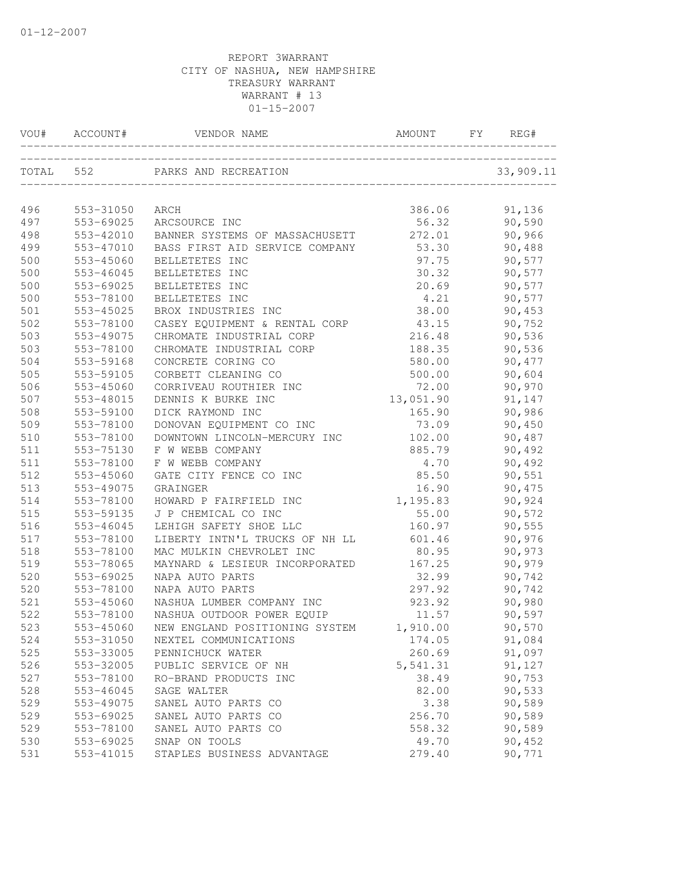| VOU#      | ACCOUNT#  | VENDOR NAME                    | AMOUNT    | FY. | REG#      |
|-----------|-----------|--------------------------------|-----------|-----|-----------|
| TOTAL 552 |           | PARKS AND RECREATION           |           |     | 33,909.11 |
|           |           |                                |           |     |           |
| 496       | 553-31050 | ARCH                           | 386.06    |     | 91,136    |
| 497       | 553-69025 | ARCSOURCE INC                  | 56.32     |     | 90,590    |
| 498       | 553-42010 | BANNER SYSTEMS OF MASSACHUSETT | 272.01    |     | 90,966    |
| 499       | 553-47010 | BASS FIRST AID SERVICE COMPANY | 53.30     |     | 90,488    |
| 500       | 553-45060 | BELLETETES INC                 | 97.75     |     | 90,577    |
| 500       | 553-46045 | BELLETETES INC                 | 30.32     |     | 90,577    |
| 500       | 553-69025 | BELLETETES INC                 | 20.69     |     | 90,577    |
| 500       | 553-78100 | BELLETETES INC                 | 4.21      |     | 90,577    |
| 501       | 553-45025 | BROX INDUSTRIES INC            | 38.00     |     | 90,453    |
| 502       | 553-78100 | CASEY EQUIPMENT & RENTAL CORP  | 43.15     |     | 90,752    |
| 503       | 553-49075 | CHROMATE INDUSTRIAL CORP       | 216.48    |     | 90,536    |
| 503       | 553-78100 | CHROMATE INDUSTRIAL CORP       | 188.35    |     | 90,536    |
| 504       | 553-59168 | CONCRETE CORING CO             | 580.00    |     | 90, 477   |
| 505       | 553-59105 | CORBETT CLEANING CO            | 500.00    |     | 90,604    |
| 506       | 553-45060 | CORRIVEAU ROUTHIER INC         | 72.00     |     | 90,970    |
| 507       | 553-48015 | DENNIS K BURKE INC             | 13,051.90 |     | 91,147    |
| 508       | 553-59100 | DICK RAYMOND INC               | 165.90    |     | 90,986    |
| 509       | 553-78100 | DONOVAN EQUIPMENT CO INC       | 73.09     |     | 90,450    |
| 510       | 553-78100 | DOWNTOWN LINCOLN-MERCURY INC   | 102.00    |     | 90,487    |
| 511       | 553-75130 | F W WEBB COMPANY               | 885.79    |     | 90,492    |
| 511       | 553-78100 | F W WEBB COMPANY               | 4.70      |     | 90,492    |
| 512       | 553-45060 | GATE CITY FENCE CO INC         | 85.50     |     | 90,551    |
| 513       | 553-49075 | GRAINGER                       | 16.90     |     | 90,475    |
| 514       | 553-78100 | HOWARD P FAIRFIELD INC         | 1,195.83  |     | 90,924    |
| 515       | 553-59135 | J P CHEMICAL CO INC            | 55.00     |     | 90,572    |
| 516       | 553-46045 | LEHIGH SAFETY SHOE LLC         | 160.97    |     | 90,555    |
| 517       | 553-78100 | LIBERTY INTN'L TRUCKS OF NH LL | 601.46    |     | 90,976    |
| 518       | 553-78100 | MAC MULKIN CHEVROLET INC       | 80.95     |     | 90,973    |
| 519       | 553-78065 | MAYNARD & LESIEUR INCORPORATED | 167.25    |     | 90,979    |
| 520       | 553-69025 | NAPA AUTO PARTS                | 32.99     |     | 90,742    |
| 520       | 553-78100 | NAPA AUTO PARTS                | 297.92    |     | 90,742    |
| 521       | 553-45060 | NASHUA LUMBER COMPANY INC      | 923.92    |     | 90,980    |
| 522       | 553-78100 | NASHUA OUTDOOR POWER EQUIP     | 11.57     |     | 90,597    |
| 523       | 553-45060 | NEW ENGLAND POSITIONING SYSTEM | 1,910.00  |     | 90,570    |
| 524       | 553-31050 | NEXTEL COMMUNICATIONS          | 174.05    |     | 91,084    |
| 525       | 553-33005 | PENNICHUCK WATER               | 260.69    |     | 91,097    |
| 526       | 553-32005 | PUBLIC SERVICE OF NH           | 5,541.31  |     | 91,127    |
| 527       | 553-78100 | RO-BRAND PRODUCTS INC          | 38.49     |     | 90,753    |
| 528       | 553-46045 | SAGE WALTER                    | 82.00     |     | 90,533    |
| 529       | 553-49075 | SANEL AUTO PARTS CO            | 3.38      |     | 90,589    |
| 529       | 553-69025 | SANEL AUTO PARTS CO            | 256.70    |     | 90,589    |
| 529       | 553-78100 | SANEL AUTO PARTS CO            | 558.32    |     | 90,589    |
| 530       | 553-69025 | SNAP ON TOOLS                  | 49.70     |     | 90,452    |
| 531       | 553-41015 | STAPLES BUSINESS ADVANTAGE     | 279.40    |     | 90,771    |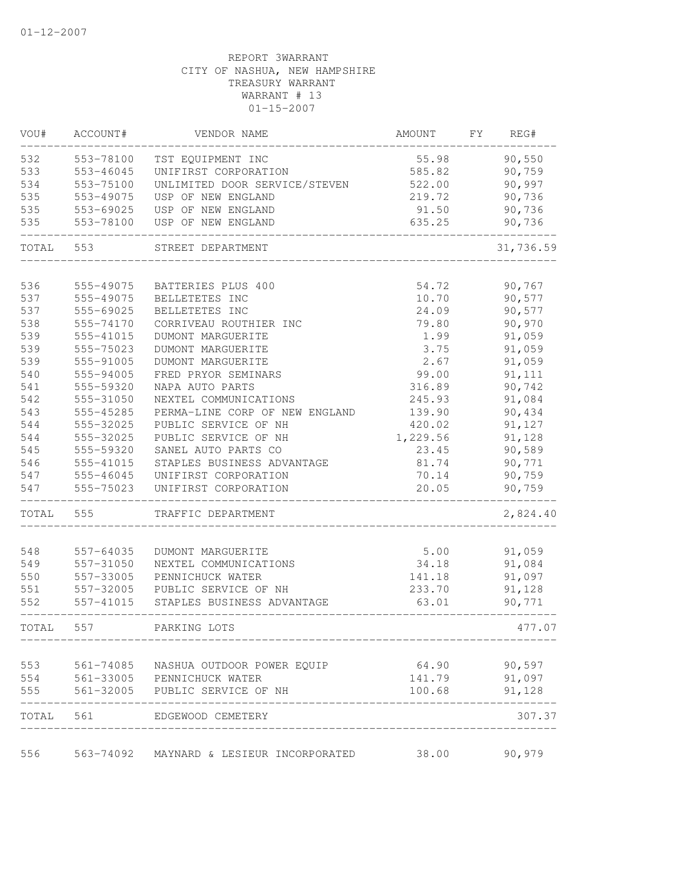| VOU#  | ACCOUNT#  | VENDOR NAME                                                        | AMOUNT   | FY. | REG#         |
|-------|-----------|--------------------------------------------------------------------|----------|-----|--------------|
| 532   | 553-78100 | TST EQUIPMENT INC                                                  | 55.98    |     | 90,550       |
| 533   | 553-46045 | UNIFIRST CORPORATION                                               | 585.82   |     | 90,759       |
| 534   | 553-75100 | UNLIMITED DOOR SERVICE/STEVEN                                      | 522.00   |     | 90,997       |
| 535   | 553-49075 | USP OF NEW ENGLAND                                                 | 219.72   |     | 90,736       |
| 535   | 553-69025 | USP OF NEW ENGLAND                                                 | 91.50    |     | 90,736       |
| 535   | 553-78100 | USP OF NEW ENGLAND                                                 | 635.25   |     | 90,736       |
| TOTAL | 553       | STREET DEPARTMENT                                                  |          |     | 31,736.59    |
| 536   | 555-49075 | BATTERIES PLUS 400                                                 | 54.72    |     | 90,767       |
|       |           |                                                                    |          |     |              |
| 537   | 555-49075 | BELLETETES INC                                                     | 10.70    |     | 90,577       |
| 537   | 555-69025 | BELLETETES INC                                                     | 24.09    |     | 90,577       |
| 538   | 555-74170 | CORRIVEAU ROUTHIER INC                                             | 79.80    |     | 90,970       |
| 539   | 555-41015 | DUMONT MARGUERITE                                                  | 1.99     |     | 91,059       |
| 539   | 555-75023 | DUMONT MARGUERITE                                                  | 3.75     |     | 91,059       |
| 539   | 555-91005 | DUMONT MARGUERITE                                                  | 2.67     |     | 91,059       |
| 540   | 555-94005 | FRED PRYOR SEMINARS                                                | 99.00    |     | 91,111       |
| 541   | 555-59320 | NAPA AUTO PARTS                                                    | 316.89   |     | 90,742       |
| 542   | 555-31050 | NEXTEL COMMUNICATIONS                                              | 245.93   |     | 91,084       |
| 543   | 555-45285 | PERMA-LINE CORP OF NEW ENGLAND                                     | 139.90   |     | 90,434       |
| 544   | 555-32025 | PUBLIC SERVICE OF NH                                               | 420.02   |     | 91,127       |
| 544   | 555-32025 | PUBLIC SERVICE OF NH                                               | 1,229.56 |     | 91,128       |
| 545   | 555-59320 | SANEL AUTO PARTS CO                                                | 23.45    |     | 90,589       |
| 546   | 555-41015 | STAPLES BUSINESS ADVANTAGE                                         | 81.74    |     | 90,771       |
| 547   | 555-46045 | UNIFIRST CORPORATION                                               | 70.14    |     | 90,759       |
| 547   | 555-75023 | UNIFIRST CORPORATION                                               | 20.05    |     | 90,759       |
| TOTAL | 555       | TRAFFIC DEPARTMENT                                                 |          |     | 2,824.40     |
| 548   | 557-64035 | DUMONT MARGUERITE                                                  | 5.00     |     | 91,059       |
| 549   | 557-31050 | NEXTEL COMMUNICATIONS                                              | 34.18    |     | 91,084       |
| 550   | 557-33005 | PENNICHUCK WATER                                                   | 141.18   |     | 91,097       |
| 551   | 557-32005 | PUBLIC SERVICE OF NH                                               | 233.70   |     | 91,128       |
| 552   | 557-41015 | STAPLES BUSINESS ADVANTAGE                                         | 63.01    |     | 90,771       |
| TOTAL | 557       | PARKING LOTS                                                       |          |     | 477.07       |
|       |           |                                                                    |          |     |              |
| 553   |           | 561-74085 NASHUA OUTDOOR POWER EQUIP                               |          |     | 64.90 90,597 |
|       |           | 554 561-33005 PENNICHUCK WATER                                     | 141.79   |     | 91,097       |
| 555   | --------- | 561-32005 PUBLIC SERVICE OF NH                                     | 100.68   |     | 91,128       |
|       |           | TOTAL 561 EDGEWOOD CEMETERY<br>----------------------------------- |          |     | 307.37       |
| 556   |           | 563-74092 MAYNARD & LESIEUR INCORPORATED                           | 38.00    |     | 90,979       |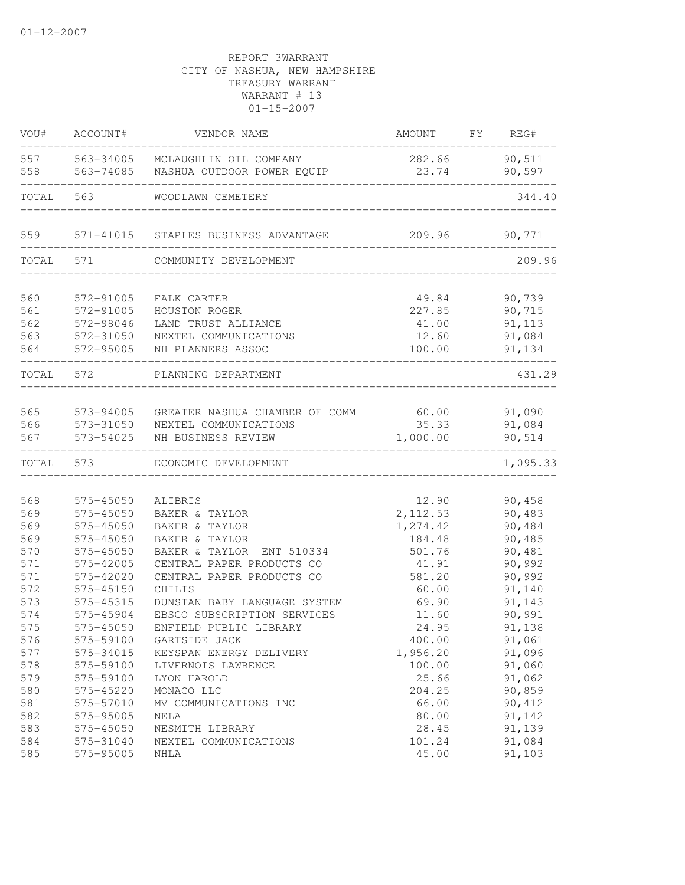| VOU#       | ACCOUNT#               | VENDOR NAME                      | AMOUNT           | FY | REG#             |
|------------|------------------------|----------------------------------|------------------|----|------------------|
| 557        | 563-34005              | MCLAUGHLIN OIL COMPANY           | 282.66           |    | 90,511           |
| 558        | 563-74085              | NASHUA OUTDOOR POWER EQUIP       | 23.74            |    | 90,597           |
| TOTAL      | 563                    | WOODLAWN CEMETERY                |                  |    | 344.40           |
| 559        | 571-41015              | STAPLES BUSINESS ADVANTAGE       | 209.96           |    | 90,771           |
| TOTAL      | 571                    | COMMUNITY DEVELOPMENT            |                  |    | 209.96           |
| 560        | 572-91005              | FALK CARTER                      | 49.84            |    | 90,739           |
| 561        | 572-91005              | HOUSTON ROGER                    | 227.85           |    | 90,715           |
| 562        | 572-98046              | LAND TRUST ALLIANCE              | 41.00            |    | 91, 113          |
| 563        | 572-31050              | NEXTEL COMMUNICATIONS            | 12.60            |    | 91,084           |
| 564        | 572-95005              | NH PLANNERS ASSOC                | 100.00           |    | 91,134           |
| TOTAL      | 572                    | PLANNING DEPARTMENT              |                  |    | 431.29           |
| 565        | 573-94005              | GREATER NASHUA CHAMBER OF COMM   | 60.00            |    | 91,090           |
| 566        | 573-31050              | NEXTEL COMMUNICATIONS            | 35.33            |    | 91,084           |
| 567        | 573-54025              | NH BUSINESS REVIEW               | 1,000.00         |    | 90,514           |
| TOTAL      | 573                    | ECONOMIC DEVELOPMENT             |                  |    | 1,095.33         |
|            |                        |                                  |                  |    |                  |
| 568        | 575-45050              | ALIBRIS                          | 12.90            |    | 90,458           |
| 569        | 575-45050              | BAKER & TAYLOR                   | 2, 112.53        |    | 90,483           |
| 569        | 575-45050<br>575-45050 | BAKER & TAYLOR<br>BAKER & TAYLOR | 1,274.42         |    | 90,484<br>90,485 |
| 569<br>570 | 575-45050              | BAKER & TAYLOR<br>ENT 510334     | 184.48<br>501.76 |    | 90,481           |
| 571        | 575-42005              | CENTRAL PAPER PRODUCTS CO        | 41.91            |    | 90,992           |
| 571        | 575-42020              | CENTRAL PAPER PRODUCTS CO        | 581.20           |    | 90,992           |
| 572        | 575-45150              | CHILIS                           | 60.00            |    | 91,140           |
| 573        | 575-45315              | DUNSTAN BABY LANGUAGE SYSTEM     | 69.90            |    | 91,143           |
| 574        | 575-45904              | EBSCO SUBSCRIPTION SERVICES      | 11.60            |    | 90,991           |
| 575        | 575-45050              | ENFIELD PUBLIC LIBRARY           | 24.95            |    | 91,138           |
| 576        | 575-59100              | GARTSIDE JACK                    | 400.00           |    | 91,061           |
| 577        | 575-34015              | KEYSPAN ENERGY DELIVERY          | 1,956.20         |    | 91,096           |
| 578        | 575-59100              | LIVERNOIS LAWRENCE               | 100.00           |    | 91,060           |
| 579        | 575-59100              | LYON HAROLD                      | 25.66            |    | 91,062           |
| 580        | 575-45220              | MONACO LLC                       | 204.25           |    | 90,859           |
| 581        | 575-57010              | MV COMMUNICATIONS INC            | 66.00            |    | 90,412           |
| 582        | 575-95005              | NELA                             | 80.00            |    | 91,142           |
| 583        | 575-45050              | NESMITH LIBRARY                  | 28.45            |    | 91,139           |
| 584        | 575-31040              | NEXTEL COMMUNICATIONS            | 101.24           |    | 91,084           |
| 585        | 575-95005              | NHLA                             | 45.00            |    | 91,103           |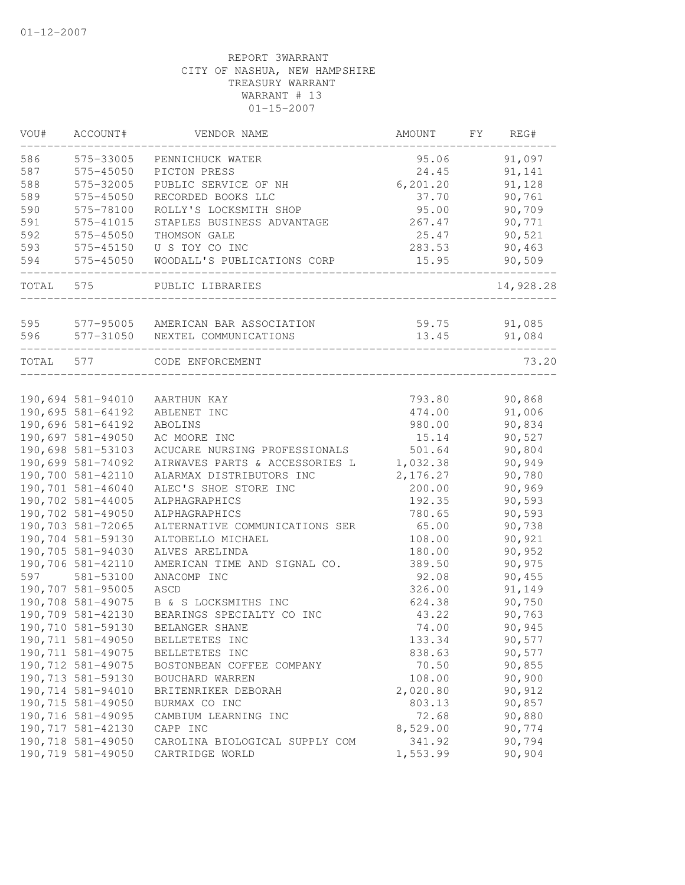| VOU#  | ACCOUNT#           | VENDOR NAME                        | AMOUNT    | FΥ | REG#      |
|-------|--------------------|------------------------------------|-----------|----|-----------|
| 586   | 575-33005          | PENNICHUCK WATER                   | 95.06     |    | 91,097    |
| 587   | 575-45050          | PICTON PRESS                       | 24.45     |    | 91,141    |
| 588   | 575-32005          | PUBLIC SERVICE OF NH               | 6, 201.20 |    | 91,128    |
| 589   | 575-45050          | RECORDED BOOKS LLC                 | 37.70     |    | 90,761    |
| 590   | 575-78100          | ROLLY'S LOCKSMITH SHOP             | 95.00     |    | 90,709    |
| 591   | 575-41015          | STAPLES BUSINESS ADVANTAGE         | 267.47    |    | 90,771    |
| 592   | 575-45050          | THOMSON GALE                       | 25.47     |    | 90,521    |
| 593   | 575-45150          | U S TOY CO INC                     | 283.53    |    | 90,463    |
| 594   | 575-45050          | WOODALL'S PUBLICATIONS CORP        | 15.95     |    | 90,509    |
| TOTAL | 575                | PUBLIC LIBRARIES                   |           |    | 14,928.28 |
| 595   |                    |                                    |           |    |           |
|       |                    | 577-95005 AMERICAN BAR ASSOCIATION | 59.75     |    | 91,085    |
| 596   | 577-31050          | NEXTEL COMMUNICATIONS              | 13.45     |    | 91,084    |
| TOTAL | 577                | CODE ENFORCEMENT                   |           |    | 73.20     |
|       |                    |                                    |           |    |           |
|       | 190,694 581-94010  | AARTHUN KAY                        | 793.80    |    | 90,868    |
|       | 190,695 581-64192  | ABLENET INC                        | 474.00    |    | 91,006    |
|       | 190,696 581-64192  | ABOLINS                            | 980.00    |    | 90,834    |
|       | 190,697 581-49050  | AC MOORE INC                       | 15.14     |    | 90,527    |
|       | 190,698 581-53103  | ACUCARE NURSING PROFESSIONALS      | 501.64    |    | 90,804    |
|       | 190,699 581-74092  | AIRWAVES PARTS & ACCESSORIES L     | 1,032.38  |    | 90,949    |
|       | 190,700 581-42110  | ALARMAX DISTRIBUTORS INC           | 2,176.27  |    | 90,780    |
|       | 190,701 581-46040  | ALEC'S SHOE STORE INC              | 200.00    |    | 90,969    |
|       | 190,702 581-44005  | ALPHAGRAPHICS                      | 192.35    |    | 90,593    |
|       | 190,702 581-49050  | ALPHAGRAPHICS                      | 780.65    |    | 90,593    |
|       | 190,703 581-72065  | ALTERNATIVE COMMUNICATIONS SER     | 65.00     |    | 90,738    |
|       | 190,704 581-59130  | ALTOBELLO MICHAEL                  | 108.00    |    | 90,921    |
|       | 190,705 581-94030  | ALVES ARELINDA                     | 180.00    |    | 90,952    |
|       | 190,706 581-42110  | AMERICAN TIME AND SIGNAL CO.       | 389.50    |    | 90,975    |
| 597   | 581-53100          | ANACOMP INC                        | 92.08     |    | 90,455    |
|       | 190,707 581-95005  | ASCD                               | 326.00    |    | 91,149    |
|       | 190,708 581-49075  | B & S LOCKSMITHS INC               | 624.38    |    | 90,750    |
|       | 190,709 581-42130  | BEARINGS SPECIALTY CO INC          | 43.22     |    | 90,763    |
|       | 190,710 581-59130  | BELANGER SHANE                     | 74.00     |    | 90,945    |
|       | 190,711 581-49050  | BELLETETES INC                     | 133.34    |    | 90,577    |
|       | 190,711 581-49075  | BELLETETES INC                     | 838.63    |    | 90,577    |
|       | 190,712 581-49075  | BOSTONBEAN COFFEE COMPANY          | 70.50     |    | 90,855    |
|       | 190,713 581-59130  | BOUCHARD WARREN                    | 108.00    |    | 90,900    |
|       | 190,714 581-94010  | BRITENRIKER DEBORAH                | 2,020.80  |    | 90,912    |
|       | 190,715 581-49050  | BURMAX CO INC                      | 803.13    |    | 90,857    |
|       | 190,716 581-49095  | CAMBIUM LEARNING INC               | 72.68     |    | 90,880    |
|       | 190, 717 581-42130 | CAPP INC                           | 8,529.00  |    | 90,774    |
|       | 190,718 581-49050  | CAROLINA BIOLOGICAL SUPPLY COM     | 341.92    |    | 90,794    |
|       | 190,719 581-49050  | CARTRIDGE WORLD                    | 1,553.99  |    | 90,904    |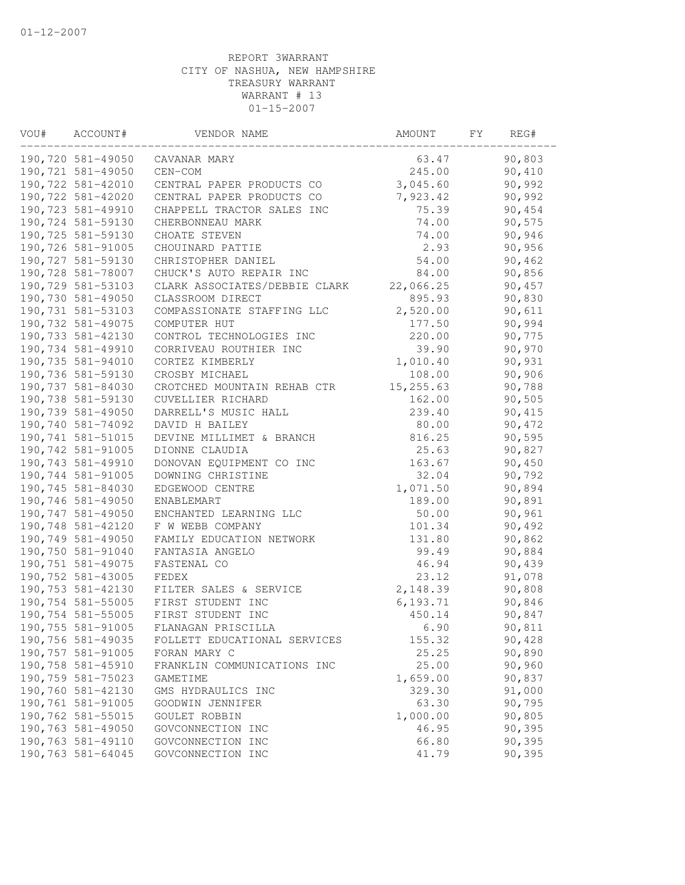| VOU# | ACCOUNT#           | VENDOR NAME                   | AMOUNT    | FY. | REG#   |
|------|--------------------|-------------------------------|-----------|-----|--------|
|      | 190,720 581-49050  | CAVANAR MARY                  | 63.47     |     | 90,803 |
|      | 190,721 581-49050  | CEN-COM                       | 245.00    |     | 90,410 |
|      | 190,722 581-42010  | CENTRAL PAPER PRODUCTS CO     | 3,045.60  |     | 90,992 |
|      | 190,722 581-42020  | CENTRAL PAPER PRODUCTS CO     | 7,923.42  |     | 90,992 |
|      | 190,723 581-49910  | CHAPPELL TRACTOR SALES INC    | 75.39     |     | 90,454 |
|      | 190,724 581-59130  | CHERBONNEAU MARK              | 74.00     |     | 90,575 |
|      | 190,725 581-59130  | CHOATE STEVEN                 | 74.00     |     | 90,946 |
|      | 190,726 581-91005  | CHOUINARD PATTIE              | 2.93      |     | 90,956 |
|      | 190,727 581-59130  | CHRISTOPHER DANIEL            | 54.00     |     | 90,462 |
|      | 190,728 581-78007  | CHUCK'S AUTO REPAIR INC       | 84.00     |     | 90,856 |
|      | 190,729 581-53103  | CLARK ASSOCIATES/DEBBIE CLARK | 22,066.25 |     | 90,457 |
|      | 190,730 581-49050  | CLASSROOM DIRECT              | 895.93    |     | 90,830 |
|      | 190, 731 581-53103 | COMPASSIONATE STAFFING LLC    | 2,520.00  |     | 90,611 |
|      | 190,732 581-49075  | COMPUTER HUT                  | 177.50    |     | 90,994 |
|      | 190,733 581-42130  | CONTROL TECHNOLOGIES INC      | 220.00    |     | 90,775 |
|      | 190,734 581-49910  | CORRIVEAU ROUTHIER INC        | 39.90     |     | 90,970 |
|      | 190,735 581-94010  | CORTEZ KIMBERLY               | 1,010.40  |     | 90,931 |
|      | 190,736 581-59130  | CROSBY MICHAEL                | 108.00    |     | 90,906 |
|      | 190,737 581-84030  | CROTCHED MOUNTAIN REHAB CTR   | 15,255.63 |     | 90,788 |
|      | 190,738 581-59130  | CUVELLIER RICHARD             | 162.00    |     | 90,505 |
|      | 190,739 581-49050  | DARRELL'S MUSIC HALL          | 239.40    |     | 90,415 |
|      | 190,740 581-74092  | DAVID H BAILEY                | 80.00     |     | 90,472 |
|      | 190,741 581-51015  | DEVINE MILLIMET & BRANCH      | 816.25    |     | 90,595 |
|      | 190,742 581-91005  | DIONNE CLAUDIA                | 25.63     |     | 90,827 |
|      | 190,743 581-49910  | DONOVAN EQUIPMENT CO INC      | 163.67    |     | 90,450 |
|      | 190,744 581-91005  | DOWNING CHRISTINE             | 32.04     |     | 90,792 |
|      | 190,745 581-84030  | EDGEWOOD CENTRE               | 1,071.50  |     | 90,894 |
|      | 190,746 581-49050  | ENABLEMART                    | 189.00    |     | 90,891 |
|      | 190,747 581-49050  | ENCHANTED LEARNING LLC        | 50.00     |     | 90,961 |
|      | 190,748 581-42120  | F W WEBB COMPANY              | 101.34    |     | 90,492 |
|      | 190,749 581-49050  | FAMILY EDUCATION NETWORK      | 131.80    |     | 90,862 |
|      | 190,750 581-91040  | FANTASIA ANGELO               | 99.49     |     | 90,884 |
|      | 190,751 581-49075  | FASTENAL CO                   | 46.94     |     | 90,439 |
|      | 190,752 581-43005  | FEDEX                         | 23.12     |     | 91,078 |
|      | 190,753 581-42130  | FILTER SALES & SERVICE        | 2,148.39  |     | 90,808 |
|      | 190,754 581-55005  | FIRST STUDENT INC             | 6, 193.71 |     | 90,846 |
|      | 190,754 581-55005  | FIRST STUDENT INC             | 450.14    |     | 90,847 |
|      | 190,755 581-91005  | FLANAGAN PRISCILLA            | 6.90      |     | 90,811 |
|      | 190,756 581-49035  | FOLLETT EDUCATIONAL SERVICES  | 155.32    |     | 90,428 |
|      | 190,757 581-91005  | FORAN MARY C                  | 25.25     |     | 90,890 |
|      | 190,758 581-45910  | FRANKLIN COMMUNICATIONS INC   | 25.00     |     | 90,960 |
|      | 190,759 581-75023  | GAMETIME                      | 1,659.00  |     | 90,837 |
|      | 190,760 581-42130  | GMS HYDRAULICS INC            | 329.30    |     | 91,000 |
|      | 190,761 581-91005  | GOODWIN JENNIFER              | 63.30     |     | 90,795 |
|      | 190,762 581-55015  | GOULET ROBBIN                 | 1,000.00  |     | 90,805 |
|      | 190,763 581-49050  | GOVCONNECTION INC             | 46.95     |     | 90,395 |
|      | 190,763 581-49110  | GOVCONNECTION INC             | 66.80     |     | 90,395 |
|      | 190,763 581-64045  | GOVCONNECTION INC             | 41.79     |     | 90,395 |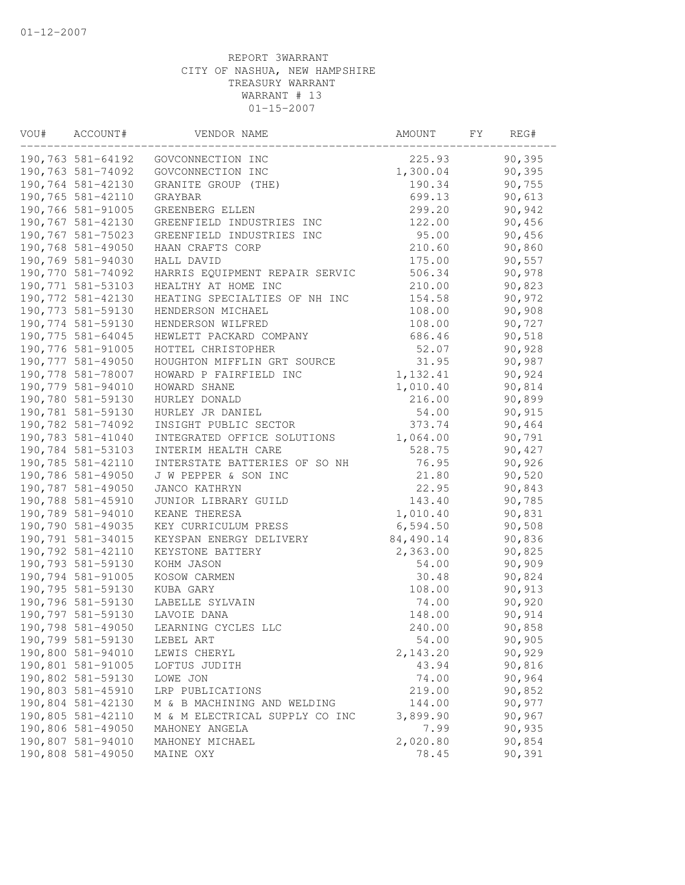| VOU# | ACCOUNT#           | VENDOR NAME                    | AMOUNT    | FY | REG#   |
|------|--------------------|--------------------------------|-----------|----|--------|
|      | 190,763 581-64192  | GOVCONNECTION INC              | 225.93    |    | 90,395 |
|      | 190,763 581-74092  | GOVCONNECTION INC              | 1,300.04  |    | 90,395 |
|      | 190,764 581-42130  | GRANITE GROUP (THE)            | 190.34    |    | 90,755 |
|      | 190,765 581-42110  | GRAYBAR                        | 699.13    |    | 90,613 |
|      | 190,766 581-91005  | GREENBERG ELLEN                | 299.20    |    | 90,942 |
|      | 190,767 581-42130  | GREENFIELD INDUSTRIES INC      | 122.00    |    | 90,456 |
|      | 190,767 581-75023  | GREENFIELD INDUSTRIES INC      | 95.00     |    | 90,456 |
|      | 190,768 581-49050  | HAAN CRAFTS CORP               | 210.60    |    | 90,860 |
|      | 190,769 581-94030  | HALL DAVID                     | 175.00    |    | 90,557 |
|      | 190,770 581-74092  | HARRIS EQUIPMENT REPAIR SERVIC | 506.34    |    | 90,978 |
|      | 190, 771 581-53103 | HEALTHY AT HOME INC            | 210.00    |    | 90,823 |
|      | 190,772 581-42130  | HEATING SPECIALTIES OF NH INC  | 154.58    |    | 90,972 |
|      | 190,773 581-59130  | HENDERSON MICHAEL              | 108.00    |    | 90,908 |
|      | 190,774 581-59130  | HENDERSON WILFRED              | 108.00    |    | 90,727 |
|      | 190,775 581-64045  | HEWLETT PACKARD COMPANY        | 686.46    |    | 90,518 |
|      | 190,776 581-91005  | HOTTEL CHRISTOPHER             | 52.07     |    | 90,928 |
|      | 190,777 581-49050  | HOUGHTON MIFFLIN GRT SOURCE    | 31.95     |    | 90,987 |
|      | 190,778 581-78007  | HOWARD P FAIRFIELD INC         | 1,132.41  |    | 90,924 |
|      | 190,779 581-94010  | HOWARD SHANE                   | 1,010.40  |    | 90,814 |
|      | 190,780 581-59130  | HURLEY DONALD                  | 216.00    |    | 90,899 |
|      | 190,781 581-59130  | HURLEY JR DANIEL               | 54.00     |    | 90,915 |
|      | 190,782 581-74092  | INSIGHT PUBLIC SECTOR          | 373.74    |    | 90,464 |
|      | 190,783 581-41040  | INTEGRATED OFFICE SOLUTIONS    | 1,064.00  |    | 90,791 |
|      | 190,784 581-53103  | INTERIM HEALTH CARE            | 528.75    |    | 90,427 |
|      | 190,785 581-42110  | INTERSTATE BATTERIES OF SO NH  | 76.95     |    | 90,926 |
|      | 190,786 581-49050  | J W PEPPER & SON INC           | 21.80     |    | 90,520 |
|      | 190,787 581-49050  | JANCO KATHRYN                  | 22.95     |    | 90,843 |
|      | 190,788 581-45910  | JUNIOR LIBRARY GUILD           | 143.40    |    | 90,785 |
|      | 190,789 581-94010  | KEANE THERESA                  | 1,010.40  |    | 90,831 |
|      | 190,790 581-49035  | KEY CURRICULUM PRESS           | 6,594.50  |    | 90,508 |
|      | 190,791 581-34015  | KEYSPAN ENERGY DELIVERY        | 84,490.14 |    | 90,836 |
|      | 190,792 581-42110  | KEYSTONE BATTERY               | 2,363.00  |    | 90,825 |
|      | 190,793 581-59130  | KOHM JASON                     | 54.00     |    | 90,909 |
|      | 190,794 581-91005  | KOSOW CARMEN                   | 30.48     |    | 90,824 |
|      | 190,795 581-59130  | KUBA GARY                      | 108.00    |    | 90,913 |
|      | 190,796 581-59130  | LABELLE SYLVAIN                | 74.00     |    | 90,920 |
|      | 190,797 581-59130  | LAVOIE DANA                    | 148.00    |    | 90,914 |
|      | 190,798 581-49050  | LEARNING CYCLES LLC            | 240.00    |    | 90,858 |
|      | 190,799 581-59130  | LEBEL ART                      | 54.00     |    | 90,905 |
|      | 190,800 581-94010  | LEWIS CHERYL                   | 2, 143.20 |    | 90,929 |
|      | 190,801 581-91005  | LOFTUS JUDITH                  | 43.94     |    | 90,816 |
|      | 190,802 581-59130  | LOWE JON                       | 74.00     |    | 90,964 |
|      | 190,803 581-45910  | LRP PUBLICATIONS               | 219.00    |    | 90,852 |
|      | 190,804 581-42130  | M & B MACHINING AND WELDING    | 144.00    |    | 90,977 |
|      | 190,805 581-42110  | M & M ELECTRICAL SUPPLY CO INC | 3,899.90  |    | 90,967 |
|      | 190,806 581-49050  | MAHONEY ANGELA                 | 7.99      |    | 90,935 |
|      | 190,807 581-94010  | MAHONEY MICHAEL                | 2,020.80  |    | 90,854 |
|      | 190,808 581-49050  | MAINE OXY                      | 78.45     |    | 90,391 |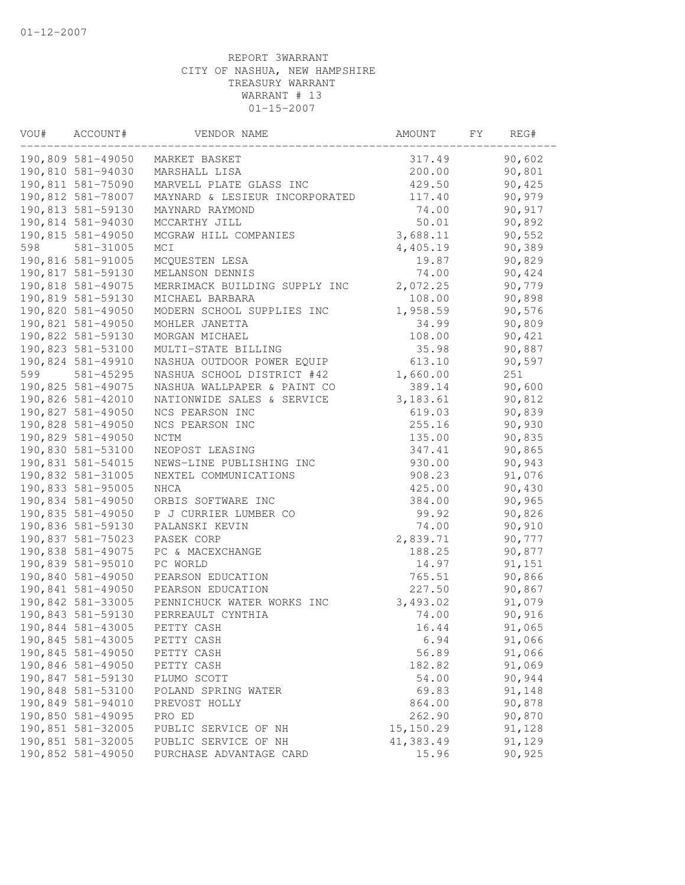| VOU# | ACCOUNT#                               | VENDOR NAME                                  | AMOUNT           | FY | REG#             |  |
|------|----------------------------------------|----------------------------------------------|------------------|----|------------------|--|
|      | 190,809 581-49050                      | MARKET BASKET                                | 317.49           |    | 90,602           |  |
|      | 190,810 581-94030                      | MARSHALL LISA                                | 200.00           |    | 90,801           |  |
|      | 190,811 581-75090                      | MARVELL PLATE GLASS INC                      | 429.50           |    | 90,425           |  |
|      | 190,812 581-78007                      | MAYNARD & LESIEUR INCORPORATED               | 117.40           |    | 90,979           |  |
|      | 190,813 581-59130                      | MAYNARD RAYMOND                              | 74.00            |    | 90,917           |  |
|      | 190,814 581-94030                      | MCCARTHY JILL                                | 50.01            |    | 90,892           |  |
|      | 190,815 581-49050                      | MCGRAW HILL COMPANIES                        | 3,688.11         |    | 90,552           |  |
| 598  | 581-31005                              | MCI                                          | 4,405.19         |    | 90,389           |  |
|      | 190,816 581-91005                      | MCQUESTEN LESA                               | 19.87            |    | 90,829           |  |
|      | 190,817 581-59130                      | MELANSON DENNIS                              | 74.00            |    | 90,424           |  |
|      | 190,818 581-49075                      | MERRIMACK BUILDING SUPPLY INC                | 2,072.25         |    | 90,779           |  |
|      | 190,819 581-59130                      | MICHAEL BARBARA                              | 108.00           |    | 90,898           |  |
|      | 190,820 581-49050                      | MODERN SCHOOL SUPPLIES INC                   | 1,958.59         |    | 90,576           |  |
|      | 190,821 581-49050                      | MOHLER JANETTA                               | 34.99            |    | 90,809           |  |
|      | 190,822 581-59130                      | MORGAN MICHAEL                               | 108.00           |    | 90,421           |  |
|      | 190,823 581-53100                      | MULTI-STATE BILLING                          | 35.98            |    | 90,887           |  |
|      | 190,824 581-49910                      | NASHUA OUTDOOR POWER EQUIP                   | 613.10           |    | 90,597           |  |
| 599  | 581-45295                              | NASHUA SCHOOL DISTRICT #42                   | 1,660.00         |    | 251              |  |
|      | 190,825 581-49075                      | NASHUA WALLPAPER & PAINT CO                  | 389.14           |    | 90,600           |  |
|      | 190,826 581-42010                      | NATIONWIDE SALES & SERVICE                   | 3,183.61         |    | 90,812           |  |
|      | 190,827 581-49050                      | NCS PEARSON INC                              | 619.03           |    | 90,839           |  |
|      | 190,828 581-49050                      | NCS PEARSON INC                              | 255.16           |    | 90,930           |  |
|      | 190,829 581-49050                      | NCTM                                         | 135.00           |    | 90,835           |  |
|      | 190,830 581-53100                      | NEOPOST LEASING                              | 347.41           |    | 90,865           |  |
|      | 190,831 581-54015                      | NEWS-LINE PUBLISHING INC                     | 930.00           |    | 90,943           |  |
|      | 190,832 581-31005                      | NEXTEL COMMUNICATIONS                        | 908.23           |    | 91,076           |  |
|      | 190,833 581-95005                      | NHCA                                         | 425.00           |    | 90,430           |  |
|      | 190,834 581-49050                      | ORBIS SOFTWARE INC                           | 384.00           |    | 90,965           |  |
|      | 190,835 581-49050                      | P J CURRIER LUMBER CO                        | 99.92            |    | 90,826           |  |
|      | 190,836 581-59130                      | PALANSKI KEVIN                               | 74.00            |    | 90,910           |  |
|      | 190,837 581-75023                      | PASEK CORP                                   | 2,839.71         |    | 90,777           |  |
|      | 190,838 581-49075                      | PC & MACEXCHANGE                             | 188.25           |    | 90,877           |  |
|      | 190,839 581-95010                      | PC WORLD                                     | 14.97            |    | 91,151           |  |
|      | 190,840 581-49050                      | PEARSON EDUCATION                            | 765.51           |    | 90,866           |  |
|      | 190,841 581-49050                      | PEARSON EDUCATION                            | 227.50           |    | 90,867           |  |
|      | 190,842 581-33005                      | PENNICHUCK WATER WORKS INC                   | 3,493.02         |    | 91,079           |  |
|      | 190,843 581-59130                      | PERREAULT CYNTHIA                            | 74.00            |    | 90,916           |  |
|      | 190,844 581-43005                      | PETTY CASH                                   | 16.44            |    | 91,065           |  |
|      | 190,845 581-43005                      | PETTY CASH                                   | 6.94             |    | 91,066           |  |
|      | 190,845 581-49050                      | PETTY CASH                                   | 56.89            |    | 91,066           |  |
|      | 190,846 581-49050                      | PETTY CASH                                   | 182.82           |    | 91,069           |  |
|      | 190,847 581-59130<br>190,848 581-53100 | PLUMO SCOTT                                  | 54.00<br>69.83   |    | 90,944           |  |
|      | 190,849 581-94010                      | POLAND SPRING WATER                          |                  |    | 91,148           |  |
|      | 190,850 581-49095                      | PREVOST HOLLY<br>PRO ED                      | 864.00<br>262.90 |    | 90,878<br>90,870 |  |
|      | 190,851 581-32005                      |                                              | 15, 150.29       |    |                  |  |
|      | 190,851 581-32005                      | PUBLIC SERVICE OF NH<br>PUBLIC SERVICE OF NH | 41,383.49        |    | 91,128<br>91,129 |  |
|      | 190,852 581-49050                      | PURCHASE ADVANTAGE CARD                      | 15.96            |    | 90,925           |  |
|      |                                        |                                              |                  |    |                  |  |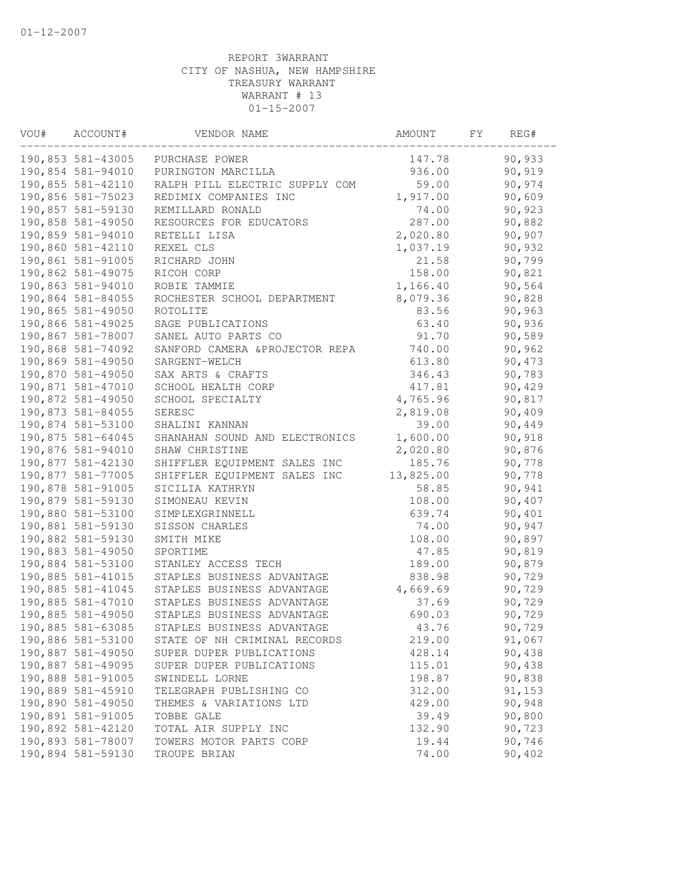| VOU# | ACCOUNT#          | VENDOR NAME                     | AMOUNT    | FΥ | REG#   |
|------|-------------------|---------------------------------|-----------|----|--------|
|      | 190,853 581-43005 | PURCHASE POWER                  | 147.78    |    | 90,933 |
|      | 190,854 581-94010 | PURINGTON MARCILLA              | 936.00    |    | 90,919 |
|      | 190,855 581-42110 | RALPH PILL ELECTRIC SUPPLY COM  | 59.00     |    | 90,974 |
|      | 190,856 581-75023 | REDIMIX COMPANIES INC           | 1,917.00  |    | 90,609 |
|      | 190,857 581-59130 | REMILLARD RONALD                | 74.00     |    | 90,923 |
|      | 190,858 581-49050 | RESOURCES FOR EDUCATORS         | 287.00    |    | 90,882 |
|      | 190,859 581-94010 | RETELLI LISA                    | 2,020.80  |    | 90,907 |
|      | 190,860 581-42110 | REXEL CLS                       | 1,037.19  |    | 90,932 |
|      | 190,861 581-91005 | RICHARD JOHN                    | 21.58     |    | 90,799 |
|      | 190,862 581-49075 | RICOH CORP                      | 158.00    |    | 90,821 |
|      | 190,863 581-94010 | ROBIE TAMMIE                    | 1,166.40  |    | 90,564 |
|      | 190,864 581-84055 | ROCHESTER SCHOOL DEPARTMENT     | 8,079.36  |    | 90,828 |
|      | 190,865 581-49050 | ROTOLITE                        | 83.56     |    | 90,963 |
|      | 190,866 581-49025 | SAGE PUBLICATIONS               | 63.40     |    | 90,936 |
|      | 190,867 581-78007 | SANEL AUTO PARTS CO             | 91.70     |    | 90,589 |
|      | 190,868 581-74092 | SANFORD CAMERA & PROJECTOR REPA | 740.00    |    | 90,962 |
|      | 190,869 581-49050 | SARGENT-WELCH                   | 613.80    |    | 90,473 |
|      | 190,870 581-49050 | SAX ARTS & CRAFTS               | 346.43    |    | 90,783 |
|      | 190,871 581-47010 | SCHOOL HEALTH CORP              | 417.81    |    | 90,429 |
|      | 190,872 581-49050 | SCHOOL SPECIALTY                | 4,765.96  |    | 90,817 |
|      | 190,873 581-84055 | SERESC                          | 2,819.08  |    | 90,409 |
|      | 190,874 581-53100 | SHALINI KANNAN                  | 39.00     |    | 90,449 |
|      | 190,875 581-64045 | SHANAHAN SOUND AND ELECTRONICS  | 1,600.00  |    | 90,918 |
|      | 190,876 581-94010 | SHAW CHRISTINE                  | 2,020.80  |    | 90,876 |
|      | 190,877 581-42130 | SHIFFLER EQUIPMENT SALES INC    | 185.76    |    | 90,778 |
|      | 190,877 581-77005 | SHIFFLER EQUIPMENT SALES INC    | 13,825.00 |    | 90,778 |
|      | 190,878 581-91005 | SICILIA KATHRYN                 | 58.85     |    | 90,941 |
|      | 190,879 581-59130 | SIMONEAU KEVIN                  | 108.00    |    | 90,407 |
|      | 190,880 581-53100 | SIMPLEXGRINNELL                 | 639.74    |    | 90,401 |
|      | 190,881 581-59130 | SISSON CHARLES                  | 74.00     |    | 90,947 |
|      | 190,882 581-59130 | SMITH MIKE                      | 108.00    |    | 90,897 |
|      | 190,883 581-49050 | SPORTIME                        | 47.85     |    | 90,819 |
|      | 190,884 581-53100 | STANLEY ACCESS TECH             | 189.00    |    | 90,879 |
|      | 190,885 581-41015 | STAPLES BUSINESS ADVANTAGE      | 838.98    |    | 90,729 |
|      | 190,885 581-41045 | STAPLES BUSINESS ADVANTAGE      | 4,669.69  |    | 90,729 |
|      | 190,885 581-47010 | STAPLES BUSINESS ADVANTAGE      | 37.69     |    | 90,729 |
|      | 190,885 581-49050 | STAPLES BUSINESS ADVANTAGE      | 690.03    |    | 90,729 |
|      | 190,885 581-63085 | STAPLES BUSINESS ADVANTAGE      | 43.76     |    | 90,729 |
|      | 190,886 581-53100 | STATE OF NH CRIMINAL RECORDS    | 219.00    |    | 91,067 |
|      | 190,887 581-49050 | SUPER DUPER PUBLICATIONS        | 428.14    |    | 90,438 |
|      | 190,887 581-49095 | SUPER DUPER PUBLICATIONS        | 115.01    |    | 90,438 |
|      | 190,888 581-91005 | SWINDELL LORNE                  | 198.87    |    | 90,838 |
|      | 190,889 581-45910 | TELEGRAPH PUBLISHING CO         | 312.00    |    | 91,153 |
|      | 190,890 581-49050 | THEMES & VARIATIONS LTD         | 429.00    |    | 90,948 |
|      | 190,891 581-91005 | TOBBE GALE                      | 39.49     |    | 90,800 |
|      | 190,892 581-42120 | TOTAL AIR SUPPLY INC            | 132.90    |    | 90,723 |
|      | 190,893 581-78007 | TOWERS MOTOR PARTS CORP         | 19.44     |    | 90,746 |
|      | 190,894 581-59130 | TROUPE BRIAN                    | 74.00     |    | 90,402 |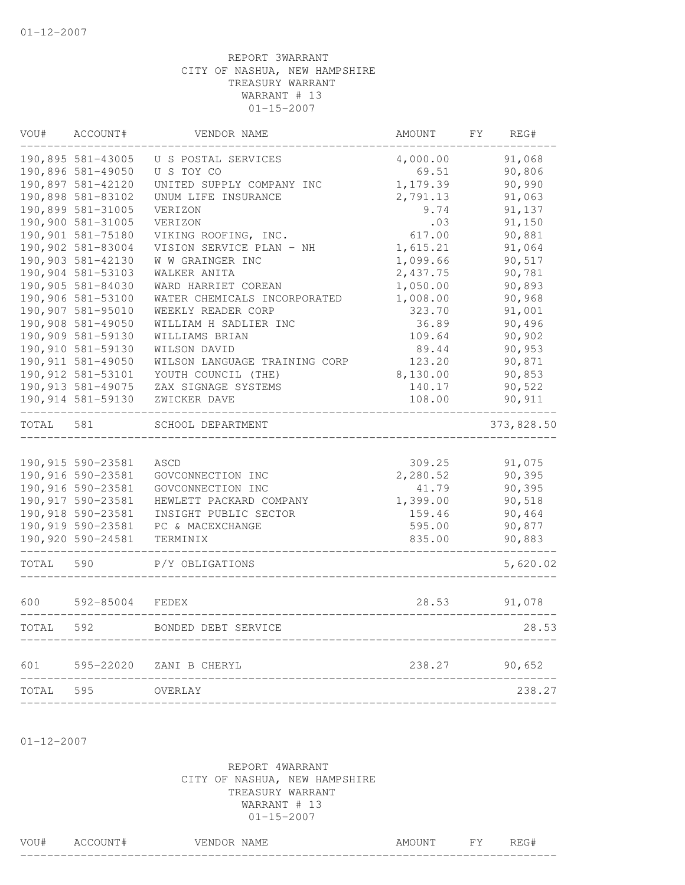| VOU#  | ACCOUNT#           | VENDOR NAME                   | AMOUNT   | FY | REG#       |
|-------|--------------------|-------------------------------|----------|----|------------|
|       | 190,895 581-43005  | U S POSTAL SERVICES           | 4,000.00 |    | 91,068     |
|       | 190,896 581-49050  | U S TOY CO                    | 69.51    |    | 90,806     |
|       | 190,897 581-42120  | UNITED SUPPLY COMPANY INC     | 1,179.39 |    | 90,990     |
|       | 190,898 581-83102  | UNUM LIFE INSURANCE           | 2,791.13 |    | 91,063     |
|       | 190,899 581-31005  | VERIZON                       | 9.74     |    | 91,137     |
|       | 190,900 581-31005  | VERIZON                       | .03      |    | 91,150     |
|       | 190,901 581-75180  | VIKING ROOFING, INC.          | 617.00   |    | 90,881     |
|       | 190,902 581-83004  | VISION SERVICE PLAN - NH      | 1,615.21 |    | 91,064     |
|       | 190,903 581-42130  | W W GRAINGER INC              | 1,099.66 |    | 90,517     |
|       | 190,904 581-53103  | WALKER ANITA                  | 2,437.75 |    | 90,781     |
|       | 190,905 581-84030  | WARD HARRIET COREAN           | 1,050.00 |    | 90,893     |
|       | 190,906 581-53100  | WATER CHEMICALS INCORPORATED  | 1,008.00 |    | 90,968     |
|       | 190,907 581-95010  | WEEKLY READER CORP            | 323.70   |    | 91,001     |
|       | 190,908 581-49050  | WILLIAM H SADLIER INC         | 36.89    |    | 90,496     |
|       | 190,909 581-59130  | WILLIAMS BRIAN                | 109.64   |    | 90,902     |
|       | 190,910 581-59130  | WILSON DAVID                  | 89.44    |    | 90,953     |
|       | 190, 911 581-49050 | WILSON LANGUAGE TRAINING CORP | 123.20   |    | 90,871     |
|       | 190, 912 581-53101 | YOUTH COUNCIL (THE)           | 8,130.00 |    | 90,853     |
|       | 190, 913 581-49075 | ZAX SIGNAGE SYSTEMS           | 140.17   |    | 90,522     |
|       | 190,914 581-59130  | ZWICKER DAVE                  | 108.00   |    | 90,911     |
| TOTAL | 581                | SCHOOL DEPARTMENT             |          |    | 373,828.50 |
|       |                    |                               |          |    |            |
|       | 190,915 590-23581  | ASCD                          | 309.25   |    | 91,075     |
|       | 190,916 590-23581  | GOVCONNECTION INC             | 2,280.52 |    | 90,395     |
|       | 190,916 590-23581  | GOVCONNECTION INC             | 41.79    |    | 90,395     |
|       | 190,917 590-23581  | HEWLETT PACKARD COMPANY       | 1,399.00 |    | 90,518     |
|       | 190,918 590-23581  | INSIGHT PUBLIC SECTOR         | 159.46   |    | 90,464     |
|       | 190,919 590-23581  | PC & MACEXCHANGE              | 595.00   |    | 90,877     |
|       | 190,920 590-24581  | TERMINIX                      | 835.00   |    | 90,883     |
| TOTAL | 590                | P/Y OBLIGATIONS               |          |    | 5,620.02   |
| 600   | 592-85004          | FEDEX                         | 28.53    |    | 91,078     |
| TOTAL | 592                | BONDED DEBT SERVICE           |          |    | 28.53      |
|       |                    |                               |          |    |            |
| 601   | 595-22020          | ZANI B CHERYL                 | 238.27   |    | 90,652     |
| TOTAL | 595                | OVERLAY                       |          |    | 238.27     |
|       |                    |                               |          |    |            |

01-12-2007

| VOU# | ACCOUNT# | VENDOR NAME | AMOUNT | FY. | REG# |
|------|----------|-------------|--------|-----|------|
|      |          |             |        |     |      |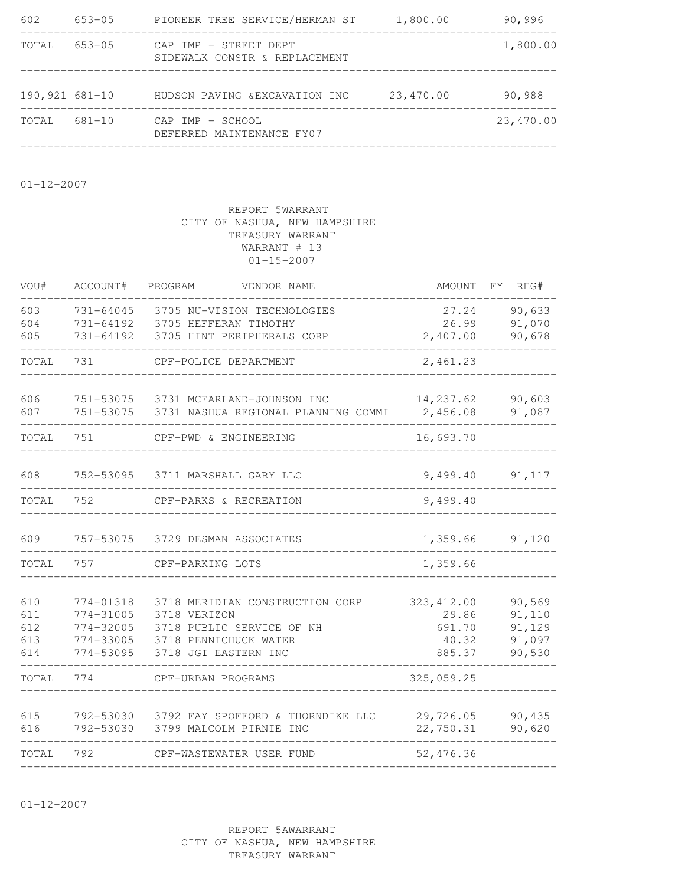| 602                  | 653-05 | PIONEER TREE SERVICE/HERMAN ST                         | 1,800.00  | 90,996    |
|----------------------|--------|--------------------------------------------------------|-----------|-----------|
| TOTAL                | 653-05 | CAP IMP - STREET DEPT<br>SIDEWALK CONSTR & REPLACEMENT |           | 1,800.00  |
| $190, 921, 681 - 10$ |        | HUDSON PAVING & EXCAVATION INC                         | 23,470.00 | 90,988    |
| TOTAL                | 681-10 | CAP IMP - SCHOOL<br>DEFERRED MAINTENANCE FY07          |           | 23,470.00 |
|                      |        |                                                        |           |           |

01-12-2007

## REPORT 5WARRANT CITY OF NASHUA, NEW HAMPSHIRE TREASURY WARRANT WARRANT # 13 01-15-2007

| VOU#                            | ACCOUNT#                                                      | PROGRAM<br>VENDOR NAME                                                                                                        | AMOUNT                                            | REG#<br>FY                                     |
|---------------------------------|---------------------------------------------------------------|-------------------------------------------------------------------------------------------------------------------------------|---------------------------------------------------|------------------------------------------------|
| 603<br>604<br>605               | 731-64045<br>731-64192<br>731-64192                           | 3705 NU-VISION TECHNOLOGIES<br>3705 HEFFERAN TIMOTHY<br>3705 HINT PERIPHERALS CORP                                            | 27.24<br>26.99<br>2,407.00                        | 90,633<br>91,070<br>90,678                     |
| TOTAL                           | 731                                                           | CPF-POLICE DEPARTMENT                                                                                                         | 2,461.23                                          |                                                |
| 606<br>607                      | 751-53075<br>751-53075                                        | 3731 MCFARLAND-JOHNSON INC<br>3731 NASHUA REGIONAL PLANNING COMMI                                                             | 14,237.62<br>2,456.08                             | 90,603<br>91,087                               |
| TOTAL                           | 751                                                           | CPF-PWD & ENGINEERING                                                                                                         | 16,693.70                                         |                                                |
| 608                             | 752-53095                                                     | 3711 MARSHALL GARY LLC                                                                                                        | 9,499.40                                          | 91,117                                         |
| TOTAL                           | 752                                                           | CPF-PARKS & RECREATION                                                                                                        | 9,499.40                                          |                                                |
| 609                             | 757-53075                                                     | 3729 DESMAN ASSOCIATES                                                                                                        | 1,359.66                                          | 91,120                                         |
| TOTAL                           | 757                                                           | CPF-PARKING LOTS                                                                                                              | 1,359.66                                          |                                                |
| 610<br>611<br>612<br>613<br>614 | 774-01318<br>774-31005<br>774-32005<br>774-33005<br>774-53095 | 3718 MERIDIAN CONSTRUCTION CORP<br>3718 VERIZON<br>3718 PUBLIC SERVICE OF NH<br>3718 PENNICHUCK WATER<br>3718 JGI EASTERN INC | 323, 412.00<br>29.86<br>691.70<br>40.32<br>885.37 | 90,569<br>91,110<br>91,129<br>91,097<br>90,530 |
| TOTAL                           | 774                                                           | CPF-URBAN PROGRAMS                                                                                                            | 325,059.25                                        |                                                |
| 615<br>616                      | 792-53030<br>792-53030                                        | 3792 FAY SPOFFORD & THORNDIKE LLC<br>3799 MALCOLM PIRNIE INC                                                                  | 29,726.05<br>22,750.31                            | 90,435<br>90,620                               |
| TOTAL                           | 792                                                           | CPF-WASTEWATER USER FUND                                                                                                      | 52,476.36                                         |                                                |
|                                 |                                                               |                                                                                                                               |                                                   |                                                |

01-12-2007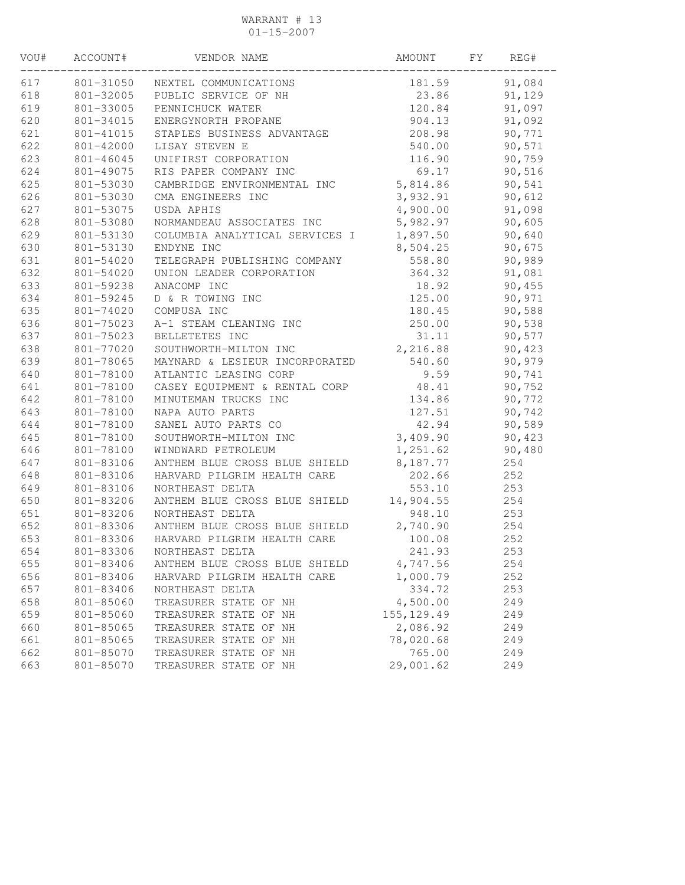### WARRANT # 13 01-15-2007

| VOU# | ACCOUNT#  | VENDOR NAME                             | AMOUNT      | FY | REG#   |
|------|-----------|-----------------------------------------|-------------|----|--------|
| 617  | 801-31050 | NEXTEL COMMUNICATIONS                   | 181.59      |    | 91,084 |
| 618  | 801-32005 | PUBLIC SERVICE OF NH                    | 23.86       |    | 91,129 |
| 619  | 801-33005 | PENNICHUCK WATER                        | 120.84      |    | 91,097 |
| 620  | 801-34015 | ENERGYNORTH PROPANE                     | 904.13      |    | 91,092 |
| 621  | 801-41015 | STAPLES BUSINESS ADVANTAGE              | 208.98      |    | 90,771 |
| 622  | 801-42000 | LISAY STEVEN E                          | 540.00      |    | 90,571 |
| 623  | 801-46045 | UNIFIRST CORPORATION                    | 116.90      |    | 90,759 |
| 624  | 801-49075 | RIS PAPER COMPANY INC                   | 69.17       |    | 90,516 |
| 625  | 801-53030 | CAMBRIDGE ENVIRONMENTAL INC             | 5,814.86    |    | 90,541 |
| 626  | 801-53030 | CMA ENGINEERS INC                       | 3,932.91    |    | 90,612 |
| 627  | 801-53075 | USDA APHIS                              | 4,900.00    |    | 91,098 |
| 628  | 801-53080 | NORMANDEAU ASSOCIATES INC               | 5,982.97    |    | 90,605 |
| 629  | 801-53130 | COLUMBIA ANALYTICAL SERVICES I          | 1,897.50    |    | 90,640 |
| 630  | 801-53130 | ENDYNE INC                              | 8,504.25    |    | 90,675 |
| 631  | 801-54020 | TELEGRAPH PUBLISHING COMPANY            | 558.80      |    | 90,989 |
| 632  | 801-54020 | UNION LEADER CORPORATION                | 364.32      |    | 91,081 |
| 633  | 801-59238 | ANACOMP INC                             | 18.92       |    | 90,455 |
| 634  | 801-59245 | D & R TOWING INC                        | 125.00      |    | 90,971 |
| 635  | 801-74020 | COMPUSA INC                             | 180.45      |    | 90,588 |
| 636  | 801-75023 | A-1 STEAM CLEANING INC                  | 250.00      |    | 90,538 |
| 637  | 801-75023 | BELLETETES INC                          | 31.11       |    | 90,577 |
| 638  | 801-77020 | SOUTHWORTH-MILTON INC                   | 2,216.88    |    | 90,423 |
| 639  | 801-78065 | MAYNARD & LESIEUR INCORPORATED          | 540.60      |    | 90,979 |
| 640  | 801-78100 | ATLANTIC LEASING CORP                   | 9.59        |    | 90,741 |
| 641  | 801-78100 | CASEY EQUIPMENT & RENTAL CORP           | 48.41       |    | 90,752 |
| 642  | 801-78100 | MINUTEMAN TRUCKS INC                    | 134.86      |    | 90,772 |
| 643  | 801-78100 | NAPA AUTO PARTS                         | 127.51      |    | 90,742 |
| 644  | 801-78100 | SANEL AUTO PARTS CO                     | 42.94       |    | 90,589 |
| 645  | 801-78100 | SOUTHWORTH-MILTON INC                   | 3,409.90    |    | 90,423 |
| 646  | 801-78100 | WINDWARD PETROLEUM                      | 1,251.62    |    | 90,480 |
| 647  | 801-83106 | ANTHEM BLUE CROSS BLUE SHIELD           | 8,187.77    |    | 254    |
| 648  | 801-83106 | HARVARD PILGRIM HEALTH CARE             | 202.66      |    | 252    |
| 649  | 801-83106 | NORTHEAST DELTA                         | 553.10      |    | 253    |
| 650  | 801-83206 | ANTHEM BLUE CROSS BLUE SHIELD           | 14,904.55   |    | 254    |
| 651  | 801-83206 | NORTHEAST DELTA                         | 948.10      |    | 253    |
| 652  |           | 801-83306 ANTHEM BLUE CROSS BLUE SHIELD | 2,740.90    |    | 254    |
| 653  | 801-83306 | HARVARD PILGRIM HEALTH CARE             | 100.08      |    | 252    |
| 654  |           | 801-83306 NORTHEAST DELTA               | 241.93      |    | 253    |
| 655  | 801-83406 | ANTHEM BLUE CROSS BLUE SHIELD           | 4,747.56    |    | 254    |
| 656  | 801-83406 | HARVARD PILGRIM HEALTH CARE             | 1,000.79    |    | 252    |
| 657  | 801-83406 | NORTHEAST DELTA                         | 334.72      |    | 253    |
| 658  | 801-85060 | TREASURER STATE OF NH                   | 4,500.00    |    | 249    |
| 659  | 801-85060 | TREASURER STATE OF NH                   | 155, 129.49 |    | 249    |
| 660  | 801-85065 | TREASURER STATE OF NH                   | 2,086.92    |    | 249    |
| 661  | 801-85065 | TREASURER STATE OF NH                   | 78,020.68   |    | 249    |
| 662  | 801-85070 | TREASURER STATE OF NH                   | 765.00      |    | 249    |
| 663  | 801-85070 | TREASURER STATE OF NH                   | 29,001.62   |    | 249    |
|      |           |                                         |             |    |        |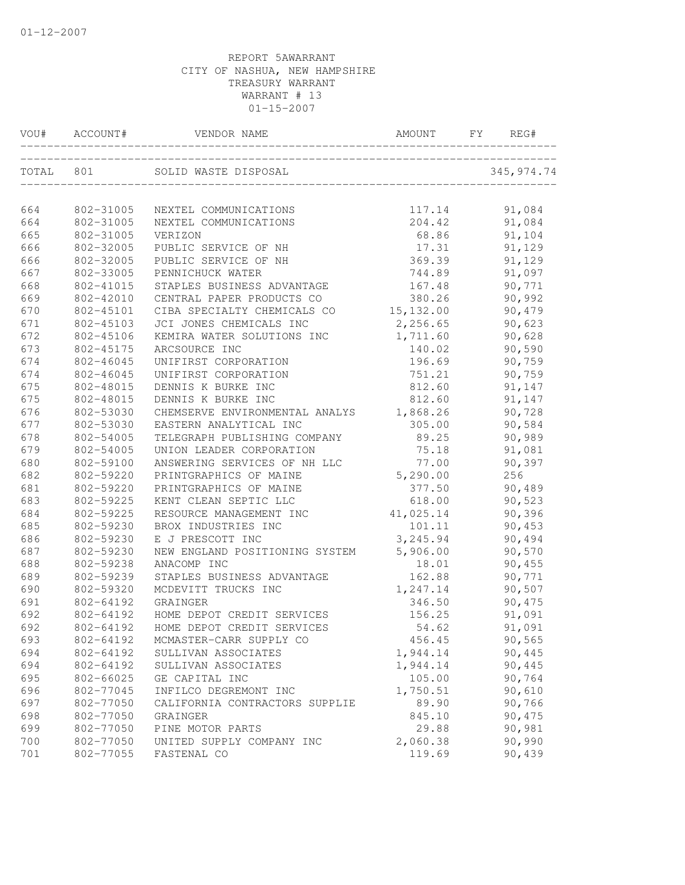| VOU#  | ACCOUNT#  | VENDOR NAME                    | AMOUNT     | FY | REG#        |
|-------|-----------|--------------------------------|------------|----|-------------|
| TOTAL | 801       | SOLID WASTE DISPOSAL           |            |    | 345, 974.74 |
| 664   | 802-31005 | NEXTEL COMMUNICATIONS          | 117.14     |    | 91,084      |
| 664   | 802-31005 | NEXTEL COMMUNICATIONS          | 204.42     |    | 91,084      |
| 665   | 802-31005 | VERIZON                        | 68.86      |    | 91,104      |
| 666   | 802-32005 | PUBLIC SERVICE OF NH           | 17.31      |    | 91,129      |
| 666   | 802-32005 | PUBLIC SERVICE OF NH           | 369.39     |    | 91,129      |
| 667   | 802-33005 | PENNICHUCK WATER               | 744.89     |    | 91,097      |
| 668   | 802-41015 | STAPLES BUSINESS ADVANTAGE     | 167.48     |    | 90,771      |
| 669   | 802-42010 | CENTRAL PAPER PRODUCTS CO      | 380.26     |    | 90,992      |
| 670   | 802-45101 | CIBA SPECIALTY CHEMICALS CO    | 15, 132.00 |    | 90,479      |
| 671   | 802-45103 | JCI JONES CHEMICALS INC        | 2,256.65   |    | 90,623      |
| 672   | 802-45106 | KEMIRA WATER SOLUTIONS INC     | 1,711.60   |    | 90,628      |
| 673   | 802-45175 | ARCSOURCE INC                  | 140.02     |    | 90,590      |
| 674   | 802-46045 | UNIFIRST CORPORATION           | 196.69     |    | 90,759      |
| 674   | 802-46045 | UNIFIRST CORPORATION           | 751.21     |    | 90,759      |
| 675   | 802-48015 | DENNIS K BURKE INC             | 812.60     |    | 91,147      |
| 675   | 802-48015 | DENNIS K BURKE INC             | 812.60     |    | 91,147      |
| 676   | 802-53030 | CHEMSERVE ENVIRONMENTAL ANALYS | 1,868.26   |    | 90,728      |
| 677   | 802-53030 | EASTERN ANALYTICAL INC         | 305.00     |    | 90,584      |
| 678   | 802-54005 | TELEGRAPH PUBLISHING COMPANY   | 89.25      |    | 90,989      |
| 679   | 802-54005 | UNION LEADER CORPORATION       | 75.18      |    | 91,081      |
| 680   | 802-59100 | ANSWERING SERVICES OF NH LLC   | 77.00      |    | 90,397      |
| 682   | 802-59220 | PRINTGRAPHICS OF MAINE         | 5,290.00   |    | 256         |
| 681   | 802-59220 | PRINTGRAPHICS OF MAINE         | 377.50     |    | 90,489      |
| 683   | 802-59225 | KENT CLEAN SEPTIC LLC          | 618.00     |    | 90,523      |
| 684   | 802-59225 | RESOURCE MANAGEMENT INC        | 41,025.14  |    | 90,396      |
| 685   | 802-59230 | BROX INDUSTRIES INC            | 101.11     |    | 90,453      |
| 686   | 802-59230 | E J PRESCOTT INC               | 3,245.94   |    | 90,494      |
| 687   | 802-59230 | NEW ENGLAND POSITIONING SYSTEM | 5,906.00   |    | 90,570      |
| 688   | 802-59238 | ANACOMP INC                    | 18.01      |    | 90,455      |
| 689   | 802-59239 | STAPLES BUSINESS ADVANTAGE     | 162.88     |    | 90,771      |
| 690   | 802-59320 | MCDEVITT TRUCKS INC            | 1,247.14   |    | 90,507      |
| 691   | 802-64192 | GRAINGER                       | 346.50     |    | 90,475      |
| 692   | 802-64192 | HOME DEPOT CREDIT SERVICES     | 156.25     |    | 91,091      |
| 692   | 802-64192 | HOME DEPOT CREDIT SERVICES     | 54.62      |    | 91,091      |
| 693   | 802-64192 | MCMASTER-CARR SUPPLY CO        | 456.45     |    | 90,565      |
| 694   | 802-64192 | SULLIVAN ASSOCIATES            | 1,944.14   |    | 90,445      |
| 694   | 802-64192 | SULLIVAN ASSOCIATES            | 1,944.14   |    | 90,445      |
| 695   | 802-66025 | GE CAPITAL INC                 | 105.00     |    | 90,764      |
| 696   | 802-77045 | INFILCO DEGREMONT INC          | 1,750.51   |    | 90,610      |
| 697   | 802-77050 | CALIFORNIA CONTRACTORS SUPPLIE | 89.90      |    | 90,766      |
| 698   | 802-77050 | GRAINGER                       | 845.10     |    | 90,475      |
| 699   | 802-77050 | PINE MOTOR PARTS               | 29.88      |    | 90,981      |
| 700   | 802-77050 | UNITED SUPPLY COMPANY INC      | 2,060.38   |    | 90,990      |
| 701   | 802-77055 | FASTENAL CO                    | 119.69     |    | 90,439      |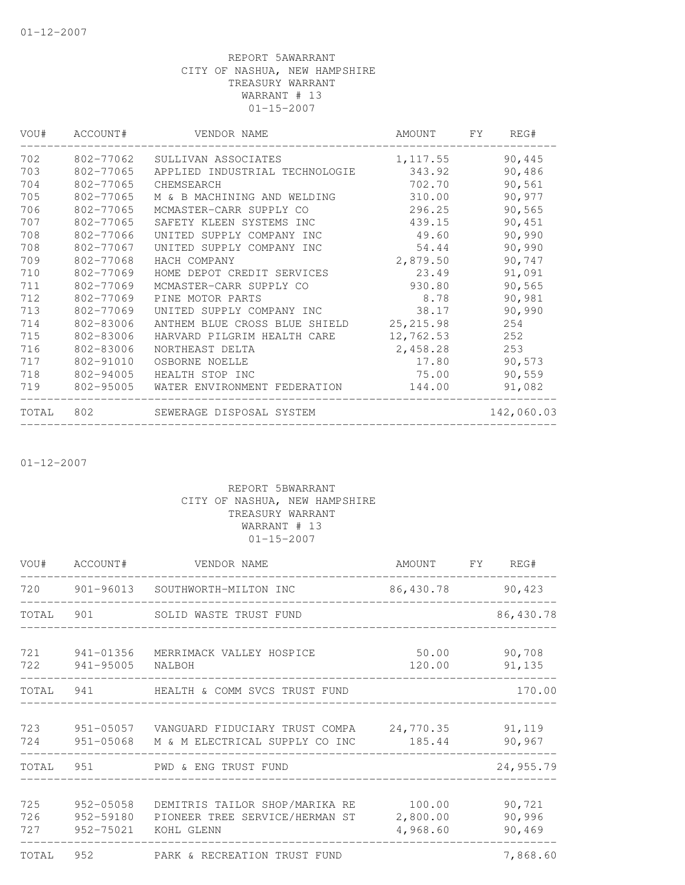| VOU#  | ACCOUNT#  | VENDOR NAME                    | AMOUNT     | FY. | REG#       |
|-------|-----------|--------------------------------|------------|-----|------------|
| 702   | 802-77062 | SULLIVAN ASSOCIATES            | 1, 117.55  |     | 90,445     |
| 703   | 802-77065 | APPLIED INDUSTRIAL TECHNOLOGIE | 343.92     |     | 90,486     |
| 704   | 802-77065 | CHEMSEARCH                     | 702.70     |     | 90,561     |
| 705   | 802-77065 | M & B MACHINING AND WELDING    | 310.00     |     | 90,977     |
| 706   | 802-77065 | MCMASTER-CARR SUPPLY CO        | 296.25     |     | 90,565     |
| 707   | 802-77065 | SAFETY KLEEN SYSTEMS INC       | 439.15     |     | 90,451     |
| 708   | 802-77066 | UNITED SUPPLY COMPANY INC      | 49.60      |     | 90,990     |
| 708   | 802-77067 | UNITED SUPPLY COMPANY INC      | 54.44      |     | 90,990     |
| 709   | 802-77068 | HACH COMPANY                   | 2,879.50   |     | 90,747     |
| 710   | 802-77069 | HOME DEPOT CREDIT SERVICES     | 23.49      |     | 91,091     |
| 711   | 802-77069 | MCMASTER-CARR SUPPLY CO        | 930.80     |     | 90,565     |
| 712   | 802-77069 | PINE MOTOR PARTS               | 8.78       |     | 90,981     |
| 713   | 802-77069 | UNITED SUPPLY COMPANY INC      | 38.17      |     | 90,990     |
| 714   | 802-83006 | ANTHEM BLUE CROSS BLUE SHIELD  | 25, 215.98 |     | 254        |
| 715   | 802-83006 | HARVARD PILGRIM HEALTH CARE    | 12,762.53  |     | 252        |
| 716   | 802-83006 | NORTHEAST DELTA                | 2,458.28   |     | 253        |
| 717   | 802-91010 | OSBORNE NOELLE                 | 17.80      |     | 90,573     |
| 718   | 802-94005 | HEALTH STOP INC                | 75.00      |     | 90,559     |
| 719   | 802-95005 | WATER ENVIRONMENT FEDERATION   | 144.00     |     | 91,082     |
| TOTAL | 802       | SEWERAGE DISPOSAL SYSTEM       |            |     | 142,060.03 |
|       |           |                                |            |     |            |

01-12-2007

|                   |                        | VOU# ACCOUNT# VENDOR NAME                                                                                            | AMOUNT FY REG#         |                            |
|-------------------|------------------------|----------------------------------------------------------------------------------------------------------------------|------------------------|----------------------------|
|                   |                        | 720 901-96013 SOUTHWORTH-MILTON INC                                                                                  | 86,430.78              | 90,423                     |
|                   |                        | TOTAL 901 SOLID WASTE TRUST FUND                                                                                     |                        | 86,430.78                  |
| 721               | 722 941-95005          | 941-01356 MERRIMACK VALLEY HOSPICE<br>NALBOH                                                                         | 50.00 90,708<br>120.00 | 91,135                     |
|                   |                        | TOTAL 941 HEALTH & COMM SVCS TRUST FUND                                                                              |                        | 170.00                     |
| 724               |                        | 723  951-05057  VANGUARD FIDUCIARY TRUST COMPA  24,770.35  91,119<br>951-05068 M & M ELECTRICAL SUPPLY CO INC 185.44 |                        | 90,967                     |
| TOTAL             | 951                    | PWD & ENG TRUST FUND                                                                                                 |                        | 24,955.79                  |
| 725<br>726<br>727 | 952-05058<br>952-59180 | PIONEER TREE SERVICE/HERMAN ST<br>952-75021 KOHL GLENN                                                               | 2,800.00<br>4,968.60   | 90,721<br>90,996<br>90,469 |
| <b>TOTAL</b>      |                        | 952 PARK & RECREATION TRUST FUND                                                                                     |                        | 7,868.60                   |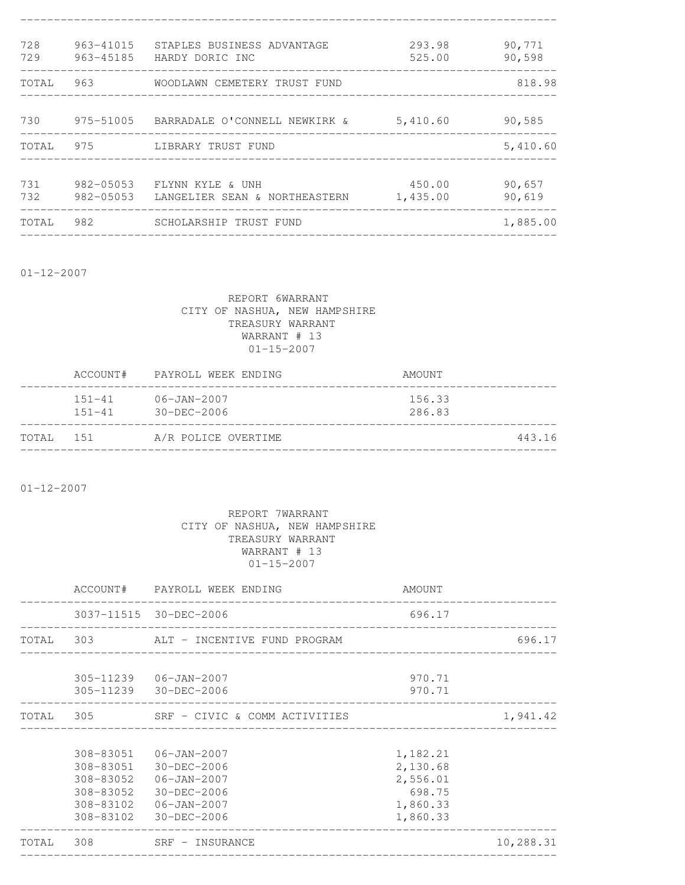| 728<br>729 | 963-41015<br>963-45185 | STAPLES BUSINESS ADVANTAGE<br>HARDY DORIC INC     | 293.98<br>525.00   | 90,771<br>90,598 |
|------------|------------------------|---------------------------------------------------|--------------------|------------------|
| TOTAL      | 963                    | WOODLAWN CEMETERY TRUST FUND                      |                    | 818.98           |
| 730        |                        | 975-51005   BARRADALE O'CONNELL NEWKIRK &         | 5,410.60           | 90,585           |
|            |                        | TOTAL 975 LIBRARY TRUST FUND                      |                    | 5,410.60         |
| 731<br>732 | 982-05053<br>982-05053 | FLYNN KYLE & UNH<br>LANGELIER SEAN & NORTHEASTERN | 450.00<br>1,435.00 | 90,657<br>90,619 |
| TOTAL      | 982                    | SCHOLARSHIP TRUST FUND                            |                    | 1,885.00         |
|            |                        |                                                   |                    |                  |

01-12-2007

## REPORT 6WARRANT CITY OF NASHUA, NEW HAMPSHIRE TREASURY WARRANT WARRANT # 13 01-15-2007

|       | ACCOUNT#                 | PAYROLL WEEK ENDING                    | AMOUNT           |
|-------|--------------------------|----------------------------------------|------------------|
|       | $151 - 41$<br>$151 - 41$ | $06 - JAN - 2007$<br>$30 - DEC - 2006$ | 156.33<br>286.83 |
| TOTAL | 1.51                     | A/R POLICE OVERTIME                    | 443.16           |

01-12-2007

|  | ACCOUNT# PAYROLL WEEK ENDING                                                                                                                         | AMOUNT                                                             |           |
|--|------------------------------------------------------------------------------------------------------------------------------------------------------|--------------------------------------------------------------------|-----------|
|  | 3037-11515 30-DEC-2006<br>____________________________                                                                                               | 696.17                                                             |           |
|  | TOTAL 303 ALT - INCENTIVE FUND PROGRAM                                                                                                               |                                                                    | 696.17    |
|  | 305-11239 06-JAN-2007<br>305-11239 30-DEC-2006                                                                                                       | 970.71<br>970.71                                                   |           |
|  | TOTAL 305 SRF - CIVIC & COMM ACTIVITIES                                                                                                              |                                                                    | 1,941.42  |
|  | 308-83051  06-JAN-2007<br>308-83051 30-DEC-2006<br>308-83052 06-JAN-2007<br>308-83052 30-DEC-2006<br>308-83102  06-JAN-2007<br>308-83102 30-DEC-2006 | 1,182.21<br>2,130.68<br>2,556.01<br>698.75<br>1,860.33<br>1,860.33 |           |
|  | TOTAL 308 SRF - INSURANCE                                                                                                                            |                                                                    | 10,288.31 |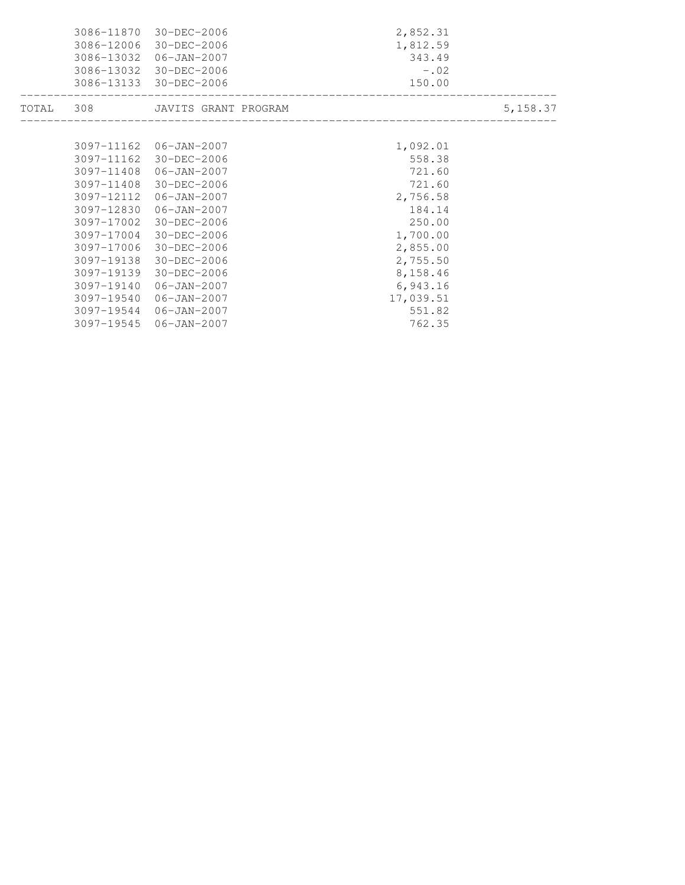| 3086-11870<br>3086-12006 | 30-DEC-2006<br>30-DEC-2006<br>3086-13032 06-JAN-2007<br>3086-13032 30-DEC-2006<br>3086-13133 30-DEC-2006 | 2,852.31<br>1,812.59<br>343.49<br>$-0.02$<br>150.00 |          |
|--------------------------|----------------------------------------------------------------------------------------------------------|-----------------------------------------------------|----------|
|                          | TOTAL 308 JAVITS GRANT PROGRAM                                                                           |                                                     | 5,158.37 |
|                          | 3097-11162 06-JAN-2007                                                                                   | 1,092.01                                            |          |
| 3097-11162               | 30-DEC-2006                                                                                              | 558.38                                              |          |
|                          | 3097-11408 06-JAN-2007                                                                                   | 721.60                                              |          |
| 3097-11408               | 30-DEC-2006                                                                                              | 721.60                                              |          |
|                          | 3097-12112 06-JAN-2007                                                                                   | 2,756.58                                            |          |
| 3097-12830               | 06-JAN-2007                                                                                              | 184.14                                              |          |
| 3097-17002               | 30-DEC-2006                                                                                              | 250.00                                              |          |
|                          | 3097-17004 30-DEC-2006                                                                                   | 1,700.00                                            |          |
| 3097-17006               | 30-DEC-2006                                                                                              | 2,855.00                                            |          |
| 3097-19138               | 30-DEC-2006                                                                                              | 2,755.50                                            |          |
| 3097-19139               | 30-DEC-2006                                                                                              | 8,158.46                                            |          |
| 3097-19140               | 06-JAN-2007                                                                                              | 6,943.16                                            |          |
| 3097-19540               | 06-JAN-2007                                                                                              | 17,039.51                                           |          |
|                          | 3097-19544 06-JAN-2007                                                                                   | 551.82                                              |          |
|                          | 3097-19545 06-JAN-2007                                                                                   | 762.35                                              |          |
|                          |                                                                                                          |                                                     |          |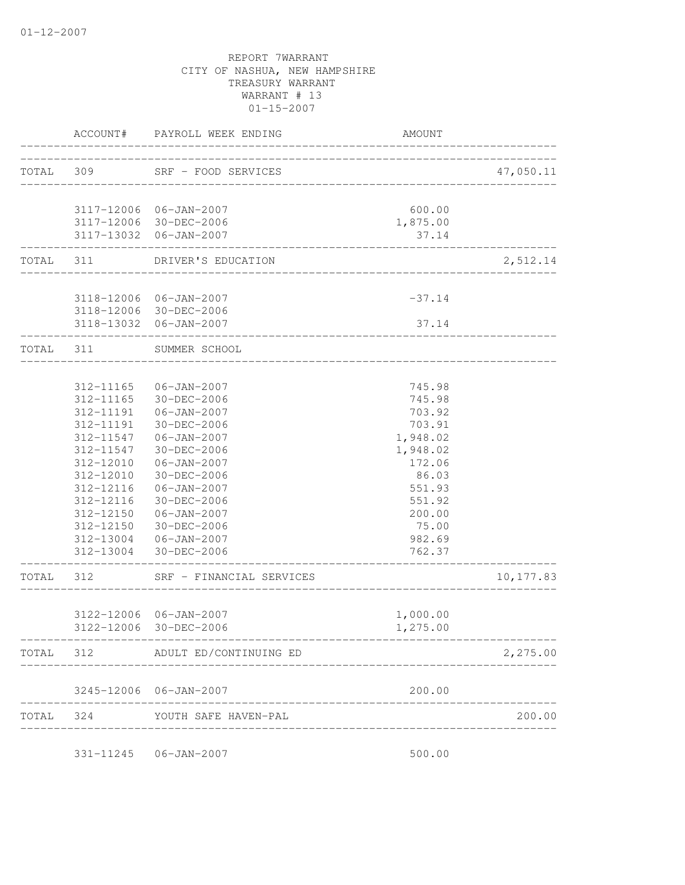|           | ACCOUNT#  | PAYROLL WEEK ENDING              | <b>AMOUNT</b> |           |
|-----------|-----------|----------------------------------|---------------|-----------|
|           |           | TOTAL 309 SRF - FOOD SERVICES    |               | 47,050.11 |
|           |           |                                  |               |           |
|           |           | 3117-12006 06-JAN-2007           | 600.00        |           |
|           |           | 3117-12006 30-DEC-2006           | 1,875.00      |           |
|           |           | 3117-13032 06-JAN-2007           | 37.14         |           |
|           |           | TOTAL 311 DRIVER'S EDUCATION     |               | 2,512.14  |
|           |           |                                  |               |           |
|           |           | 3118-12006 06-JAN-2007           | $-37.14$      |           |
|           |           | 3118-12006 30-DEC-2006           |               |           |
|           |           | 3118-13032 06-JAN-2007           | 37.14         |           |
|           | TOTAL 311 | SUMMER SCHOOL                    |               |           |
|           |           |                                  |               |           |
|           | 312-11165 | 06-JAN-2007                      | 745.98        |           |
|           | 312-11165 | 30-DEC-2006                      | 745.98        |           |
|           | 312-11191 | 06-JAN-2007                      | 703.92        |           |
|           | 312-11191 | 30-DEC-2006                      | 703.91        |           |
|           | 312-11547 | 06-JAN-2007                      | 1,948.02      |           |
|           | 312-11547 | 30-DEC-2006                      | 1,948.02      |           |
|           | 312-12010 | $06 - JAN - 2007$                | 172.06        |           |
|           | 312-12010 | 30-DEC-2006                      | 86.03         |           |
|           | 312-12116 | $06 - JAN - 2007$                | 551.93        |           |
|           | 312-12116 | 30-DEC-2006                      | 551.92        |           |
|           | 312-12150 | 06-JAN-2007                      | 200.00        |           |
|           | 312-12150 | 30-DEC-2006                      | 75.00         |           |
|           | 312-13004 | 06-JAN-2007                      | 982.69        |           |
|           |           | 312-13004 30-DEC-2006            | 762.37        |           |
| TOTAL 312 |           | SRF - FINANCIAL SERVICES         |               | 10,177.83 |
|           |           | 3122-12006 06-JAN-2007           | 1,000.00      |           |
|           |           |                                  |               |           |
|           |           | 3122-12006 30-DEC-2006           | 1,275.00      |           |
|           |           | TOTAL 312 ADULT ED/CONTINUING ED |               | 2,275.00  |
|           |           | 3245-12006 06-JAN-2007           | 200.00        |           |
|           |           | TOTAL 324 YOUTH SAFE HAVEN-PAL   |               | 200.00    |
|           |           |                                  |               |           |
|           |           | 331-11245   06-JAN-2007          | 500.00        |           |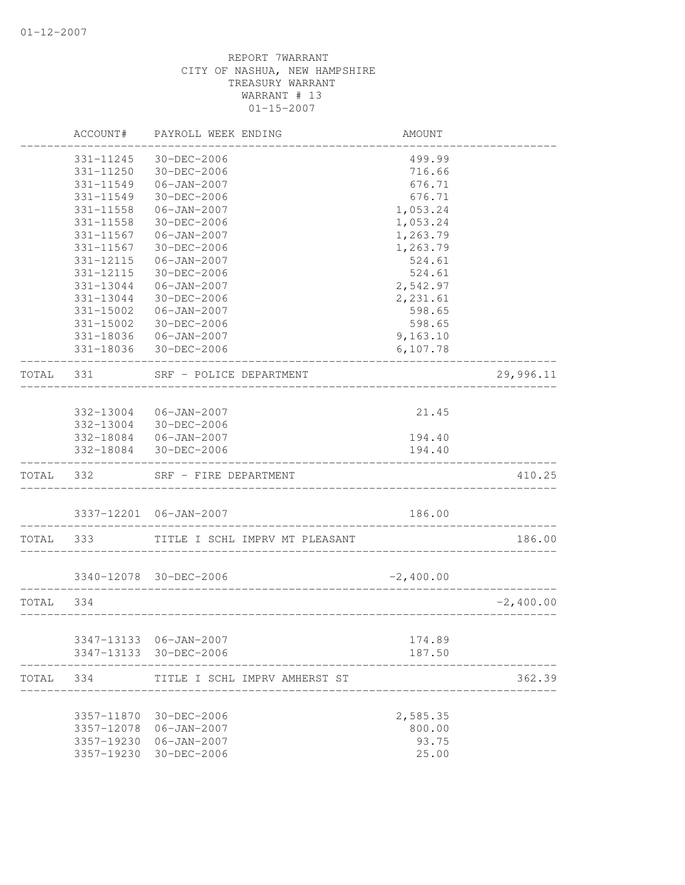|       | ACCOUNT#   | PAYROLL WEEK ENDING                    | AMOUNT            |             |
|-------|------------|----------------------------------------|-------------------|-------------|
|       | 331-11245  | 30-DEC-2006                            | 499.99            |             |
|       | 331-11250  | 30-DEC-2006                            | 716.66            |             |
|       | 331-11549  | 06-JAN-2007                            | 676.71            |             |
|       | 331-11549  | 30-DEC-2006                            | 676.71            |             |
|       | 331-11558  | $06 - JAN - 2007$                      | 1,053.24          |             |
|       | 331-11558  | 30-DEC-2006                            | 1,053.24          |             |
|       | 331-11567  | 06-JAN-2007                            | 1,263.79          |             |
|       | 331-11567  | 30-DEC-2006                            | 1,263.79          |             |
|       | 331-12115  | 06-JAN-2007                            | 524.61            |             |
|       | 331-12115  | 30-DEC-2006                            | 524.61            |             |
|       | 331-13044  | 06-JAN-2007                            | 2,542.97          |             |
|       | 331-13044  | 30-DEC-2006                            | 2,231.61          |             |
|       | 331-15002  | $06 - JAN - 2007$                      | 598.65            |             |
|       | 331-15002  | 30-DEC-2006                            | 598.65            |             |
|       | 331-18036  | $06 - JAN - 2007$                      | 9,163.10          |             |
|       | 331-18036  | 30-DEC-2006                            | 6,107.78          |             |
| TOTAL | 331        | SRF - POLICE DEPARTMENT                |                   | 29,996.11   |
|       |            |                                        |                   |             |
|       | 332-13004  | 06-JAN-2007<br>30-DEC-2006             | 21.45             |             |
|       | 332-13004  |                                        | 194.40            |             |
|       | 332-18084  | 332-18084   06-JAN-2007<br>30-DEC-2006 | 194.40            |             |
| TOTAL | 332        | SRF - FIRE DEPARTMENT                  | --------          | 410.25      |
|       |            |                                        |                   |             |
|       |            | 3337-12201 06-JAN-2007                 | 186.00            |             |
| TOTAL | 333        | TITLE I SCHL IMPRV MT PLEASANT         | _________________ | 186.00      |
|       |            |                                        | $-2,400.00$       |             |
|       |            | 3340-12078 30-DEC-2006                 |                   |             |
| TOTAL | 334        |                                        |                   | $-2,400.00$ |
|       |            | 3347-13133 06-JAN-2007                 | 174.89            |             |
|       |            | 3347-13133 30-DEC-2006                 | 187.50            |             |
| TOTAL | 334        | TITLE I SCHL IMPRV AMHERST ST          |                   | 362.39      |
|       | 3357-11870 | 30-DEC-2006                            | 2,585.35          |             |
|       | 3357-12078 | 06-JAN-2007                            | 800.00            |             |
|       | 3357-19230 | $06 - JAN - 2007$                      | 93.75             |             |
|       | 3357-19230 | 30-DEC-2006                            | 25.00             |             |
|       |            |                                        |                   |             |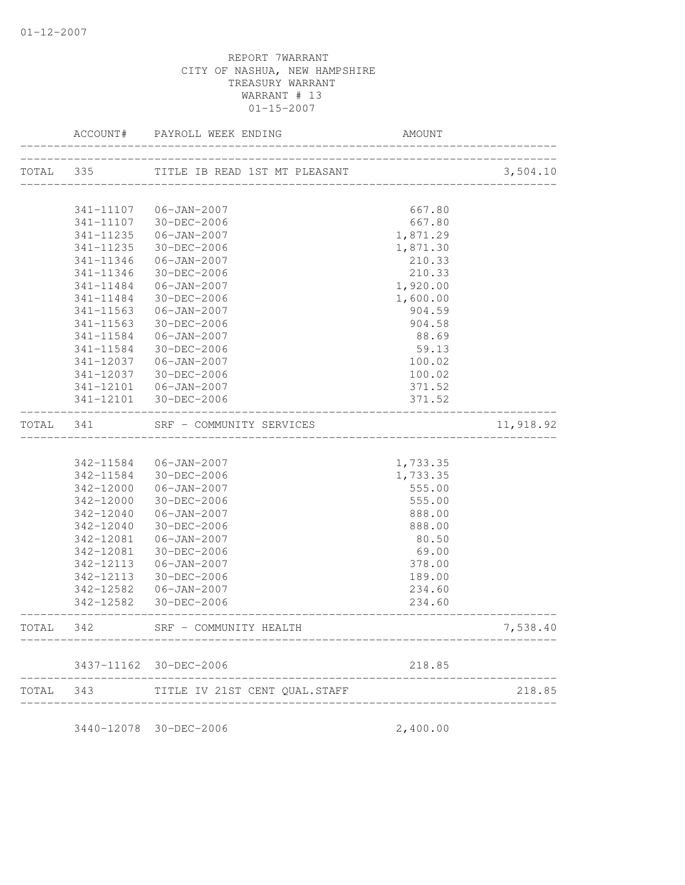|           |           | ACCOUNT# PAYROLL WEEK ENDING                                   | AMOUNT   |           |
|-----------|-----------|----------------------------------------------------------------|----------|-----------|
|           |           | TOTAL 335 TITLE IB READ 1ST MT PLEASANT                        |          | 3,504.10  |
|           |           |                                                                |          |           |
|           |           | 341-11107   06-JAN-2007                                        | 667.80   |           |
|           |           | 341-11107 30-DEC-2006                                          | 667.80   |           |
|           | 341-11235 | 06-JAN-2007                                                    | 1,871.29 |           |
|           | 341-11235 | 30-DEC-2006                                                    | 1,871.30 |           |
|           | 341-11346 | 06-JAN-2007                                                    | 210.33   |           |
|           | 341-11346 | 30-DEC-2006                                                    | 210.33   |           |
|           | 341-11484 | 06-JAN-2007                                                    | 1,920.00 |           |
|           | 341-11484 | 30-DEC-2006                                                    | 1,600.00 |           |
|           | 341-11563 | 06-JAN-2007                                                    | 904.59   |           |
|           | 341-11563 | 30-DEC-2006                                                    | 904.58   |           |
|           | 341-11584 | 06-JAN-2007                                                    | 88.69    |           |
|           | 341-11584 | 30-DEC-2006                                                    | 59.13    |           |
|           | 341-12037 | 06-JAN-2007                                                    | 100.02   |           |
|           | 341-12037 | 30-DEC-2006                                                    | 100.02   |           |
|           | 341-12101 | $06 - JAN - 2007$                                              | 371.52   |           |
|           |           | 341-12101 30-DEC-2006<br>_____________________________________ | 371.52   |           |
| TOTAL 341 |           | SRF - COMMUNITY SERVICES                                       |          | 11,918.92 |
|           |           |                                                                |          |           |
|           |           | 342-11584 06-JAN-2007                                          | 1,733.35 |           |
|           |           | 342-11584 30-DEC-2006                                          | 1,733.35 |           |
|           | 342-12000 | 06-JAN-2007                                                    | 555.00   |           |
|           | 342-12000 | 30-DEC-2006                                                    | 555.00   |           |
|           | 342-12040 | 06-JAN-2007                                                    | 888.00   |           |
|           | 342-12040 | 30-DEC-2006                                                    | 888.00   |           |
|           | 342-12081 | 06-JAN-2007                                                    | 80.50    |           |
|           | 342-12081 | 30-DEC-2006                                                    | 69.00    |           |
|           | 342-12113 | 06-JAN-2007                                                    | 378.00   |           |
|           | 342-12113 | 30-DEC-2006                                                    | 189.00   |           |
|           | 342-12582 | $06 - JAN - 2007$                                              | 234.60   |           |
|           |           | 342-12582 30-DEC-2006                                          | 234.60   |           |
| TOTAL     | 342       | SRF - COMMUNITY HEALTH                                         |          | 7,538.40  |
|           |           | 3437-11162 30-DEC-2006                                         | 218.85   |           |
| TOTAL     | 343       | TITLE IV 21ST CENT QUAL.STAFF                                  |          | 218.85    |
|           |           |                                                                |          |           |

3440-12078 30-DEC-2006 2,400.00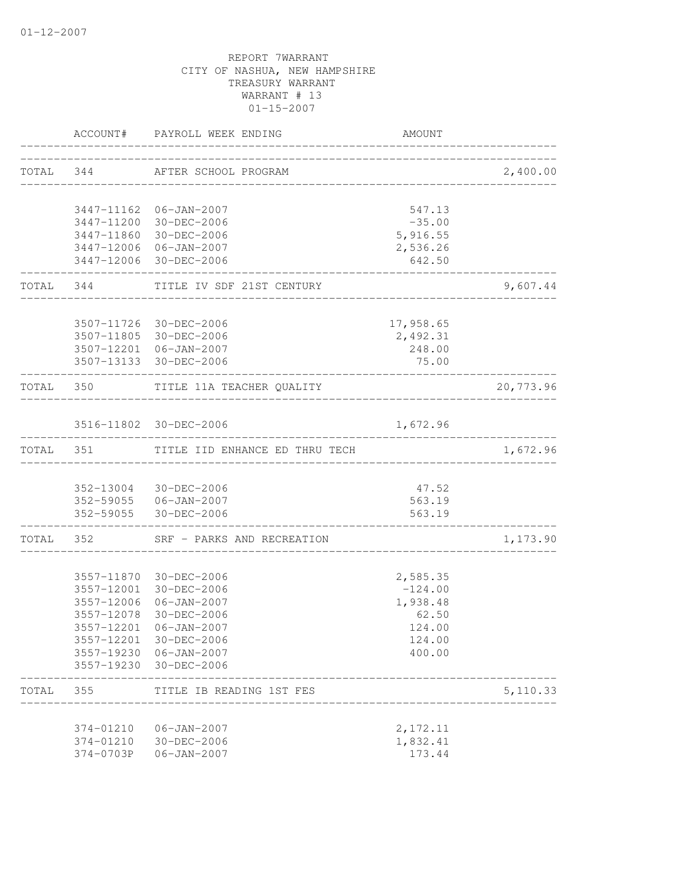|           |                           | ACCOUNT# PAYROLL WEEK ENDING                      | AMOUNT                  |           |
|-----------|---------------------------|---------------------------------------------------|-------------------------|-----------|
|           |                           | TOTAL 344 AFTER SCHOOL PROGRAM                    |                         | 2,400.00  |
|           |                           |                                                   | _______________________ |           |
|           |                           | 3447-11162 06-JAN-2007                            | 547.13                  |           |
|           |                           | 3447-11200 30-DEC-2006                            | $-35.00$                |           |
|           |                           | 3447-11860 30-DEC-2006                            | 5,916.55                |           |
|           |                           | 3447-12006 06-JAN-2007                            | 2,536.26                |           |
|           |                           | 3447-12006 30-DEC-2006                            | 642.50                  |           |
|           |                           | TOTAL 344 TITLE IV SDF 21ST CENTURY               |                         | 9,607.44  |
|           |                           |                                                   |                         |           |
|           |                           | 3507-11726 30-DEC-2006                            | 17,958.65               |           |
|           |                           | 3507-11805 30-DEC-2006                            | 2,492.31                |           |
|           |                           | 3507-12201 06-JAN-2007<br>3507-13133 30-DEC-2006  | 248.00<br>75.00         |           |
|           |                           |                                                   |                         |           |
|           | TOTAL 350                 | TITLE 11A TEACHER QUALITY<br>-------------------- |                         | 20,773.96 |
|           |                           |                                                   |                         |           |
|           |                           | 3516-11802 30-DEC-2006                            | 1,672.96                |           |
| TOTAL 351 |                           | TITLE IID ENHANCE ED THRU TECH                    |                         | 1,672.96  |
|           |                           | 352-13004 30-DEC-2006                             | 47.52                   |           |
|           |                           | 352-59055  06-JAN-2007                            | 563.19                  |           |
|           |                           | 352-59055 30-DEC-2006                             | 563.19                  |           |
|           | . _ _ _ _ _ _ _ _ _ _ _ _ | TOTAL 352 SRF - PARKS AND RECREATION              |                         | 1,173.90  |
|           |                           |                                                   |                         |           |
|           |                           | 3557-11870 30-DEC-2006                            | 2,585.35                |           |
|           | 3557-12001                | 30-DEC-2006                                       | $-124.00$               |           |
|           | 3557-12006                | 06-JAN-2007                                       | 1,938.48                |           |
|           | 3557-12078                | 30-DEC-2006                                       | 62.50                   |           |
|           |                           | 3557-12201 06-JAN-2007                            | 124.00                  |           |
|           |                           | 3557-12201 30-DEC-2006                            | 124.00                  |           |
|           |                           | 3557-19230 06-JAN-2007                            | 400.00                  |           |
|           |                           | 3557-19230 30-DEC-2006                            |                         |           |
| TOTAL     | 355                       | TITLE IB READING 1ST FES                          |                         | 5,110.33  |
|           | 374-01210                 | $06 - JAN - 2007$                                 | 2,172.11                |           |
|           | 374-01210                 | 30-DEC-2006                                       | 1,832.41                |           |
|           | 374-0703P                 | $06 - JAN - 2007$                                 | 173.44                  |           |
|           |                           |                                                   |                         |           |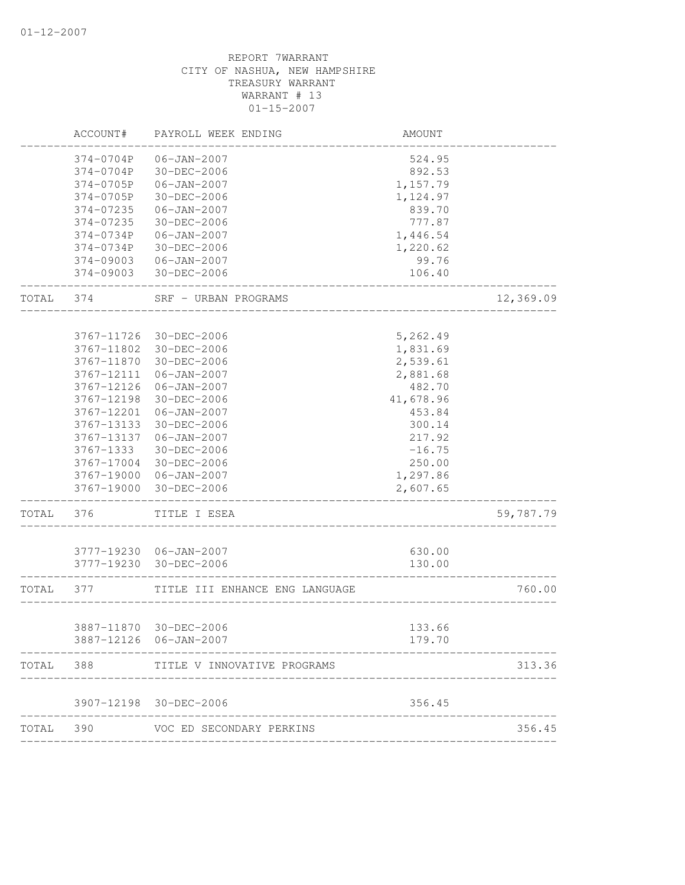| ACCOUNT#   | PAYROLL WEEK ENDING                                                                                                                                                 | AMOUNT                                                                                                                                                                                                                                                                                                                                              |                                                                                                                                                                     |
|------------|---------------------------------------------------------------------------------------------------------------------------------------------------------------------|-----------------------------------------------------------------------------------------------------------------------------------------------------------------------------------------------------------------------------------------------------------------------------------------------------------------------------------------------------|---------------------------------------------------------------------------------------------------------------------------------------------------------------------|
| 374-0704P  | $06 - JAN - 2007$                                                                                                                                                   | 524.95                                                                                                                                                                                                                                                                                                                                              |                                                                                                                                                                     |
| 374-0704P  | 30-DEC-2006                                                                                                                                                         | 892.53                                                                                                                                                                                                                                                                                                                                              |                                                                                                                                                                     |
| 374-0705P  | $06 - JAN - 2007$                                                                                                                                                   | 1,157.79                                                                                                                                                                                                                                                                                                                                            |                                                                                                                                                                     |
| 374-0705P  | 30-DEC-2006                                                                                                                                                         | 1,124.97                                                                                                                                                                                                                                                                                                                                            |                                                                                                                                                                     |
| 374-07235  | $06 - JAN - 2007$                                                                                                                                                   | 839.70                                                                                                                                                                                                                                                                                                                                              |                                                                                                                                                                     |
| 374-07235  | 30-DEC-2006                                                                                                                                                         | 777.87                                                                                                                                                                                                                                                                                                                                              |                                                                                                                                                                     |
| 374-0734P  | $06 - JAN - 2007$                                                                                                                                                   |                                                                                                                                                                                                                                                                                                                                                     |                                                                                                                                                                     |
| 374-0734P  |                                                                                                                                                                     | 1,220.62                                                                                                                                                                                                                                                                                                                                            |                                                                                                                                                                     |
| 374-09003  | 06-JAN-2007                                                                                                                                                         | 99.76                                                                                                                                                                                                                                                                                                                                               |                                                                                                                                                                     |
| 374-09003  | 30-DEC-2006                                                                                                                                                         | 106.40                                                                                                                                                                                                                                                                                                                                              |                                                                                                                                                                     |
| 374        | SRF - URBAN PROGRAMS                                                                                                                                                |                                                                                                                                                                                                                                                                                                                                                     | 12,369.09                                                                                                                                                           |
|            |                                                                                                                                                                     |                                                                                                                                                                                                                                                                                                                                                     |                                                                                                                                                                     |
|            |                                                                                                                                                                     |                                                                                                                                                                                                                                                                                                                                                     |                                                                                                                                                                     |
|            |                                                                                                                                                                     |                                                                                                                                                                                                                                                                                                                                                     |                                                                                                                                                                     |
|            |                                                                                                                                                                     |                                                                                                                                                                                                                                                                                                                                                     |                                                                                                                                                                     |
|            |                                                                                                                                                                     |                                                                                                                                                                                                                                                                                                                                                     |                                                                                                                                                                     |
|            |                                                                                                                                                                     |                                                                                                                                                                                                                                                                                                                                                     |                                                                                                                                                                     |
|            |                                                                                                                                                                     |                                                                                                                                                                                                                                                                                                                                                     |                                                                                                                                                                     |
|            |                                                                                                                                                                     |                                                                                                                                                                                                                                                                                                                                                     |                                                                                                                                                                     |
|            |                                                                                                                                                                     |                                                                                                                                                                                                                                                                                                                                                     |                                                                                                                                                                     |
|            |                                                                                                                                                                     |                                                                                                                                                                                                                                                                                                                                                     |                                                                                                                                                                     |
|            |                                                                                                                                                                     |                                                                                                                                                                                                                                                                                                                                                     |                                                                                                                                                                     |
|            |                                                                                                                                                                     |                                                                                                                                                                                                                                                                                                                                                     |                                                                                                                                                                     |
| 3767-19000 | 30-DEC-2006                                                                                                                                                         | 2,607.65                                                                                                                                                                                                                                                                                                                                            |                                                                                                                                                                     |
| 376        | TITLE I ESEA                                                                                                                                                        |                                                                                                                                                                                                                                                                                                                                                     | 59,787.79                                                                                                                                                           |
|            |                                                                                                                                                                     |                                                                                                                                                                                                                                                                                                                                                     |                                                                                                                                                                     |
|            |                                                                                                                                                                     | 130.00                                                                                                                                                                                                                                                                                                                                              |                                                                                                                                                                     |
| 377        | TITLE III ENHANCE ENG LANGUAGE                                                                                                                                      |                                                                                                                                                                                                                                                                                                                                                     | 760.00                                                                                                                                                              |
|            |                                                                                                                                                                     |                                                                                                                                                                                                                                                                                                                                                     |                                                                                                                                                                     |
|            |                                                                                                                                                                     | 179.70                                                                                                                                                                                                                                                                                                                                              |                                                                                                                                                                     |
| 388        | TITLE V INNOVATIVE PROGRAMS                                                                                                                                         |                                                                                                                                                                                                                                                                                                                                                     | 313.36                                                                                                                                                              |
|            |                                                                                                                                                                     | 356.45                                                                                                                                                                                                                                                                                                                                              |                                                                                                                                                                     |
| 390        | VOC ED SECONDARY PERKINS                                                                                                                                            |                                                                                                                                                                                                                                                                                                                                                     | 356.45                                                                                                                                                              |
|            | 3767-11726<br>3767-11802<br>3767-11870<br>3767-12111<br>3767-12126<br>3767-12198<br>3767-12201<br>3767-13133<br>3767-13137<br>3767-1333<br>3767-17004<br>3767-19000 | 30-DEC-2006<br>30-DEC-2006<br>30-DEC-2006<br>30-DEC-2006<br>$06 - JAN - 2007$<br>06-JAN-2007<br>30-DEC-2006<br>$06 - JAN - 2007$<br>30-DEC-2006<br>$06 - JAN - 2007$<br>30-DEC-2006<br>30-DEC-2006<br>06-JAN-2007<br>3777-19230 06-JAN-2007<br>3777-19230 30-DEC-2006<br>3887-11870 30-DEC-2006<br>3887-12126 06-JAN-2007<br>3907-12198 30-DEC-2006 | 1,446.54<br>5,262.49<br>1,831.69<br>2,539.61<br>2,881.68<br>482.70<br>41,678.96<br>453.84<br>300.14<br>217.92<br>$-16.75$<br>250.00<br>1,297.86<br>630.00<br>133.66 |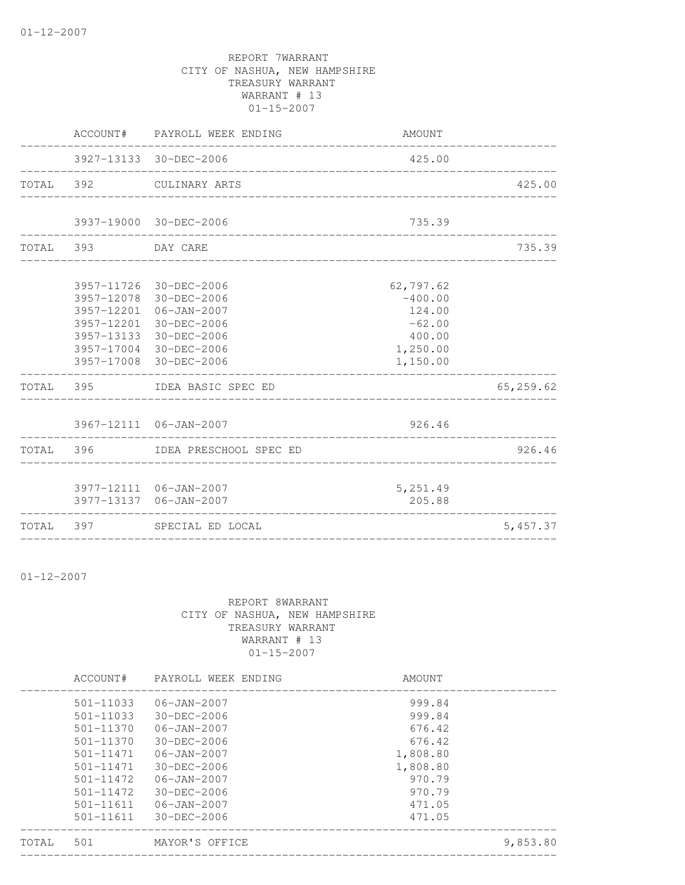|                    | ACCOUNT# PAYROLL WEEK ENDING                                                                                                                                                       | AMOUNT                                                                         |           |
|--------------------|------------------------------------------------------------------------------------------------------------------------------------------------------------------------------------|--------------------------------------------------------------------------------|-----------|
|                    | 3927-13133 30-DEC-2006                                                                                                                                                             | 425.00<br>____________________________                                         |           |
|                    | TOTAL 392 CULINARY ARTS                                                                                                                                                            |                                                                                | 425.00    |
|                    | 3937-19000 30-DEC-2006                                                                                                                                                             | 735.39                                                                         |           |
| TOTAL 393 DAY CARE |                                                                                                                                                                                    |                                                                                | 735.39    |
|                    | 3957-11726 30-DEC-2006<br>3957-12078 30-DEC-2006<br>3957-12201 06-JAN-2007<br>3957-12201 30-DEC-2006<br>3957-13133 30-DEC-2006<br>3957-17004 30-DEC-2006<br>3957-17008 30-DEC-2006 | 62,797.62<br>$-400.00$<br>124.00<br>$-62.00$<br>400.00<br>1,250.00<br>1,150.00 |           |
|                    | TOTAL 395 IDEA BASIC SPEC ED                                                                                                                                                       |                                                                                | 65,259.62 |
|                    | 3967-12111 06-JAN-2007                                                                                                                                                             | 926.46                                                                         |           |
|                    | TOTAL 396 IDEA PRESCHOOL SPEC ED                                                                                                                                                   |                                                                                | 926.46    |
|                    | 3977-12111 06-JAN-2007<br>3977-13137 06-JAN-2007                                                                                                                                   | 5,251.49<br>205.88                                                             |           |
|                    | TOTAL 397 SPECIAL ED LOCAL                                                                                                                                                         |                                                                                | 5,457.37  |

01-12-2007

### REPORT 8WARRANT CITY OF NASHUA, NEW HAMPSHIRE TREASURY WARRANT WARRANT # 13 01-15-2007

--------------------------------------------------------------------------------

|       | ACCOUNT#      | PAYROLL WEEK ENDING | AMOUNT   |          |
|-------|---------------|---------------------|----------|----------|
|       | $501 - 11033$ | $06 - JAN - 2007$   | 999.84   |          |
|       | $501 - 11033$ | $30 - DEC - 2006$   | 999.84   |          |
|       | $501 - 11370$ | $06 - JAN - 2007$   | 676.42   |          |
|       | $501 - 11370$ | $30 - DEC - 2006$   | 676.42   |          |
|       | 501-11471     | $06 - JAN - 2007$   | 1,808.80 |          |
|       | $501 - 11471$ | $30 - DEC - 2006$   | 1,808.80 |          |
|       | $501 - 11472$ | $06 - JAN - 2007$   | 970.79   |          |
|       | $501 - 11472$ | $30 - DEC - 2006$   | 970.79   |          |
|       | $501 - 11611$ | $06 - JAN - 2007$   | 471.05   |          |
|       | 501-11611     | $30 - DEC - 2006$   | 471.05   |          |
| TOTAL | 501           | MAYOR'S OFFICE      |          | 9,853.80 |
|       |               |                     |          |          |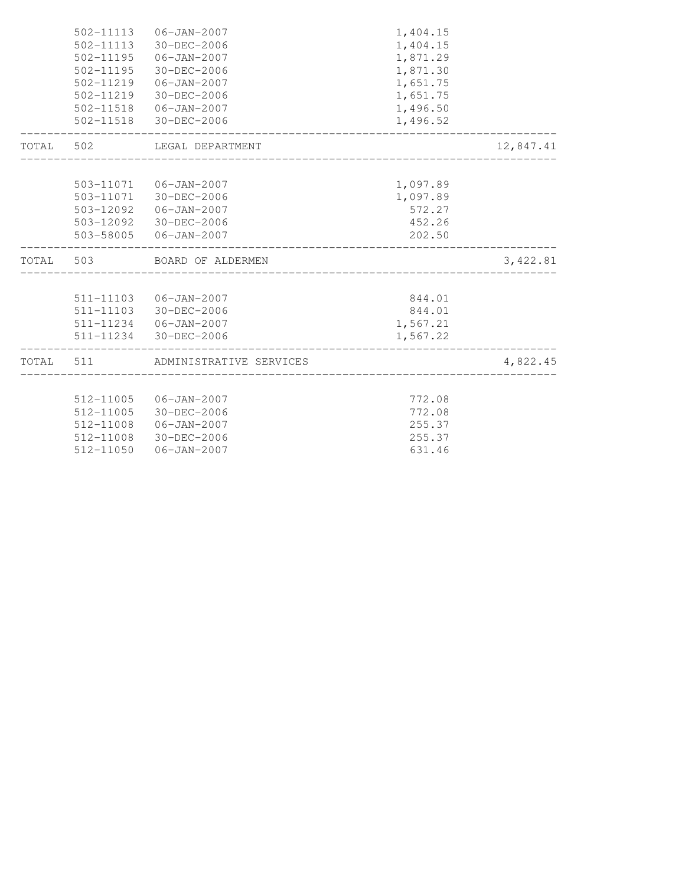|           | 502-11113 | 06-JAN-2007                                             | 1,404.15 |           |
|-----------|-----------|---------------------------------------------------------|----------|-----------|
|           | 502-11113 | 30-DEC-2006                                             | 1,404.15 |           |
|           |           | 502-11195   06-JAN-2007                                 | 1,871.29 |           |
|           |           | 502-11195 30-DEC-2006                                   | 1,871.30 |           |
|           |           | 502-11219   06-JAN-2007                                 | 1,651.75 |           |
|           |           | 502-11219 30-DEC-2006                                   | 1,651.75 |           |
|           |           | 502-11518  06-JAN-2007                                  | 1,496.50 |           |
|           |           | 502-11518 30-DEC-2006<br>______________________________ | 1,496.52 |           |
| TOTAL 502 |           | LEGAL DEPARTMENT                                        |          | 12,847.41 |
|           |           |                                                         |          |           |
|           |           | 503-11071  06-JAN-2007                                  | 1,097.89 |           |
|           |           | 503-11071 30-DEC-2006                                   | 1,097.89 |           |
|           |           | 503-12092  06-JAN-2007                                  | 572.27   |           |
|           |           | 503-12092 30-DEC-2006                                   | 452.26   |           |
|           |           | 503-58005  06-JAN-2007                                  | 202.50   |           |
|           |           | TOTAL 503 BOARD OF ALDERMEN                             |          | 3,422.81  |
|           |           |                                                         |          |           |
|           |           |                                                         |          |           |
|           |           | 511-11103  06-JAN-2007                                  | 844.01   |           |
|           |           | 511-11103 30-DEC-2006                                   | 844.01   |           |
|           |           | 511-11234 06-JAN-2007                                   | 1,567.21 |           |
|           |           | 511-11234 30-DEC-2006                                   | 1,567.22 |           |
| TOTAL     | 511       | ADMINISTRATIVE SERVICES                                 |          | 4,822.45  |
|           |           |                                                         |          |           |
|           |           | 512-11005 06-JAN-2007                                   | 772.08   |           |
|           | 512-11005 | 30-DEC-2006                                             | 772.08   |           |
|           | 512-11008 | 06-JAN-2007                                             | 255.37   |           |
|           |           | 512-11008 30-DEC-2006                                   | 255.37   |           |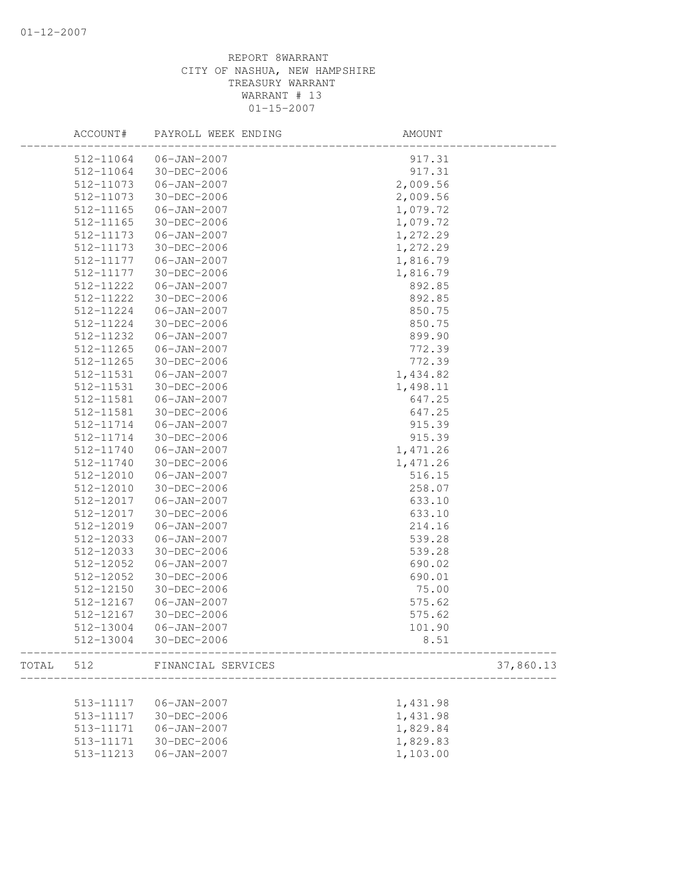|       | ACCOUNT#  | PAYROLL WEEK ENDING   | AMOUNT    |
|-------|-----------|-----------------------|-----------|
|       | 512-11064 | $06 - JAN - 2007$     | 917.31    |
|       | 512-11064 | 30-DEC-2006           | 917.31    |
|       | 512-11073 | $06 - JAN - 2007$     | 2,009.56  |
|       | 512-11073 | 30-DEC-2006           | 2,009.56  |
|       | 512-11165 | $06 - JAN - 2007$     | 1,079.72  |
|       | 512-11165 | 30-DEC-2006           | 1,079.72  |
|       | 512-11173 | $06 - JAN - 2007$     | 1,272.29  |
|       | 512-11173 | 30-DEC-2006           | 1,272.29  |
|       | 512-11177 | $06 - JAN - 2007$     | 1,816.79  |
|       | 512-11177 | 30-DEC-2006           | 1,816.79  |
|       | 512-11222 | $06 - JAN - 2007$     | 892.85    |
|       | 512-11222 | 30-DEC-2006           | 892.85    |
|       | 512-11224 | $06 - JAN - 2007$     | 850.75    |
|       | 512-11224 | 30-DEC-2006           | 850.75    |
|       | 512-11232 | $06 - JAN - 2007$     | 899.90    |
|       | 512-11265 | $06 - JAN - 2007$     | 772.39    |
|       | 512-11265 | 30-DEC-2006           | 772.39    |
|       | 512-11531 | $06 - JAN - 2007$     | 1,434.82  |
|       | 512-11531 | 30-DEC-2006           | 1,498.11  |
|       | 512-11581 | $06 - JAN - 2007$     | 647.25    |
|       | 512-11581 | 30-DEC-2006           | 647.25    |
|       | 512-11714 | $06 - JAN - 2007$     | 915.39    |
|       | 512-11714 | 30-DEC-2006           | 915.39    |
|       | 512-11740 | $06 - JAN - 2007$     | 1,471.26  |
|       | 512-11740 | 30-DEC-2006           | 1,471.26  |
|       | 512-12010 | $06 - JAN - 2007$     | 516.15    |
|       | 512-12010 | 30-DEC-2006           | 258.07    |
|       | 512-12017 | $06 - JAN - 2007$     | 633.10    |
|       | 512-12017 | 30-DEC-2006           | 633.10    |
|       | 512-12019 | $06 - JAN - 2007$     | 214.16    |
|       | 512-12033 | $06 - JAN - 2007$     | 539.28    |
|       | 512-12033 | 30-DEC-2006           | 539.28    |
|       | 512-12052 | $06 - JAN - 2007$     | 690.02    |
|       | 512-12052 | 30-DEC-2006           | 690.01    |
|       | 512-12150 | 30-DEC-2006           | 75.00     |
|       | 512-12167 | $06 - JAN - 2007$     | 575.62    |
|       | 512-12167 | 30-DEC-2006           | 575.62    |
|       |           | 512-13004 06-JAN-2007 | 101.90    |
|       | 512-13004 | 30-DEC-2006           | 8.51      |
| TOTAL | 512       | FINANCIAL SERVICES    | 37,860.13 |
|       |           |                       |           |
|       | 513-11117 | $06 - JAN - 2007$     | 1,431.98  |
|       | 513-11117 | 30-DEC-2006           | 1,431.98  |
|       | 513-11171 | $06 - JAN - 2007$     | 1,829.84  |
|       | 513-11171 | 30-DEC-2006           | 1,829.83  |
|       | 513-11213 | $06 - JAN - 2007$     | 1,103.00  |
|       |           |                       |           |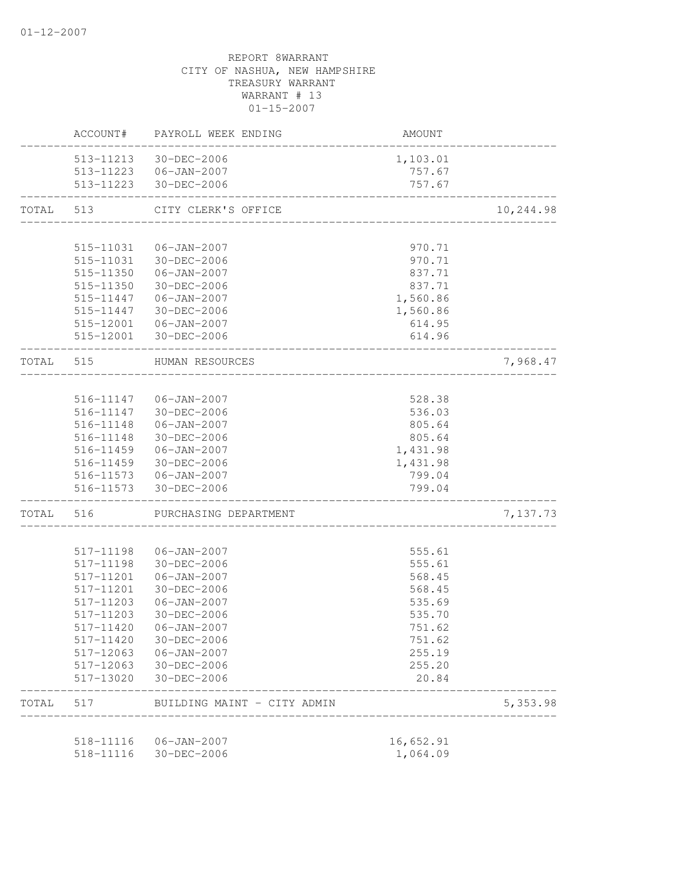|           | ACCOUNT#  | PAYROLL WEEK ENDING                             | AMOUNT                            |           |
|-----------|-----------|-------------------------------------------------|-----------------------------------|-----------|
|           |           | 513-11213 30-DEC-2006                           | 1,103.01                          |           |
|           |           | 513-11223 06-JAN-2007                           | 757.67                            |           |
|           |           | 513-11223 30-DEC-2006                           | 757.67                            |           |
| TOTAL 513 |           | CITY CLERK'S OFFICE                             | _________________________________ | 10,244.98 |
|           |           |                                                 |                                   |           |
|           | 515-11031 | 06-JAN-2007                                     | 970.71                            |           |
|           |           | 515-11031 30-DEC-2006                           | 970.71                            |           |
|           | 515-11350 | $06 - JAN - 2007$                               | 837.71                            |           |
|           | 515-11350 | 30-DEC-2006                                     | 837.71                            |           |
|           | 515-11447 | 06-JAN-2007                                     | 1,560.86                          |           |
|           | 515-11447 | 30-DEC-2006                                     | 1,560.86                          |           |
|           | 515-12001 | 06-JAN-2007                                     | 614.95                            |           |
|           |           | 515-12001 30-DEC-2006                           | 614.96                            |           |
| TOTAL 515 |           | HUMAN RESOURCES<br>____________________________ |                                   | 7,968.47  |
|           |           |                                                 |                                   |           |
|           |           | 516-11147 06-JAN-2007                           | 528.38                            |           |
|           |           | 516-11147 30-DEC-2006                           | 536.03                            |           |
|           | 516-11148 | $06 - JAN - 2007$                               | 805.64                            |           |
|           | 516-11148 | 30-DEC-2006                                     | 805.64                            |           |
|           | 516-11459 | $06 - JAN - 2007$                               | 1,431.98                          |           |
|           | 516-11459 | 30-DEC-2006                                     | 1,431.98                          |           |
|           |           | 516-11573   06-JAN-2007                         | 799.04                            |           |
|           |           | 516-11573 30-DEC-2006                           | 799.04<br>----------------        |           |
| TOTAL     | 516       | PURCHASING DEPARTMENT                           |                                   | 7,137.73  |
|           | 517-11198 | $06 - JAN - 2007$                               | 555.61                            |           |
|           | 517-11198 | 30-DEC-2006                                     | 555.61                            |           |
|           | 517-11201 | $06 - JAN - 2007$                               | 568.45                            |           |
|           | 517-11201 | 30-DEC-2006                                     | 568.45                            |           |
|           | 517-11203 | $06 - JAN - 2007$                               | 535.69                            |           |
|           | 517-11203 | 30-DEC-2006                                     | 535.70                            |           |
|           | 517-11420 | $06 - JAN - 2007$                               | 751.62                            |           |
|           | 517-11420 | 30-DEC-2006                                     | 751.62                            |           |
|           | 517-12063 | $06 - JAN - 2007$                               | 255.19                            |           |
|           | 517-12063 | 30-DEC-2006                                     | 255.20                            |           |
|           | 517-13020 | 30-DEC-2006                                     | 20.84                             |           |
| TOTAL     | 517       | BUILDING MAINT - CITY ADMIN                     |                                   | 5,353.98  |
|           |           |                                                 |                                   |           |
|           | 518-11116 | 06-JAN-2007                                     | 16,652.91                         |           |
|           | 518-11116 | 30-DEC-2006                                     | 1,064.09                          |           |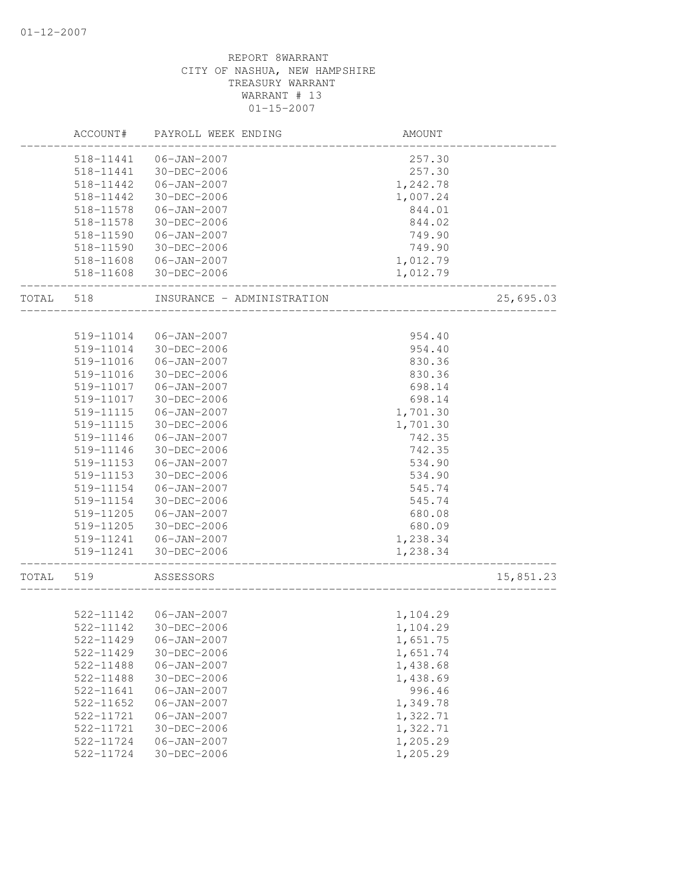|       | ACCOUNT#      | PAYROLL WEEK ENDING        | AMOUNT   |           |
|-------|---------------|----------------------------|----------|-----------|
|       | 518-11441     | $06 - JAN - 2007$          | 257.30   |           |
|       | 518-11441     | 30-DEC-2006                | 257.30   |           |
|       | 518-11442     | $06 - JAN - 2007$          | 1,242.78 |           |
|       | 518-11442     | 30-DEC-2006                | 1,007.24 |           |
|       | 518-11578     | $06 - JAN - 2007$          | 844.01   |           |
|       | 518-11578     | 30-DEC-2006                | 844.02   |           |
|       | 518-11590     | $06 - JAN - 2007$          | 749.90   |           |
|       | 518-11590     | 30-DEC-2006                | 749.90   |           |
|       | 518-11608     | $06 - JAN - 2007$          | 1,012.79 |           |
|       | 518-11608     | 30-DEC-2006                | 1,012.79 |           |
| TOTAL | 518           | INSURANCE - ADMINISTRATION |          | 25,695.03 |
|       |               |                            |          |           |
|       | 519-11014     | 06-JAN-2007                | 954.40   |           |
|       | 519-11014     | 30-DEC-2006                | 954.40   |           |
|       | 519-11016     | $06 - JAN - 2007$          | 830.36   |           |
|       | 519-11016     | 30-DEC-2006                | 830.36   |           |
|       | 519-11017     | $06 - JAN - 2007$          | 698.14   |           |
|       | 519-11017     | 30-DEC-2006                | 698.14   |           |
|       | 519-11115     | $06 - JAN - 2007$          | 1,701.30 |           |
|       | 519-11115     | 30-DEC-2006                | 1,701.30 |           |
|       | 519-11146     | $06 - JAN - 2007$          | 742.35   |           |
|       | 519-11146     | 30-DEC-2006                | 742.35   |           |
|       | 519-11153     | $06 - JAN - 2007$          | 534.90   |           |
|       | 519-11153     | 30-DEC-2006                | 534.90   |           |
|       | 519-11154     | $06 - JAN - 2007$          | 545.74   |           |
|       | 519-11154     | 30-DEC-2006                | 545.74   |           |
|       | 519-11205     | $06 - JAN - 2007$          | 680.08   |           |
|       | 519-11205     | 30-DEC-2006                | 680.09   |           |
|       | 519-11241     | $06 - JAN - 2007$          | 1,238.34 |           |
|       | 519-11241     | 30-DEC-2006                | 1,238.34 |           |
| TOTAL | 519           | ASSESSORS                  |          | 15,851.23 |
|       |               |                            |          |           |
|       |               | 522-11142   06-JAN-2007    | 1,104.29 |           |
|       | 522-11142     | 30-DEC-2006                | 1,104.29 |           |
|       | 522-11429     | $06 - JAN - 2007$          | 1,651.75 |           |
|       | 522-11429     | 30-DEC-2006                | 1,651.74 |           |
|       | 522-11488     | $06 - JAN - 2007$          | 1,438.68 |           |
|       | 522-11488     | 30-DEC-2006                | 1,438.69 |           |
|       | 522-11641     | $06 - JAN - 2007$          | 996.46   |           |
|       | $522 - 11652$ | $06 - JAN - 2007$          | 1,349.78 |           |
|       | 522-11721     | $06 - JAN - 2007$          | 1,322.71 |           |
|       | 522-11721     | 30-DEC-2006                | 1,322.71 |           |
|       | 522-11724     | $06 - JAN - 2007$          | 1,205.29 |           |
|       | 522-11724     | 30-DEC-2006                | 1,205.29 |           |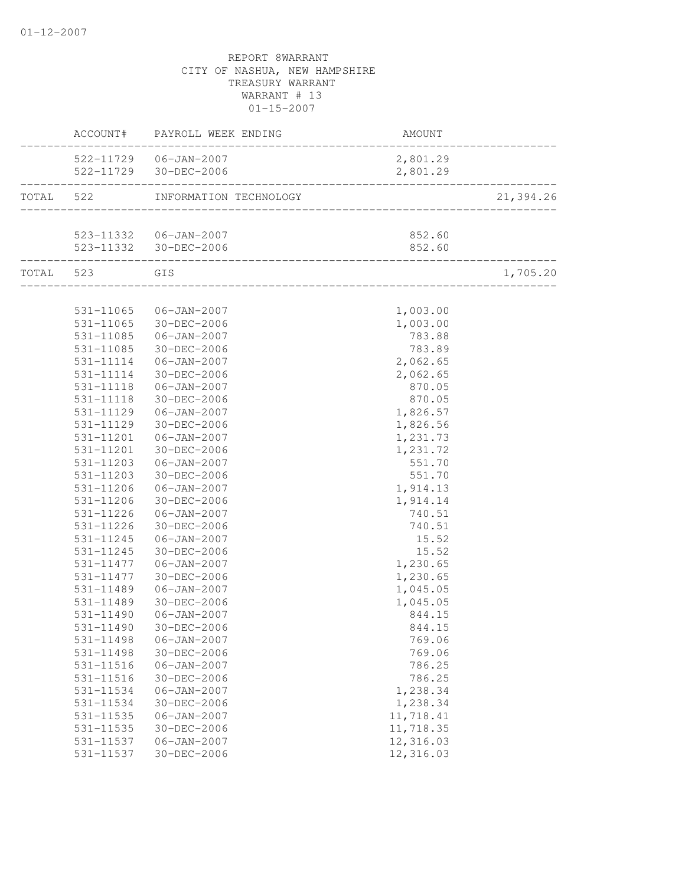|           |                        | ACCOUNT# PAYROLL WEEK ENDING | AMOUNT               |           |
|-----------|------------------------|------------------------------|----------------------|-----------|
|           |                        | 522-11729  06-JAN-2007       | 2,801.29             |           |
|           |                        | 522-11729 30-DEC-2006        | 2,801.29             | .         |
| TOTAL 522 |                        | INFORMATION TECHNOLOGY       |                      | 21,394.26 |
|           |                        |                              | 852.60               |           |
|           |                        |                              | 852.60               |           |
|           | TOTAL 523 GIS          |                              |                      | 1,705.20  |
|           |                        |                              |                      |           |
|           |                        | 531-11065 06-JAN-2007        | 1,003.00             |           |
|           | 531-11065              | $30 - DEC - 2006$            | 1,003.00             |           |
|           | 531-11085              | $06 - JAN - 2007$            | 783.88               |           |
|           | 531-11085              | 30-DEC-2006                  | 783.89               |           |
|           | 531-11114              | 06-JAN-2007                  | 2,062.65             |           |
|           | 531-11114<br>531-11118 | 30-DEC-2006                  | 2,062.65             |           |
|           |                        | 06-JAN-2007<br>30-DEC-2006   | 870.05               |           |
|           | 531-11118<br>531-11129 | $06 - JAN - 2007$            | 870.05<br>1,826.57   |           |
|           | 531-11129              | 30-DEC-2006                  | 1,826.56             |           |
|           | 531-11201              | 06-JAN-2007                  |                      |           |
|           | 531-11201              | 30-DEC-2006                  | 1,231.73<br>1,231.72 |           |
|           | 531-11203              | 06-JAN-2007                  | 551.70               |           |
|           | 531-11203              | 30-DEC-2006                  | 551.70               |           |
|           | 531-11206              | 06-JAN-2007                  | 1,914.13             |           |
|           | 531-11206              | 30-DEC-2006                  | 1,914.14             |           |
|           | 531-11226              | 06-JAN-2007                  | 740.51               |           |
|           | 531-11226              | 30-DEC-2006                  | 740.51               |           |
|           | 531-11245              | $06 - JAN - 2007$            | 15.52                |           |
|           | 531-11245              | 30-DEC-2006                  | 15.52                |           |
|           | 531-11477              | 06-JAN-2007                  | 1,230.65             |           |
|           | 531-11477              | 30-DEC-2006                  | 1,230.65             |           |
|           | 531-11489              | $06 - JAN - 2007$            | 1,045.05             |           |
|           | 531-11489              | 30-DEC-2006                  | 1,045.05             |           |
|           | 531-11490              | 06-JAN-2007                  | 844.15               |           |
|           | 531-11490              | 30-DEC-2006                  | 844.15               |           |
|           | 531-11498              | $06 - JAN - 2007$            | 769.06               |           |
|           | 531-11498              | 30-DEC-2006                  | 769.06               |           |
|           | 531-11516              | $06 - JAN - 2007$            | 786.25               |           |
|           | 531-11516              | 30-DEC-2006                  | 786.25               |           |
|           | 531-11534              | $06 - JAN - 2007$            | 1,238.34             |           |
|           | 531-11534              | 30-DEC-2006                  | 1,238.34             |           |
|           | $531 - 11535$          | $06 - JAN - 2007$            | 11,718.41            |           |
|           | 531-11535              | 30-DEC-2006                  | 11,718.35            |           |
|           | 531-11537              | $06 - JAN - 2007$            | 12,316.03            |           |
|           | 531-11537              | 30-DEC-2006                  | 12,316.03            |           |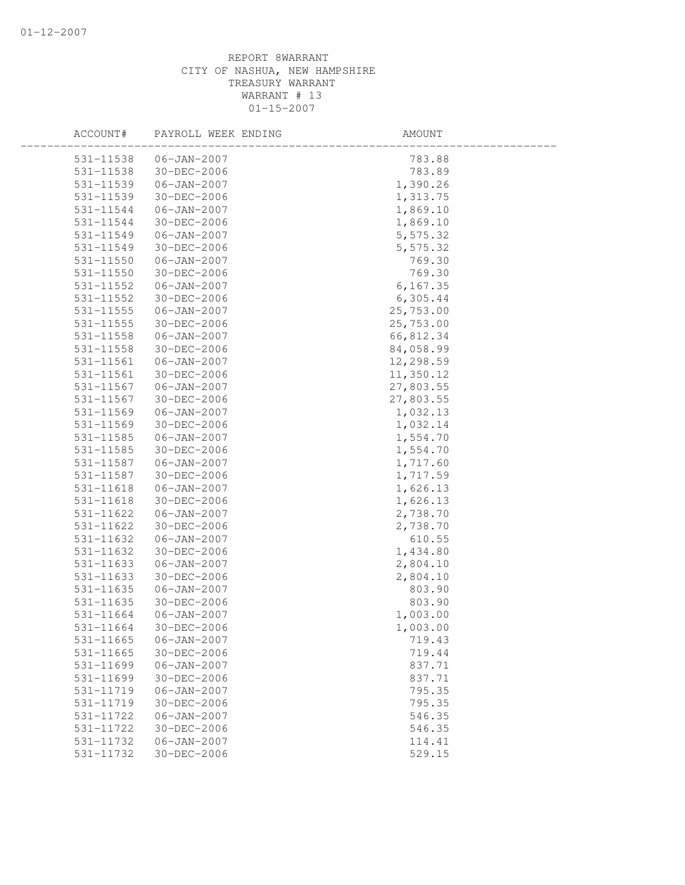| ACCOUNT#      | PAYROLL WEEK ENDING | AMOUNT    |  |
|---------------|---------------------|-----------|--|
| 531-11538     | $06 - JAN - 2007$   | 783.88    |  |
| 531-11538     | 30-DEC-2006         | 783.89    |  |
| 531-11539     | $06 - JAN - 2007$   | 1,390.26  |  |
| 531-11539     | 30-DEC-2006         | 1,313.75  |  |
| 531-11544     | $06 - JAN - 2007$   | 1,869.10  |  |
| 531-11544     | 30-DEC-2006         | 1,869.10  |  |
| 531-11549     | $06 - JAN - 2007$   | 5,575.32  |  |
| 531-11549     | 30-DEC-2006         | 5,575.32  |  |
| 531-11550     | 06-JAN-2007         | 769.30    |  |
| 531-11550     | 30-DEC-2006         | 769.30    |  |
| 531-11552     | $06 - JAN - 2007$   | 6, 167.35 |  |
| 531-11552     | 30-DEC-2006         | 6, 305.44 |  |
| 531-11555     | $06 - JAN - 2007$   | 25,753.00 |  |
| 531-11555     | 30-DEC-2006         | 25,753.00 |  |
| 531-11558     | $06 - JAN - 2007$   | 66,812.34 |  |
| 531-11558     | 30-DEC-2006         | 84,058.99 |  |
| 531-11561     | $06 - JAN - 2007$   | 12,298.59 |  |
| 531-11561     | 30-DEC-2006         | 11,350.12 |  |
| 531-11567     | 06-JAN-2007         | 27,803.55 |  |
| 531-11567     | 30-DEC-2006         | 27,803.55 |  |
| 531-11569     | $06 - JAN - 2007$   | 1,032.13  |  |
| $531 - 11569$ | 30-DEC-2006         | 1,032.14  |  |
| 531-11585     | $06 - JAN - 2007$   | 1,554.70  |  |
| 531-11585     | 30-DEC-2006         | 1,554.70  |  |
| 531-11587     | $06 - JAN - 2007$   | 1,717.60  |  |
| 531-11587     | 30-DEC-2006         | 1,717.59  |  |
| 531-11618     | 06-JAN-2007         | 1,626.13  |  |
| 531-11618     | 30-DEC-2006         | 1,626.13  |  |
| 531-11622     | $06 - JAN - 2007$   | 2,738.70  |  |
| 531-11622     | $30 - DEC - 2006$   | 2,738.70  |  |
| 531-11632     | $06 - JAN - 2007$   | 610.55    |  |
| 531-11632     | 30-DEC-2006         | 1,434.80  |  |
| 531-11633     | $06 - JAN - 2007$   | 2,804.10  |  |
| 531-11633     | 30-DEC-2006         | 2,804.10  |  |
| 531-11635     | $06 - JAN - 2007$   | 803.90    |  |
| 531-11635     | 30-DEC-2006         | 803.90    |  |
| 531-11664     | $06 - JAN - 2007$   | 1,003.00  |  |
| 531-11664     | $30 - DEC - 2006$   | 1,003.00  |  |
| 531-11665     | $06 - JAN - 2007$   | 719.43    |  |
| 531-11665     | 30-DEC-2006         | 719.44    |  |
| 531-11699     | $06 - JAN - 2007$   | 837.71    |  |
| 531-11699     | 30-DEC-2006         | 837.71    |  |
| 531-11719     | $06 - JAN - 2007$   | 795.35    |  |
| 531-11719     | 30-DEC-2006         | 795.35    |  |
| 531-11722     | $06 - JAN - 2007$   | 546.35    |  |
| 531-11722     | 30-DEC-2006         | 546.35    |  |
| 531-11732     | $06 - JAN - 2007$   | 114.41    |  |
| 531-11732     | 30-DEC-2006         | 529.15    |  |
|               |                     |           |  |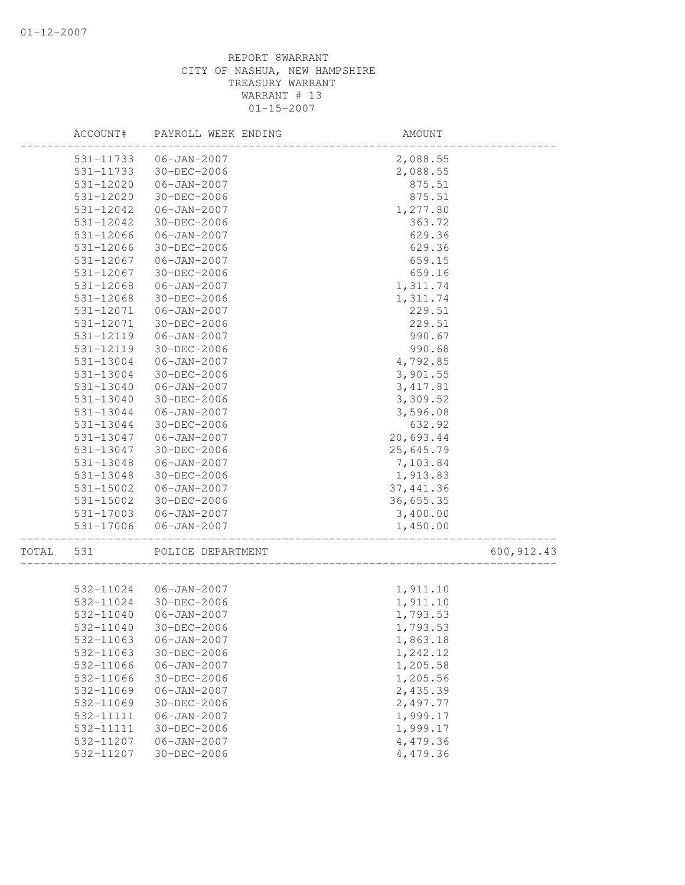|       | ACCOUNT#      | PAYROLL WEEK ENDING     | AMOUNT     |             |
|-------|---------------|-------------------------|------------|-------------|
|       | 531-11733     | 06-JAN-2007             | 2,088.55   |             |
|       | 531-11733     | 30-DEC-2006             | 2,088.55   |             |
|       | 531-12020     | $06 - JAN - 2007$       | 875.51     |             |
|       | 531-12020     | $30 - DEC - 2006$       | 875.51     |             |
|       | 531-12042     | $06 - JAN - 2007$       | 1,277.80   |             |
|       | 531-12042     | 30-DEC-2006             | 363.72     |             |
|       | 531-12066     | $06 - JAN - 2007$       | 629.36     |             |
|       | 531-12066     | 30-DEC-2006             | 629.36     |             |
|       | 531-12067     | $06 - JAN - 2007$       | 659.15     |             |
|       | 531-12067     | 30-DEC-2006             | 659.16     |             |
|       | 531-12068     | $06 - JAN - 2007$       | 1,311.74   |             |
|       | 531-12068     | 30-DEC-2006             | 1,311.74   |             |
|       | 531-12071     | $06 - JAN - 2007$       | 229.51     |             |
|       | 531-12071     | 30-DEC-2006             | 229.51     |             |
|       | 531-12119     | $06 - JAN - 2007$       | 990.67     |             |
|       | 531-12119     | 30-DEC-2006             | 990.68     |             |
|       | 531-13004     | $06 - JAN - 2007$       | 4,792.85   |             |
|       | 531-13004     | 30-DEC-2006             | 3,901.55   |             |
|       | 531-13040     | $06 - JAN - 2007$       | 3, 417.81  |             |
|       | $531 - 13040$ | 30-DEC-2006             | 3,309.52   |             |
|       | 531-13044     | $06 - JAN - 2007$       | 3,596.08   |             |
|       | 531-13044     | 30-DEC-2006             | 632.92     |             |
|       | 531-13047     | $06 - JAN - 2007$       | 20,693.44  |             |
|       | 531-13047     | $30 - DEC - 2006$       | 25,645.79  |             |
|       | 531-13048     | $06 - JAN - 2007$       | 7,103.84   |             |
|       | 531-13048     | 30-DEC-2006             | 1,913.83   |             |
|       | 531-15002     | $06 - JAN - 2007$       | 37, 441.36 |             |
|       | 531-15002     | 30-DEC-2006             | 36,655.35  |             |
|       | 531-17003     | 06-JAN-2007             | 3,400.00   |             |
|       | 531-17006     | $06 - JAN - 2007$       | 1,450.00   |             |
| TOTAL | 531           | POLICE DEPARTMENT       |            | 600, 912.43 |
|       |               |                         |            |             |
|       |               | 532-11024   06-JAN-2007 | 1,911.10   |             |
|       | 532-11024     | 30-DEC-2006             | 1,911.10   |             |
|       | 532-11040     | $06 - JAN - 2007$       | 1,793.53   |             |
|       | 532-11040     | 30-DEC-2006             | 1,793.53   |             |
|       | 532-11063     | $06 - JAN - 2007$       | 1,863.18   |             |
|       | 532-11063     | 30-DEC-2006             | 1,242.12   |             |
|       | 532-11066     | $06 - JAN - 2007$       | 1,205.58   |             |
|       | 532-11066     | 30-DEC-2006             | 1,205.56   |             |
|       | 532-11069     | $06 - JAN - 2007$       | 2,435.39   |             |
|       | 532-11069     | 30-DEC-2006             | 2,497.77   |             |
|       | 532-11111     | $06 - JAN - 2007$       | 1,999.17   |             |
|       | 532-11111     | 30-DEC-2006             | 1,999.17   |             |
|       | 532-11207     | $06 - JAN - 2007$       | 4,479.36   |             |
|       | 532-11207     | 30-DEC-2006             | 4,479.36   |             |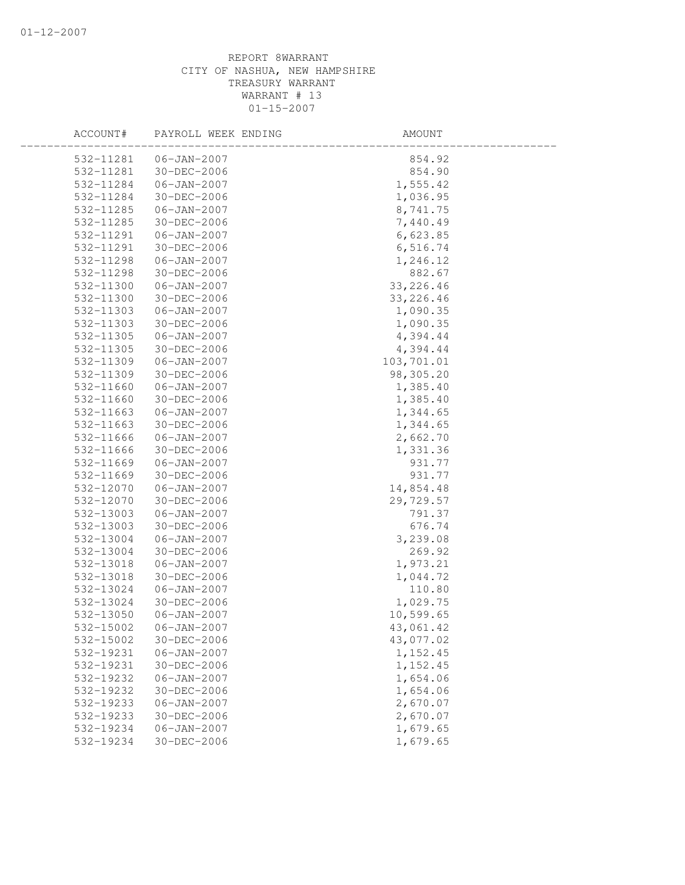| ACCOUNT#  | PAYROLL WEEK ENDING | AMOUNT     |  |
|-----------|---------------------|------------|--|
| 532-11281 | $06 - JAN - 2007$   | 854.92     |  |
| 532-11281 | 30-DEC-2006         | 854.90     |  |
| 532-11284 | $06 - JAN - 2007$   | 1,555.42   |  |
| 532-11284 | 30-DEC-2006         | 1,036.95   |  |
| 532-11285 | $06 - JAN - 2007$   | 8,741.75   |  |
| 532-11285 | 30-DEC-2006         | 7,440.49   |  |
| 532-11291 | $06 - JAN - 2007$   | 6,623.85   |  |
| 532-11291 | 30-DEC-2006         | 6,516.74   |  |
| 532-11298 | 06-JAN-2007         | 1,246.12   |  |
| 532-11298 | 30-DEC-2006         | 882.67     |  |
| 532-11300 | $06 - JAN - 2007$   | 33, 226.46 |  |
| 532-11300 | 30-DEC-2006         | 33, 226.46 |  |
| 532-11303 | $06 - JAN - 2007$   | 1,090.35   |  |
| 532-11303 | 30-DEC-2006         | 1,090.35   |  |
| 532-11305 | $06 - JAN - 2007$   | 4,394.44   |  |
| 532-11305 | 30-DEC-2006         | 4,394.44   |  |
| 532-11309 | $06 - JAN - 2007$   | 103,701.01 |  |
| 532-11309 | 30-DEC-2006         | 98,305.20  |  |
| 532-11660 | $06 - JAN - 2007$   | 1,385.40   |  |
| 532-11660 | 30-DEC-2006         | 1,385.40   |  |
| 532-11663 | $06 - JAN - 2007$   | 1,344.65   |  |
| 532-11663 | 30-DEC-2006         | 1,344.65   |  |
| 532-11666 | $06 - JAN - 2007$   | 2,662.70   |  |
| 532-11666 | 30-DEC-2006         | 1,331.36   |  |
| 532-11669 | $06 - JAN - 2007$   | 931.77     |  |
| 532-11669 | $30 - DEC - 2006$   | 931.77     |  |
| 532-12070 | 06-JAN-2007         | 14,854.48  |  |
| 532-12070 | 30-DEC-2006         | 29,729.57  |  |
| 532-13003 | $06 - JAN - 2007$   | 791.37     |  |
| 532-13003 | 30-DEC-2006         | 676.74     |  |
| 532-13004 | $06 - JAN - 2007$   | 3,239.08   |  |
| 532-13004 | 30-DEC-2006         | 269.92     |  |
| 532-13018 | $06 - JAN - 2007$   | 1,973.21   |  |
| 532-13018 | 30-DEC-2006         | 1,044.72   |  |
| 532-13024 | $06 - JAN - 2007$   | 110.80     |  |
| 532-13024 | 30-DEC-2006         | 1,029.75   |  |
| 532-13050 | $06 - JAN - 2007$   | 10,599.65  |  |
| 532-15002 | $06 - JAN - 2007$   | 43,061.42  |  |
| 532-15002 | 30-DEC-2006         | 43,077.02  |  |
| 532-19231 | $06 - JAN - 2007$   | 1, 152.45  |  |
| 532-19231 | 30-DEC-2006         | 1,152.45   |  |
| 532-19232 | $06 - JAN - 2007$   | 1,654.06   |  |
| 532-19232 | 30-DEC-2006         | 1,654.06   |  |
| 532-19233 | $06 - JAN - 2007$   | 2,670.07   |  |
| 532-19233 | 30-DEC-2006         | 2,670.07   |  |
| 532-19234 | $06 - JAN - 2007$   | 1,679.65   |  |
| 532-19234 | 30-DEC-2006         | 1,679.65   |  |
|           |                     |            |  |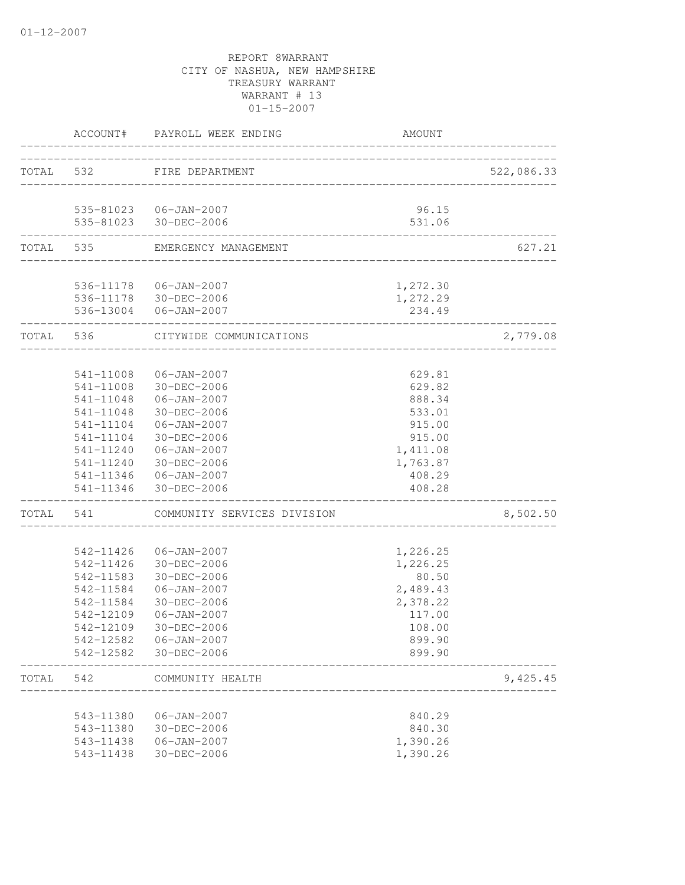|           |                        | ACCOUNT# PAYROLL WEEK ENDING | AMOUNT            |            |
|-----------|------------------------|------------------------------|-------------------|------------|
| TOTAL 532 |                        | FIRE DEPARTMENT              |                   | 522,086.33 |
|           |                        |                              |                   |            |
|           |                        | 535-81023  06-JAN-2007       | 96.15             |            |
|           |                        | 535-81023 30-DEC-2006        | 531.06            |            |
|           | TOTAL 535              | EMERGENCY MANAGEMENT         |                   | 627.21     |
|           |                        | 536-11178  06-JAN-2007       | 1,272.30          |            |
|           |                        | 536-11178 30-DEC-2006        | 1,272.29          |            |
|           |                        | 536-13004 06-JAN-2007        | 234.49            |            |
|           | TOTAL 536              | CITYWIDE COMMUNICATIONS      |                   | 2,779.08   |
|           |                        | 541-11008  06-JAN-2007       | 629.81            |            |
|           |                        | 541-11008 30-DEC-2006        | 629.82            |            |
|           |                        | 541-11048  06-JAN-2007       | 888.34            |            |
|           |                        | 541-11048 30-DEC-2006        | 533.01            |            |
|           |                        | 541-11104   06-JAN-2007      | 915.00            |            |
|           | 541-11104              | 30-DEC-2006                  | 915.00            |            |
|           |                        | 541-11240  06-JAN-2007       | 1,411.08          |            |
|           | 541-11240              | 30-DEC-2006                  | 1,763.87          |            |
|           |                        | 541-11346   06-JAN-2007      | 408.29            |            |
|           |                        | 541-11346 30-DEC-2006        | 408.28            |            |
| TOTAL     | 541                    | COMMUNITY SERVICES DIVISION  |                   | 8,502.50   |
|           |                        |                              |                   |            |
|           | 542-11426<br>542-11426 | 06-JAN-2007<br>30-DEC-2006   | 1,226.25          |            |
|           | 542-11583              | 30-DEC-2006                  | 1,226.25<br>80.50 |            |
|           | 542-11584              | 06-JAN-2007                  | 2,489.43          |            |
|           | 542-11584              | 30-DEC-2006                  | 2,378.22          |            |
|           | 542-12109              | 06-JAN-2007                  | 117.00            |            |
|           | 542-12109              | 30-DEC-2006                  | 108.00            |            |
|           | 542-12582              | $06 - JAN - 2007$            | 899.90            |            |
|           | 542-12582              | 30-DEC-2006                  | 899.90            |            |
| TOTAL     | 542                    | COMMUNITY HEALTH             |                   | 9,425.45   |
|           |                        |                              |                   |            |
|           | 543-11380              | 06-JAN-2007                  | 840.29            |            |
|           | 543-11380              | $30 - DEC - 2006$            | 840.30            |            |
|           | 543-11438              | $06 - JAN - 2007$            | 1,390.26          |            |
|           | 543-11438              | 30-DEC-2006                  | 1,390.26          |            |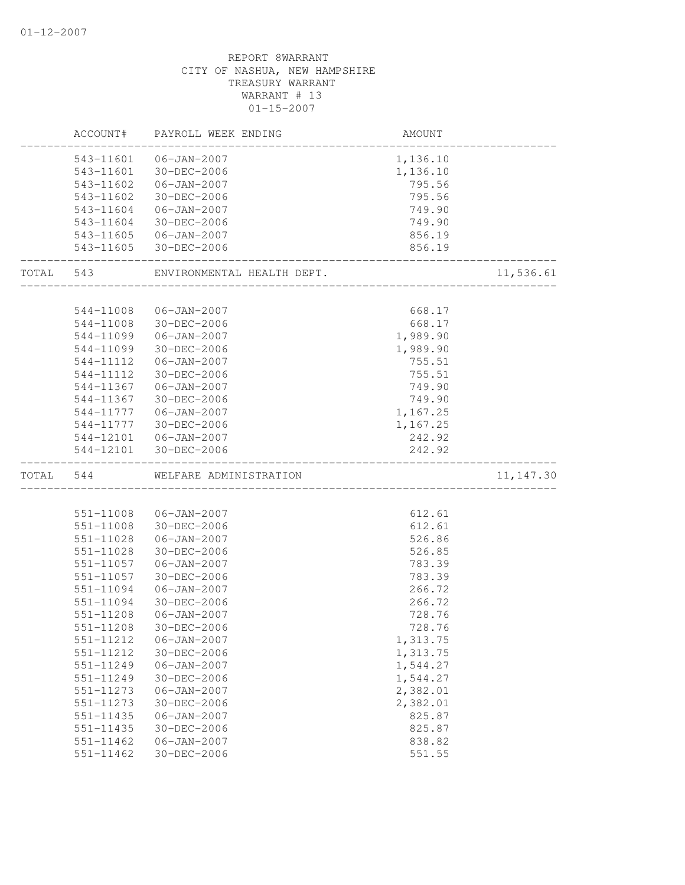|           | ACCOUNT#      | PAYROLL WEEK ENDING                          | AMOUNT                 |            |
|-----------|---------------|----------------------------------------------|------------------------|------------|
|           |               | 543-11601  06-JAN-2007                       | 1,136.10               |            |
|           |               | 543-11601 30-DEC-2006                        | 1,136.10               |            |
|           | 543-11602     | 06-JAN-2007                                  | 795.56                 |            |
|           | 543-11602     | 30-DEC-2006                                  | 795.56                 |            |
|           | 543-11604     | 06-JAN-2007                                  | 749.90                 |            |
|           | 543-11604     | 30-DEC-2006                                  | 749.90                 |            |
|           |               | 543-11605 06-JAN-2007                        | 856.19                 |            |
|           |               | 543-11605 30-DEC-2006                        | 856.19                 |            |
| TOTAL 543 |               | ENVIRONMENTAL HEALTH DEPT.                   |                        | 11,536.61  |
|           |               |                                              |                        |            |
|           | 544-11008     | $06 - JAN - 2007$                            | 668.17                 |            |
|           | 544-11008     | 30-DEC-2006                                  | 668.17                 |            |
|           | 544-11099     | $06 - JAN - 2007$                            | 1,989.90               |            |
|           | 544-11099     | 30-DEC-2006                                  | 1,989.90               |            |
|           | 544-11112     | $06 - JAN - 2007$                            | 755.51                 |            |
|           | 544-11112     | 30-DEC-2006                                  | 755.51                 |            |
|           | 544-11367     | 06-JAN-2007                                  | 749.90                 |            |
|           |               | 544-11367 30-DEC-2006                        | 749.90                 |            |
|           |               | 544-11777   06-JAN-2007                      | 1,167.25               |            |
|           |               | 544-11777 30-DEC-2006                        | 1,167.25               |            |
|           |               | 544-12101  06-JAN-2007                       | 242.92                 |            |
|           |               | 544-12101 30-DEC-2006                        | 242.92<br>------------ |            |
| TOTAL     | 544           | WELFARE ADMINISTRATION<br>__________________ |                        | 11, 147.30 |
|           |               |                                              |                        |            |
|           |               | 551-11008 06-JAN-2007                        | 612.61                 |            |
|           |               | 551-11008 30-DEC-2006                        | 612.61                 |            |
|           | 551-11028     | $06 - JAN - 2007$                            | 526.86                 |            |
|           | 551-11028     | 30-DEC-2006                                  | 526.85                 |            |
|           | 551-11057     | $06 - JAN - 2007$                            | 783.39                 |            |
|           | 551-11057     | 30-DEC-2006                                  | 783.39                 |            |
|           | 551-11094     | $06 - JAN - 2007$                            | 266.72                 |            |
|           | 551-11094     | 30-DEC-2006                                  | 266.72                 |            |
|           | 551-11208     | $06 - JAN - 2007$                            | 728.76                 |            |
|           | 551-11208     | 30-DEC-2006                                  | 728.76                 |            |
|           | 551-11212     | $06 - JAN - 2007$                            | 1,313.75               |            |
|           | 551-11212     | $30 - DEC - 2006$                            | 1,313.75               |            |
|           | 551-11249     | $06 - JAN - 2007$                            | 1,544.27               |            |
|           | 551-11249     | $30 - DEC - 2006$                            | 1,544.27               |            |
|           | 551-11273     | $06 - JAN - 2007$                            | 2,382.01               |            |
|           | 551-11273     | 30-DEC-2006                                  | 2,382.01               |            |
|           | 551-11435     | $06 - JAN - 2007$                            | 825.87                 |            |
|           | 551-11435     | 30-DEC-2006                                  | 825.87                 |            |
|           | $551 - 11462$ | $06 - JAN - 2007$                            | 838.82                 |            |
|           | $551 - 11462$ | $30 - DEC - 2006$                            | 551.55                 |            |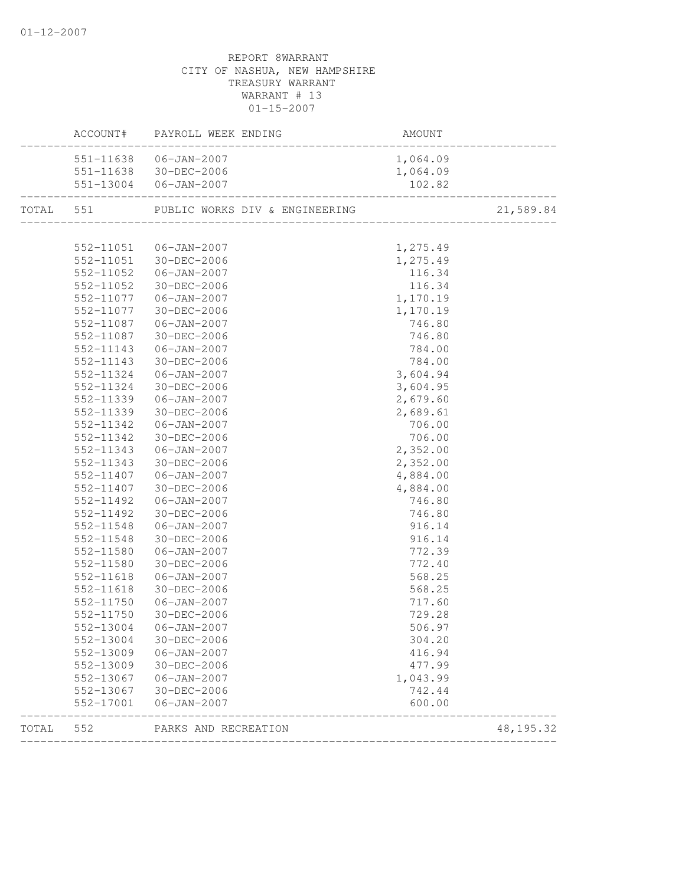|       |           | ACCOUNT# PAYROLL WEEK ENDING |          |            |
|-------|-----------|------------------------------|----------|------------|
|       |           | 551-11638  06-JAN-2007       | 1,064.09 |            |
|       |           | 551-11638 30-DEC-2006        | 1,064.09 |            |
|       |           | 551-13004 06-JAN-2007        | 102.82   |            |
|       |           |                              |          | 21,589.84  |
|       |           |                              |          |            |
|       |           | 552-11051   06-JAN-2007      | 1,275.49 |            |
|       |           | 552-11051 30-DEC-2006        | 1,275.49 |            |
|       | 552-11052 | $06 - JAN - 2007$            | 116.34   |            |
|       | 552-11052 | 30-DEC-2006                  | 116.34   |            |
|       |           | 552-11077 06-JAN-2007        | 1,170.19 |            |
|       | 552-11077 | 30-DEC-2006                  | 1,170.19 |            |
|       | 552-11087 | 06-JAN-2007                  | 746.80   |            |
|       | 552-11087 | 30-DEC-2006                  | 746.80   |            |
|       | 552-11143 | 06-JAN-2007                  | 784.00   |            |
|       | 552-11143 | 30-DEC-2006                  | 784.00   |            |
|       | 552-11324 | 06-JAN-2007                  | 3,604.94 |            |
|       | 552-11324 | 30-DEC-2006                  | 3,604.95 |            |
|       | 552-11339 | 06-JAN-2007                  | 2,679.60 |            |
|       | 552-11339 | 30-DEC-2006                  | 2,689.61 |            |
|       | 552-11342 | $06 - JAN - 2007$            | 706.00   |            |
|       | 552-11342 | 30-DEC-2006                  | 706.00   |            |
|       | 552-11343 | $06 - JAN - 2007$            | 2,352.00 |            |
|       | 552-11343 | 30-DEC-2006                  | 2,352.00 |            |
|       | 552-11407 | 06-JAN-2007                  | 4,884.00 |            |
|       | 552-11407 | 30-DEC-2006                  | 4,884.00 |            |
|       | 552-11492 | 06-JAN-2007                  | 746.80   |            |
|       | 552-11492 | 30-DEC-2006                  | 746.80   |            |
|       | 552-11548 | 06-JAN-2007                  | 916.14   |            |
|       | 552-11548 | 30-DEC-2006                  | 916.14   |            |
|       | 552-11580 | 06-JAN-2007                  | 772.39   |            |
|       | 552-11580 | 30-DEC-2006                  | 772.40   |            |
|       | 552-11618 | $06 - JAN - 2007$            | 568.25   |            |
|       | 552-11618 | 30-DEC-2006                  | 568.25   |            |
|       | 552-11750 | 06-JAN-2007                  | 717.60   |            |
|       | 552-11750 | 30-DEC-2006                  | 729.28   |            |
|       |           | 552-13004 06-JAN-2007        | 506.97   |            |
|       | 552-13004 | 30-DEC-2006                  | 304.20   |            |
|       |           | 552-13009 06-JAN-2007        | 416.94   |            |
|       | 552-13009 | 30-DEC-2006                  | 477.99   |            |
|       | 552-13067 | 06-JAN-2007                  | 1,043.99 |            |
|       | 552-13067 | 30-DEC-2006                  | 742.44   |            |
|       | 552-17001 | $06 - JAN - 2007$            | 600.00   |            |
| TOTAL | 552       | PARKS AND RECREATION         |          | 48, 195.32 |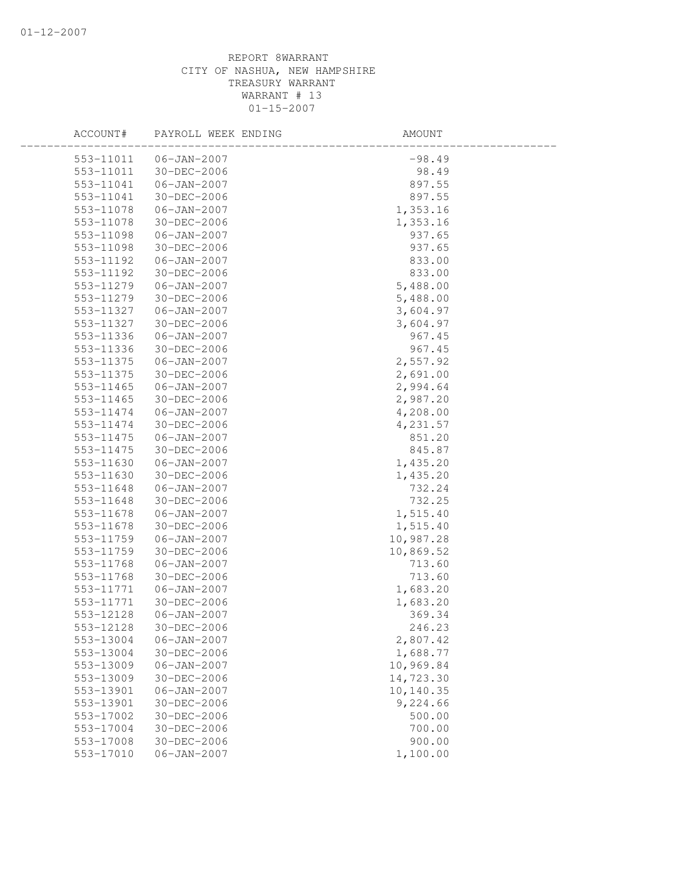| ACCOUNT#  | PAYROLL WEEK ENDING | AMOUNT    |
|-----------|---------------------|-----------|
| 553-11011 | 06-JAN-2007         | $-98.49$  |
| 553-11011 | 30-DEC-2006         | 98.49     |
| 553-11041 | 06-JAN-2007         | 897.55    |
| 553-11041 | 30-DEC-2006         | 897.55    |
| 553-11078 | $06 - JAN - 2007$   | 1,353.16  |
| 553-11078 | 30-DEC-2006         | 1,353.16  |
| 553-11098 | $06 - JAN - 2007$   | 937.65    |
| 553-11098 | $30 - DEC - 2006$   | 937.65    |
| 553-11192 | 06-JAN-2007         | 833.00    |
| 553-11192 | 30-DEC-2006         | 833.00    |
| 553-11279 | 06-JAN-2007         | 5,488.00  |
| 553-11279 | 30-DEC-2006         | 5,488.00  |
| 553-11327 | $06 - JAN - 2007$   | 3,604.97  |
| 553-11327 | 30-DEC-2006         | 3,604.97  |
| 553-11336 | $06 - JAN - 2007$   | 967.45    |
| 553-11336 | 30-DEC-2006         | 967.45    |
| 553-11375 | $06 - JAN - 2007$   | 2,557.92  |
| 553-11375 | 30-DEC-2006         | 2,691.00  |
| 553-11465 | 06-JAN-2007         | 2,994.64  |
| 553-11465 | 30-DEC-2006         | 2,987.20  |
| 553-11474 | $06 - JAN - 2007$   | 4,208.00  |
| 553-11474 | 30-DEC-2006         | 4,231.57  |
| 553-11475 | $06 - JAN - 2007$   | 851.20    |
| 553-11475 | 30-DEC-2006         | 845.87    |
| 553-11630 | $06 - JAN - 2007$   | 1,435.20  |
| 553-11630 | $30 - DEC - 2006$   | 1,435.20  |
| 553-11648 | $06 - JAN - 2007$   | 732.24    |
| 553-11648 | 30-DEC-2006         | 732.25    |
| 553-11678 | $06 - JAN - 2007$   | 1,515.40  |
| 553-11678 | 30-DEC-2006         | 1,515.40  |
| 553-11759 | $06 - JAN - 2007$   | 10,987.28 |
| 553-11759 | 30-DEC-2006         | 10,869.52 |
| 553-11768 | $06 - JAN - 2007$   | 713.60    |
| 553-11768 | 30-DEC-2006         | 713.60    |
| 553-11771 | $06 - JAN - 2007$   | 1,683.20  |
| 553-11771 | 30-DEC-2006         | 1,683.20  |
| 553-12128 | $06 - JAN - 2007$   | 369.34    |
| 553-12128 | $30 - DEC - 2006$   | 246.23    |
| 553-13004 | $06 - JAN - 2007$   | 2,807.42  |
| 553-13004 | 30-DEC-2006         | 1,688.77  |
| 553-13009 | $06 - JAN - 2007$   | 10,969.84 |
| 553-13009 | 30-DEC-2006         | 14,723.30 |
| 553-13901 | $06 - JAN - 2007$   | 10,140.35 |
| 553-13901 | $30 - DEC - 2006$   | 9,224.66  |
| 553-17002 | 30-DEC-2006         | 500.00    |
| 553-17004 | $30 - DEC - 2006$   | 700.00    |
| 553-17008 | 30-DEC-2006         | 900.00    |
| 553-17010 | $06 - JAN - 2007$   | 1,100.00  |
|           |                     |           |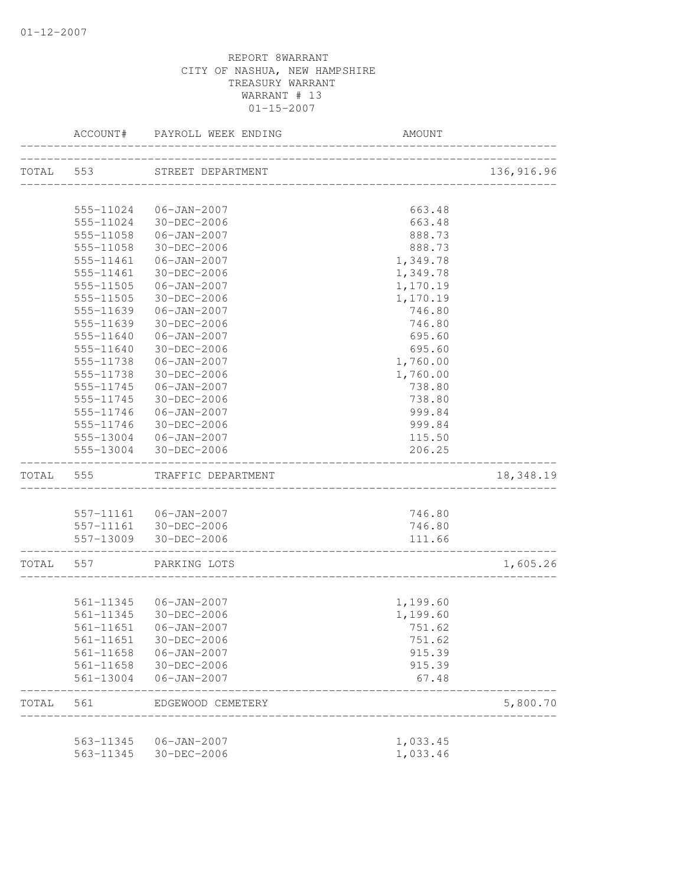|           | ACCOUNT#      | PAYROLL WEEK ENDING                      | <b>AMOUNT</b>          |             |
|-----------|---------------|------------------------------------------|------------------------|-------------|
|           |               | TOTAL 553 STREET DEPARTMENT              |                        | 136, 916.96 |
|           |               |                                          | ______________________ |             |
|           | 555-11024     | 06-JAN-2007                              | 663.48                 |             |
|           | 555-11024     | 30-DEC-2006                              | 663.48                 |             |
|           | 555-11058     | 06-JAN-2007                              | 888.73                 |             |
|           | 555-11058     | 30-DEC-2006                              | 888.73                 |             |
|           | 555-11461     | 06-JAN-2007                              | 1,349.78               |             |
|           | 555-11461     | 30-DEC-2006                              | 1,349.78               |             |
|           | $555 - 11505$ | 06-JAN-2007                              | 1,170.19               |             |
|           | 555-11505     | 30-DEC-2006                              | 1,170.19               |             |
|           | 555-11639     | 06-JAN-2007                              | 746.80                 |             |
|           | 555-11639     | 30-DEC-2006                              | 746.80                 |             |
|           | 555-11640     | $06 - JAN - 2007$                        | 695.60                 |             |
|           | 555-11640     | 30-DEC-2006                              | 695.60                 |             |
|           | 555-11738     | 06-JAN-2007                              | 1,760.00               |             |
|           | 555-11738     | 30-DEC-2006                              | 1,760.00               |             |
|           | 555-11745     | $06 - JAN - 2007$                        | 738.80                 |             |
|           | 555-11745     | 30-DEC-2006                              | 738.80                 |             |
|           | 555-11746     | 06-JAN-2007                              | 999.84                 |             |
|           |               | 555-11746 30-DEC-2006                    | 999.84                 |             |
|           |               | 555-13004 06-JAN-2007                    | 115.50                 |             |
|           |               | 555-13004 30-DEC-2006                    | 206.25                 |             |
| TOTAL 555 |               | TRAFFIC DEPARTMENT                       |                        | 18,348.19   |
|           |               |                                          |                        |             |
|           |               | 557-11161  06-JAN-2007                   | 746.80                 |             |
|           |               | 557-11161 30-DEC-2006                    | 746.80                 |             |
|           |               | 557-13009 30-DEC-2006                    | 111.66                 |             |
| TOTAL 557 |               | PARKING LOTS                             |                        | 1,605.26    |
|           |               |                                          |                        |             |
|           |               | 561-11345   06-JAN-2007                  | 1,199.60               |             |
|           | 561-11345     | $30 - DEC - 2006$                        | 1,199.60               |             |
|           |               | 561-11651 06-JAN-2007                    | 751.62                 |             |
|           |               | 561-11651 30-DEC-2006                    | 751.62                 |             |
|           |               | 561-11658  06-JAN-2007                   | 915.39                 |             |
|           |               | 561-11658 30-DEC-2006                    | 915.39                 |             |
|           |               | 561-13004 06-JAN-2007                    | 67.48                  |             |
| TOTAL     | 561           | EDGEWOOD CEMETERY<br>___________________ |                        | 5,800.70    |
|           |               | 563-11345   06-JAN-2007                  | 1,033.45               |             |
|           | 563-11345     | 30-DEC-2006                              | 1,033.46               |             |
|           |               |                                          |                        |             |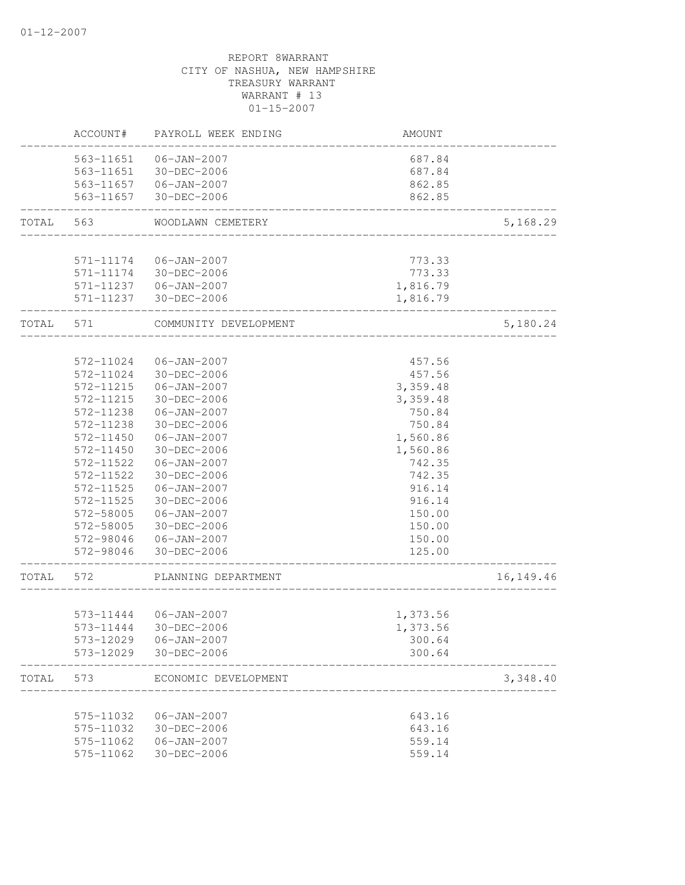|       | ACCOUNT#               | PAYROLL WEEK ENDING        | AMOUNT                  |             |
|-------|------------------------|----------------------------|-------------------------|-------------|
|       |                        | 563-11651  06-JAN-2007     | 687.84                  |             |
|       |                        | 563-11651 30-DEC-2006      | 687.84                  |             |
|       |                        | 563-11657 06-JAN-2007      | 862.85                  |             |
|       | 563-11657              | 30-DEC-2006                | 862.85<br>_____________ |             |
| TOTAL | 563                    | WOODLAWN CEMETERY          |                         | 5,168.29    |
|       | 571-11174              | $06 - JAN - 2007$          | 773.33                  |             |
|       | 571-11174              | 30-DEC-2006                | 773.33                  |             |
|       |                        | 571-11237 06-JAN-2007      |                         |             |
|       |                        | 571-11237 30-DEC-2006      | 1,816.79<br>1,816.79    |             |
| TOTAL | 571                    | COMMUNITY DEVELOPMENT      |                         | 5,180.24    |
|       |                        |                            |                         |             |
|       | 572-11024              | $06 - JAN - 2007$          | 457.56                  |             |
|       | 572-11024              | 30-DEC-2006                | 457.56                  |             |
|       | 572-11215              | 06-JAN-2007                | 3,359.48                |             |
|       | 572-11215              | 30-DEC-2006                | 3,359.48                |             |
|       | 572-11238              | 06-JAN-2007                | 750.84                  |             |
|       | 572-11238              | 30-DEC-2006                | 750.84                  |             |
|       | 572-11450              | $06 - JAN - 2007$          | 1,560.86                |             |
|       | 572-11450              | 30-DEC-2006                | 1,560.86                |             |
|       | 572-11522              | $06 - JAN - 2007$          | 742.35                  |             |
|       | 572-11522              | 30-DEC-2006                | 742.35                  |             |
|       | 572-11525              | 06-JAN-2007                | 916.14                  |             |
|       | 572-11525              | 30-DEC-2006                | 916.14                  |             |
|       | 572-58005              | 06-JAN-2007                | 150.00                  |             |
|       | 572-58005              | 30-DEC-2006                | 150.00                  |             |
|       | 572-98046              | 06-JAN-2007                | 150.00                  |             |
|       | 572-98046              | 30-DEC-2006                | 125.00                  |             |
| TOTAL | 572                    | PLANNING DEPARTMENT        |                         | 16, 149. 46 |
|       |                        |                            |                         |             |
|       |                        | 573-11444 06-JAN-2007      | 1,373.56                |             |
|       | 573-11444              | 30-DEC-2006                | 1,373.56                |             |
|       | 573-12029<br>573-12029 | 06-JAN-2007<br>30-DEC-2006 | 300.64<br>300.64        |             |
|       |                        |                            |                         |             |
| TOTAL | 573                    | ECONOMIC DEVELOPMENT       |                         | 3,348.40    |
|       | 575-11032              | $06 - JAN - 2007$          | 643.16                  |             |
|       | 575-11032              | 30-DEC-2006                | 643.16                  |             |
|       | 575-11062              | $06 - JAN - 2007$          | 559.14                  |             |
|       | 575-11062              | 30-DEC-2006                | 559.14                  |             |
|       |                        |                            |                         |             |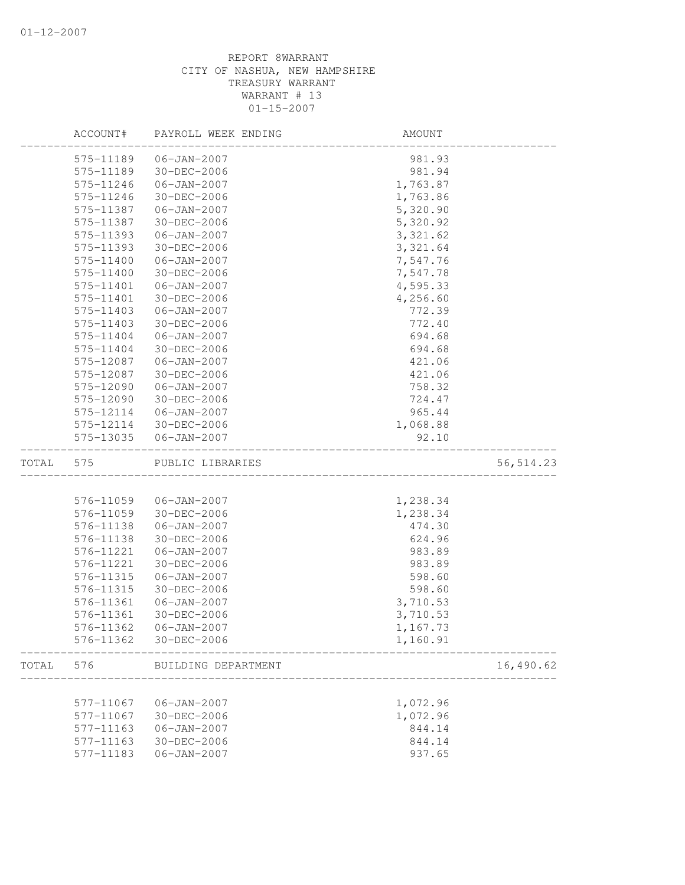|       | ACCOUNT#  | PAYROLL WEEK ENDING | AMOUNT     |
|-------|-----------|---------------------|------------|
|       | 575-11189 | $06 - JAN - 2007$   | 981.93     |
|       | 575-11189 | 30-DEC-2006         | 981.94     |
|       | 575-11246 | $06 - JAN - 2007$   | 1,763.87   |
|       | 575-11246 | 30-DEC-2006         | 1,763.86   |
|       | 575-11387 | $06 - JAN - 2007$   | 5,320.90   |
|       | 575-11387 | 30-DEC-2006         | 5,320.92   |
|       | 575-11393 | $06 - JAN - 2007$   | 3, 321.62  |
|       | 575-11393 | 30-DEC-2006         | 3,321.64   |
|       | 575-11400 | $06 - JAN - 2007$   | 7,547.76   |
|       | 575-11400 | 30-DEC-2006         | 7,547.78   |
|       | 575-11401 | $06 - JAN - 2007$   | 4,595.33   |
|       | 575-11401 | $30 - DEC - 2006$   | 4,256.60   |
|       | 575-11403 | $06 - JAN - 2007$   | 772.39     |
|       | 575-11403 | 30-DEC-2006         | 772.40     |
|       | 575-11404 | $06 - JAN - 2007$   | 694.68     |
|       | 575-11404 | 30-DEC-2006         | 694.68     |
|       | 575-12087 | $06 - JAN - 2007$   | 421.06     |
|       | 575-12087 | 30-DEC-2006         | 421.06     |
|       | 575-12090 | $06 - JAN - 2007$   | 758.32     |
|       | 575-12090 | $30 - DEC - 2006$   | 724.47     |
|       | 575-12114 | 06-JAN-2007         | 965.44     |
|       | 575-12114 | 30-DEC-2006         | 1,068.88   |
|       | 575-13035 | $06 - JAN - 2007$   | 92.10      |
|       |           |                     |            |
| TOTAL | 575       | PUBLIC LIBRARIES    | 56, 514.23 |
|       |           |                     |            |
|       | 576-11059 | $06 - JAN - 2007$   | 1,238.34   |
|       | 576-11059 | 30-DEC-2006         | 1,238.34   |
|       | 576-11138 | $06 - JAN - 2007$   | 474.30     |
|       | 576-11138 | $30 - DEC - 2006$   | 624.96     |
|       | 576-11221 | $06 - JAN - 2007$   | 983.89     |
|       | 576-11221 | 30-DEC-2006         | 983.89     |
|       | 576-11315 | $06 - JAN - 2007$   | 598.60     |
|       | 576-11315 | 30-DEC-2006         | 598.60     |
|       | 576-11361 | $06 - JAN - 2007$   | 3,710.53   |
|       | 576-11361 | $30 - DEC - 2006$   | 3,710.53   |
|       | 576-11362 | 06-JAN-2007         | 1,167.73   |
|       | 576-11362 | 30-DEC-2006         | 1,160.91   |
| TOTAL | 576       | BUILDING DEPARTMENT | 16,490.62  |
|       |           |                     |            |
|       | 577-11067 | $06 - JAN - 2007$   | 1,072.96   |
|       | 577-11067 | 30-DEC-2006         | 1,072.96   |
|       | 577-11163 | $06 - JAN - 2007$   | 844.14     |
|       | 577-11163 | 30-DEC-2006         | 844.14     |
|       | 577-11183 | $06 - JAN - 2007$   | 937.65     |
|       |           |                     |            |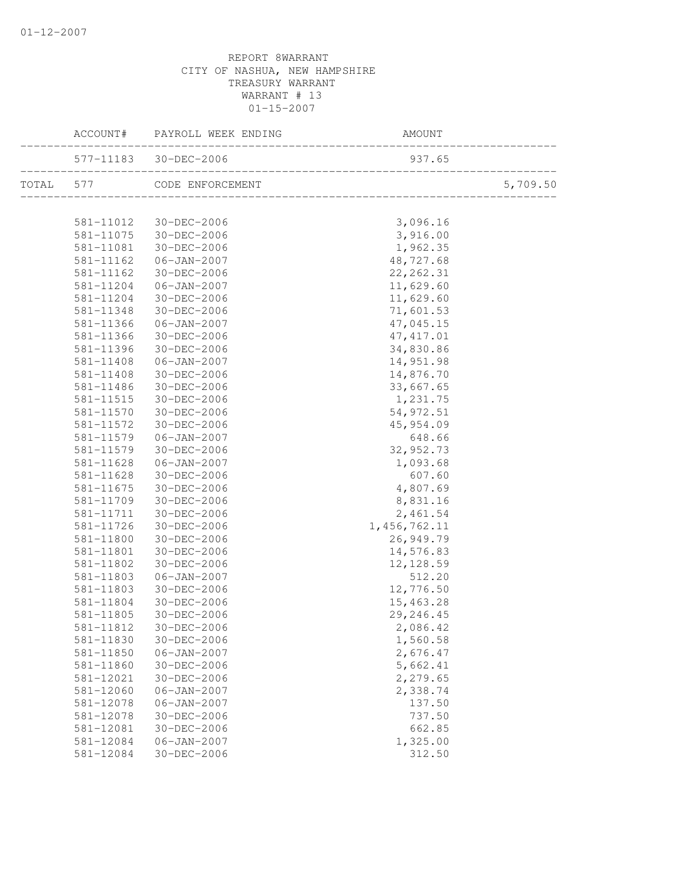|           | ACCOUNT#               | PAYROLL WEEK ENDING              | AMOUNT               |          |
|-----------|------------------------|----------------------------------|----------------------|----------|
|           |                        | 577-11183 30-DEC-2006            | 937.65               |          |
| TOTAL 577 |                        | CODE ENFORCEMENT                 |                      | 5,709.50 |
|           | 581-11012              | 30-DEC-2006                      | 3,096.16             |          |
|           | 581-11075              | 30-DEC-2006                      | 3,916.00             |          |
|           | 581-11081              | 30-DEC-2006                      | 1,962.35             |          |
|           | 581-11162              | 06-JAN-2007                      | 48,727.68            |          |
|           | 581-11162              | 30-DEC-2006                      | 22, 262.31           |          |
|           | 581-11204              | $06 - JAN - 2007$                | 11,629.60            |          |
|           | 581-11204              | 30-DEC-2006                      | 11,629.60            |          |
|           | 581-11348              | 30-DEC-2006                      | 71,601.53            |          |
|           | 581-11366              | $06 - JAN - 2007$                | 47,045.15            |          |
|           | 581-11366              | 30-DEC-2006                      | 47, 417.01           |          |
|           | 581-11396              | 30-DEC-2006                      | 34,830.86            |          |
|           | 581-11408              | $06 - JAN - 2007$                | 14,951.98            |          |
|           | 581-11408              | 30-DEC-2006                      | 14,876.70            |          |
|           | $581 - 11486$          | 30-DEC-2006                      | 33,667.65            |          |
|           | 581-11515              | 30-DEC-2006                      | 1,231.75             |          |
|           | 581-11570              | 30-DEC-2006                      | 54, 972.51           |          |
|           | 581-11572              | 30-DEC-2006                      | 45,954.09            |          |
|           | 581-11579              | $06 - JAN - 2007$                | 648.66               |          |
|           | 581-11579              | $30 - DEC - 2006$                | 32, 952.73           |          |
|           | 581-11628              | $06 - JAN - 2007$                | 1,093.68             |          |
|           | 581-11628              | 30-DEC-2006                      | 607.60               |          |
|           | 581-11675              | 30-DEC-2006                      | 4,807.69             |          |
|           | 581-11709              | 30-DEC-2006                      | 8,831.16             |          |
|           | 581-11711              | 30-DEC-2006                      | 2,461.54             |          |
|           | 581-11726              | 30-DEC-2006                      | 1, 456, 762.11       |          |
|           | 581-11800              | 30-DEC-2006                      | 26,949.79            |          |
|           | 581-11801              | 30-DEC-2006                      | 14,576.83            |          |
|           | 581-11802              | 30-DEC-2006                      | 12, 128.59           |          |
|           | 581-11803              | $06 - JAN - 2007$                | 512.20               |          |
|           | 581-11803              | 30-DEC-2006                      | 12,776.50            |          |
|           | 581-11804              | 30-DEC-2006                      | 15,463.28            |          |
|           | 581-11805              | 30-DEC-2006                      | 29, 246.45           |          |
|           | 581-11812              | 30-DEC-2006                      | 2,086.42             |          |
|           | 581-11830<br>581-11850 | 30-DEC-2006<br>$06 - JAN - 2007$ | 1,560.58<br>2,676.47 |          |
|           | 581-11860              | 30-DEC-2006                      | 5,662.41             |          |
|           | 581-12021              | 30-DEC-2006                      | 2,279.65             |          |
|           | 581-12060              | $06 - JAN - 2007$                | 2,338.74             |          |
|           | 581-12078              | $06 - JAN - 2007$                | 137.50               |          |
|           | 581-12078              | 30-DEC-2006                      | 737.50               |          |
|           | 581-12081              | 30-DEC-2006                      | 662.85               |          |
|           | 581-12084              | $06 - JAN - 2007$                | 1,325.00             |          |
|           | 581-12084              | 30-DEC-2006                      | 312.50               |          |
|           |                        |                                  |                      |          |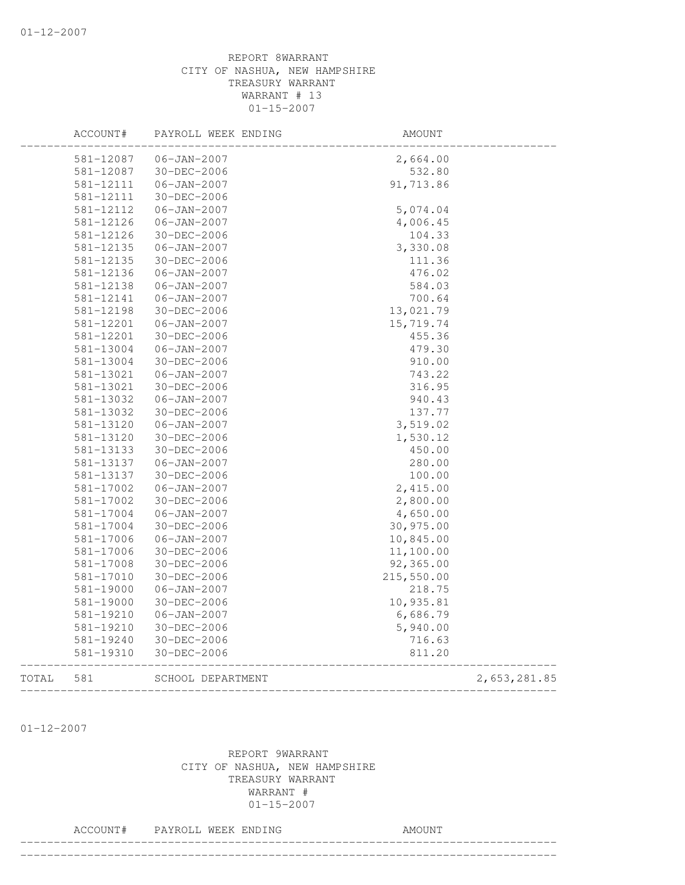|       | ACCOUNT#  | PAYROLL WEEK ENDING | AMOUNT     |              |
|-------|-----------|---------------------|------------|--------------|
|       | 581-12087 | $06 - JAN - 2007$   | 2,664.00   |              |
|       | 581-12087 | 30-DEC-2006         | 532.80     |              |
|       | 581-12111 | $06 - JAN - 2007$   | 91,713.86  |              |
|       | 581-12111 | 30-DEC-2006         |            |              |
|       | 581-12112 | $06 - JAN - 2007$   | 5,074.04   |              |
|       | 581-12126 | $06 - JAN - 2007$   | 4,006.45   |              |
|       | 581-12126 | 30-DEC-2006         | 104.33     |              |
|       | 581-12135 | $06 - JAN - 2007$   | 3,330.08   |              |
|       | 581-12135 | 30-DEC-2006         | 111.36     |              |
|       | 581-12136 | $06 - JAN - 2007$   | 476.02     |              |
|       | 581-12138 | $06 - JAN - 2007$   | 584.03     |              |
|       | 581-12141 | $06 - JAN - 2007$   | 700.64     |              |
|       | 581-12198 | 30-DEC-2006         | 13,021.79  |              |
|       | 581-12201 | $06 - JAN - 2007$   | 15,719.74  |              |
|       | 581-12201 | 30-DEC-2006         | 455.36     |              |
|       | 581-13004 | $06 - JAN - 2007$   | 479.30     |              |
|       | 581-13004 | 30-DEC-2006         | 910.00     |              |
|       | 581-13021 | $06 - JAN - 2007$   | 743.22     |              |
|       | 581-13021 | 30-DEC-2006         | 316.95     |              |
|       | 581-13032 | $06 - JAN - 2007$   | 940.43     |              |
|       | 581-13032 | 30-DEC-2006         | 137.77     |              |
|       | 581-13120 | $06 - JAN - 2007$   | 3,519.02   |              |
|       | 581-13120 | 30-DEC-2006         | 1,530.12   |              |
|       | 581-13133 | 30-DEC-2006         | 450.00     |              |
|       | 581-13137 | $06 - JAN - 2007$   | 280.00     |              |
|       | 581-13137 | 30-DEC-2006         | 100.00     |              |
|       | 581-17002 | $06 - JAN - 2007$   | 2,415.00   |              |
|       | 581-17002 | 30-DEC-2006         | 2,800.00   |              |
|       | 581-17004 | $06 - JAN - 2007$   | 4,650.00   |              |
|       | 581-17004 | 30-DEC-2006         | 30,975.00  |              |
|       | 581-17006 | $06 - JAN - 2007$   | 10,845.00  |              |
|       | 581-17006 | 30-DEC-2006         | 11,100.00  |              |
|       | 581-17008 | 30-DEC-2006         | 92,365.00  |              |
|       | 581-17010 | 30-DEC-2006         | 215,550.00 |              |
|       | 581-19000 | $06 - JAN - 2007$   | 218.75     |              |
|       | 581-19000 | 30-DEC-2006         | 10,935.81  |              |
|       | 581-19210 | $06 - JAN - 2007$   | 6,686.79   |              |
|       | 581-19210 | 30-DEC-2006         | 5,940.00   |              |
|       | 581-19240 | 30-DEC-2006         | 716.63     |              |
|       | 581-19310 | 30-DEC-2006         | 811.20     |              |
| TOTAL | 581       | SCHOOL DEPARTMENT   |            | 2,653,281.85 |
|       |           |                     |            |              |

01-12-2007

# REPORT 9WARRANT CITY OF NASHUA, NEW HAMPSHIRE TREASURY WARRANT WARRANT # 01-15-2007

## ACCOUNT# PAYROLL WEEK ENDING COUNT

--------------------------------------------------------------------------------

--------------------------------------------------------------------------------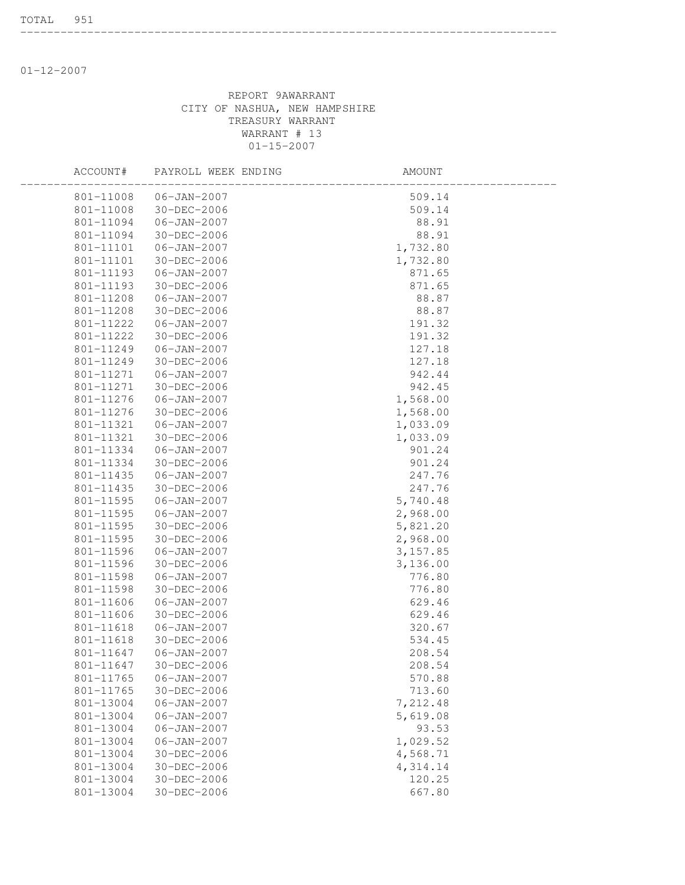01-12-2007

## REPORT 9AWARRANT CITY OF NASHUA, NEW HAMPSHIRE TREASURY WARRANT WARRANT # 13 01-15-2007

--------------------------------------------------------------------------------

| ACCOUNT#      | PAYROLL WEEK ENDING | AMOUNT    |  |
|---------------|---------------------|-----------|--|
| 801-11008     | $06 - JAN - 2007$   | 509.14    |  |
| 801-11008     | 30-DEC-2006         | 509.14    |  |
| 801-11094     | $06 - JAN - 2007$   | 88.91     |  |
| 801-11094     | 30-DEC-2006         | 88.91     |  |
| 801-11101     | $06 - JAN - 2007$   | 1,732.80  |  |
| 801-11101     | 30-DEC-2006         | 1,732.80  |  |
| 801-11193     | $06 - JAN - 2007$   | 871.65    |  |
| 801-11193     | 30-DEC-2006         | 871.65    |  |
| 801-11208     | $06 - JAN - 2007$   | 88.87     |  |
| 801-11208     | 30-DEC-2006         | 88.87     |  |
| 801-11222     | $06 - JAN - 2007$   | 191.32    |  |
| 801-11222     | 30-DEC-2006         | 191.32    |  |
| 801-11249     | $06 - JAN - 2007$   | 127.18    |  |
| 801-11249     | 30-DEC-2006         | 127.18    |  |
| 801-11271     | $06 - JAN - 2007$   | 942.44    |  |
| 801-11271     | 30-DEC-2006         | 942.45    |  |
| 801-11276     | $06 - JAN - 2007$   | 1,568.00  |  |
| 801-11276     | 30-DEC-2006         | 1,568.00  |  |
| 801-11321     | $06 - JAN - 2007$   | 1,033.09  |  |
| 801-11321     | 30-DEC-2006         | 1,033.09  |  |
| 801-11334     | $06 - JAN - 2007$   | 901.24    |  |
| 801-11334     | 30-DEC-2006         | 901.24    |  |
| 801-11435     | $06 - JAN - 2007$   | 247.76    |  |
| 801-11435     | 30-DEC-2006         | 247.76    |  |
| 801-11595     | $06 - JAN - 2007$   | 5,740.48  |  |
| 801-11595     | $06 - JAN - 2007$   | 2,968.00  |  |
| 801-11595     | 30-DEC-2006         | 5,821.20  |  |
| 801-11595     | 30-DEC-2006         | 2,968.00  |  |
| 801-11596     | $06 - JAN - 2007$   | 3, 157.85 |  |
| 801-11596     | 30-DEC-2006         | 3,136.00  |  |
| 801-11598     | $06 - JAN - 2007$   | 776.80    |  |
| 801-11598     | 30-DEC-2006         | 776.80    |  |
| 801-11606     | $06 - JAN - 2007$   | 629.46    |  |
| 801-11606     | 30-DEC-2006         | 629.46    |  |
| $801 - 11618$ | $06 - JAN - 2007$   | 320.67    |  |
| 801-11618     | 30-DEC-2006         | 534.45    |  |
| 801-11647     | $06 - JAN - 2007$   | 208.54    |  |
| 801-11647     | 30-DEC-2006         | 208.54    |  |
| 801-11765     | $06 - JAN - 2007$   | 570.88    |  |
| 801-11765     | 30-DEC-2006         | 713.60    |  |
| 801-13004     | $06 - JAN - 2007$   | 7,212.48  |  |
| 801-13004     | $06 - JAN - 2007$   | 5,619.08  |  |
| 801-13004     | $06 - JAN - 2007$   | 93.53     |  |
| 801-13004     | $06 - JAN - 2007$   | 1,029.52  |  |
| 801-13004     | 30-DEC-2006         | 4,568.71  |  |
| 801-13004     | 30-DEC-2006         | 4,314.14  |  |
| 801-13004     | 30-DEC-2006         | 120.25    |  |
| 801-13004     | 30-DEC-2006         | 667.80    |  |
|               |                     |           |  |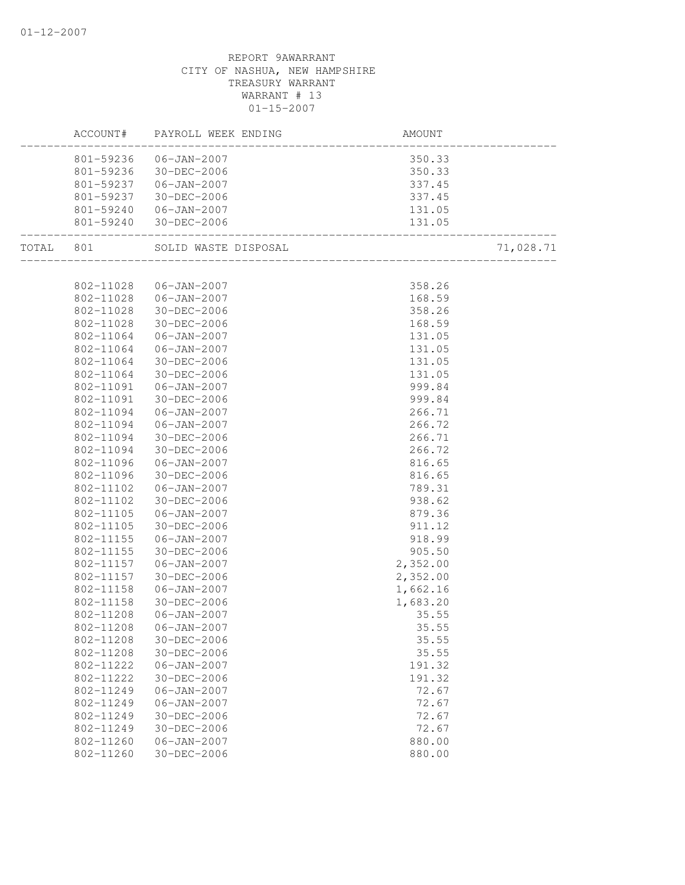| ACCOUNT#               | PAYROLL WEEK ENDING                            |                                                                                |           |
|------------------------|------------------------------------------------|--------------------------------------------------------------------------------|-----------|
|                        | 801-59236 06-JAN-2007                          |                                                                                |           |
|                        | 801-59236 30-DEC-2006                          |                                                                                |           |
|                        | 801-59237   06-JAN-2007                        |                                                                                |           |
| 801-59237              | $30 - DEC - 2006$                              |                                                                                |           |
|                        |                                                |                                                                                |           |
| ._________________     | 801-59240 06-JAN-2007<br>801-59240 30-DEC-2006 | $-140$ ,<br>$-140$ ,<br>$350.3$ ,<br>$350.33$<br>$337.4$ <sup>E</sup><br>$337$ |           |
|                        | TOTAL 801 SOLID WASTE DISPOSAL                 |                                                                                | 71,028.71 |
|                        |                                                |                                                                                |           |
|                        | 802-11028  06-JAN-2007                         | 358.26                                                                         |           |
| 802-11028              | $06 - JAN - 2007$                              | 168.59                                                                         |           |
| 802-11028              | 30-DEC-2006                                    | 358.26                                                                         |           |
| 802-11028              | 30-DEC-2006                                    | 168.59                                                                         |           |
| 802-11064              | 06-JAN-2007                                    | 131.05                                                                         |           |
| 802-11064              | 06-JAN-2007                                    | 131.05                                                                         |           |
| 802-11064              | 30-DEC-2006                                    | 131.05                                                                         |           |
| 802-11064              | 30-DEC-2006                                    | 131.05                                                                         |           |
| 802-11091              | $06 - JAN - 2007$                              | 999.84                                                                         |           |
| 802-11091              | 30-DEC-2006                                    | 999.84                                                                         |           |
| 802-11094              | 06-JAN-2007                                    | 266.71                                                                         |           |
| 802-11094              | $06 - JAN - 2007$                              | 266.72                                                                         |           |
| 802-11094              | 30-DEC-2006                                    | 266.71                                                                         |           |
| 802-11094              | 30-DEC-2006                                    | 266.72                                                                         |           |
| 802-11096              | 06-JAN-2007                                    | 816.65                                                                         |           |
| 802-11096<br>802-11102 | 30-DEC-2006<br>06-JAN-2007                     | 816.65<br>789.31                                                               |           |
| 802-11102              | 30-DEC-2006                                    | 938.62                                                                         |           |
| 802-11105              | 06-JAN-2007                                    |                                                                                |           |
| 802-11105              | 30-DEC-2006                                    | 879.36<br>911.12                                                               |           |
| 802-11155              | $06 - JAN - 2007$                              | 918.99                                                                         |           |
| 802-11155              | 30-DEC-2006                                    | 905.50                                                                         |           |
| 802-11157              | $06 - JAN - 2007$                              | 2,352.00                                                                       |           |
| 802-11157              | 30-DEC-2006                                    | 2,352.00                                                                       |           |
| 802-11158              | 06-JAN-2007                                    | 1,662.16                                                                       |           |
| 802-11158              | 30-DEC-2006                                    | 1,683.20                                                                       |           |
| 802-11208              | $06 - JAN - 2007$                              | 35.55                                                                          |           |
| 802-11208              | $06 - JAN - 2007$                              | 35.55                                                                          |           |
| 802-11208              | 30-DEC-2006                                    | 35.55                                                                          |           |
| 802-11208              | 30-DEC-2006                                    | 35.55                                                                          |           |
| 802-11222              | $06 - JAN - 2007$                              | 191.32                                                                         |           |
| 802-11222              | 30-DEC-2006                                    | 191.32                                                                         |           |
| 802-11249              | $06 - JAN - 2007$                              | 72.67                                                                          |           |
| 802-11249              | $06 - JAN - 2007$                              | 72.67                                                                          |           |
| 802-11249              | $30 - DEC - 2006$                              | 72.67                                                                          |           |
| 802-11249              | 30-DEC-2006                                    | 72.67                                                                          |           |
| 802-11260              | $06 - JAN - 2007$                              | 880.00                                                                         |           |
| 802-11260              | 30-DEC-2006                                    | 880.00                                                                         |           |